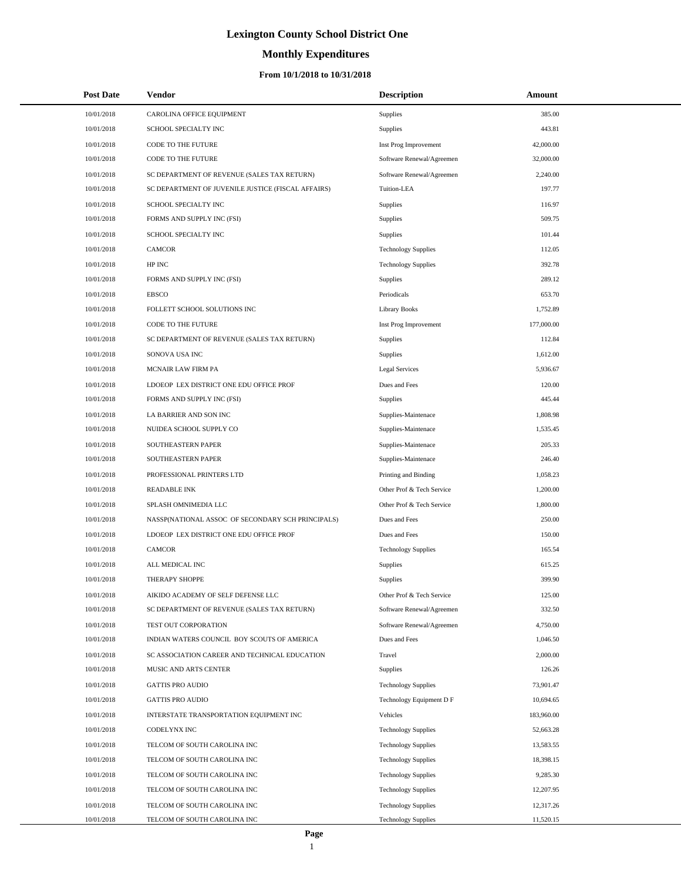# **Monthly Expenditures**

| <b>Post Date</b> | <b>Vendor</b>                                      | <b>Description</b>         | Amount     |  |
|------------------|----------------------------------------------------|----------------------------|------------|--|
| 10/01/2018       | CAROLINA OFFICE EQUIPMENT                          | Supplies                   | 385.00     |  |
| 10/01/2018       | SCHOOL SPECIALTY INC                               | Supplies                   | 443.81     |  |
| 10/01/2018       | CODE TO THE FUTURE                                 | Inst Prog Improvement      | 42,000.00  |  |
| 10/01/2018       | <b>CODE TO THE FUTURE</b>                          | Software Renewal/Agreemen  | 32,000.00  |  |
| 10/01/2018       | SC DEPARTMENT OF REVENUE (SALES TAX RETURN)        | Software Renewal/Agreemen  | 2,240.00   |  |
| 10/01/2018       | SC DEPARTMENT OF JUVENILE JUSTICE (FISCAL AFFAIRS) | Tuition-LEA                | 197.77     |  |
| 10/01/2018       | SCHOOL SPECIALTY INC                               | Supplies                   | 116.97     |  |
| 10/01/2018       | FORMS AND SUPPLY INC (FSI)                         | Supplies                   | 509.75     |  |
| 10/01/2018       | SCHOOL SPECIALTY INC                               | Supplies                   | 101.44     |  |
| 10/01/2018       | <b>CAMCOR</b>                                      | <b>Technology Supplies</b> | 112.05     |  |
| 10/01/2018       | HP INC                                             | <b>Technology Supplies</b> | 392.78     |  |
| 10/01/2018       | FORMS AND SUPPLY INC (FSI)                         | <b>Supplies</b>            | 289.12     |  |
| 10/01/2018       | <b>EBSCO</b>                                       | Periodicals                | 653.70     |  |
| 10/01/2018       | FOLLETT SCHOOL SOLUTIONS INC                       | <b>Library Books</b>       | 1,752.89   |  |
| 10/01/2018       | CODE TO THE FUTURE                                 | Inst Prog Improvement      | 177,000.00 |  |
| 10/01/2018       | SC DEPARTMENT OF REVENUE (SALES TAX RETURN)        | Supplies                   | 112.84     |  |
| 10/01/2018       | SONOVA USA INC                                     | Supplies                   | 1,612.00   |  |
| 10/01/2018       | MCNAIR LAW FIRM PA                                 | <b>Legal Services</b>      | 5,936.67   |  |
| 10/01/2018       | LDOEOP LEX DISTRICT ONE EDU OFFICE PROF            | Dues and Fees              | 120.00     |  |
| 10/01/2018       | FORMS AND SUPPLY INC (FSI)                         | Supplies                   | 445.44     |  |
| 10/01/2018       | LA BARRIER AND SON INC                             | Supplies-Maintenace        | 1,808.98   |  |
| 10/01/2018       | NUIDEA SCHOOL SUPPLY CO                            | Supplies-Maintenace        | 1,535.45   |  |
| 10/01/2018       | SOUTHEASTERN PAPER                                 | Supplies-Maintenace        | 205.33     |  |
| 10/01/2018       | SOUTHEASTERN PAPER                                 | Supplies-Maintenace        | 246.40     |  |
| 10/01/2018       | PROFESSIONAL PRINTERS LTD                          | Printing and Binding       | 1,058.23   |  |
| 10/01/2018       | <b>READABLE INK</b>                                | Other Prof & Tech Service  | 1,200.00   |  |
| 10/01/2018       | SPLASH OMNIMEDIA LLC                               | Other Prof & Tech Service  | 1,800.00   |  |
| 10/01/2018       | NASSP(NATIONAL ASSOC OF SECONDARY SCH PRINCIPALS)  | Dues and Fees              | 250.00     |  |
| 10/01/2018       | LDOEOP LEX DISTRICT ONE EDU OFFICE PROF            | Dues and Fees              | 150.00     |  |
| 10/01/2018       | <b>CAMCOR</b>                                      | <b>Technology Supplies</b> | 165.54     |  |
| 10/01/2018       | ALL MEDICAL INC                                    | Supplies                   | 615.25     |  |
| 10/01/2018       | <b>THERAPY SHOPPE</b>                              | Supplies                   | 399.90     |  |
| 10/01/2018       | AIKIDO ACADEMY OF SELF DEFENSE LLC                 | Other Prof & Tech Service  | 125.00     |  |
| 10/01/2018       | SC DEPARTMENT OF REVENUE (SALES TAX RETURN)        | Software Renewal/Agreemen  | 332.50     |  |
| 10/01/2018       | TEST OUT CORPORATION                               | Software Renewal/Agreemen  | 4,750.00   |  |
| 10/01/2018       | INDIAN WATERS COUNCIL BOY SCOUTS OF AMERICA        | Dues and Fees              | 1,046.50   |  |
| 10/01/2018       | SC ASSOCIATION CAREER AND TECHNICAL EDUCATION      | Travel                     | 2,000.00   |  |
| 10/01/2018       | MUSIC AND ARTS CENTER                              | <b>Supplies</b>            | 126.26     |  |
| 10/01/2018       | <b>GATTIS PRO AUDIO</b>                            | <b>Technology Supplies</b> | 73,901.47  |  |
| 10/01/2018       | <b>GATTIS PRO AUDIO</b>                            | Technology Equipment D F   | 10,694.65  |  |
| 10/01/2018       | INTERSTATE TRANSPORTATION EQUIPMENT INC            | Vehicles                   | 183,960.00 |  |
| 10/01/2018       | CODELYNX INC                                       | <b>Technology Supplies</b> | 52,663.28  |  |
| 10/01/2018       | TELCOM OF SOUTH CAROLINA INC                       | <b>Technology Supplies</b> | 13,583.55  |  |
| 10/01/2018       | TELCOM OF SOUTH CAROLINA INC                       | <b>Technology Supplies</b> | 18,398.15  |  |
| 10/01/2018       | TELCOM OF SOUTH CAROLINA INC                       | <b>Technology Supplies</b> | 9,285.30   |  |
| 10/01/2018       | TELCOM OF SOUTH CAROLINA INC                       | <b>Technology Supplies</b> | 12,207.95  |  |
| 10/01/2018       | TELCOM OF SOUTH CAROLINA INC                       | <b>Technology Supplies</b> | 12,317.26  |  |
| 10/01/2018       | TELCOM OF SOUTH CAROLINA INC                       | <b>Technology Supplies</b> | 11,520.15  |  |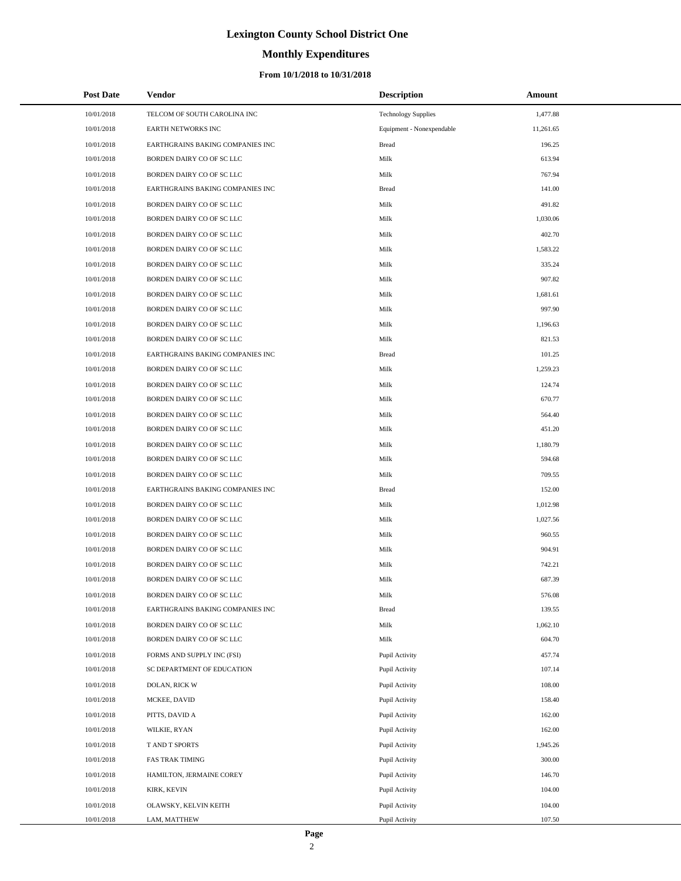# **Monthly Expenditures**

| <b>Post Date</b> | <b>Vendor</b>                    | <b>Description</b>         | <b>Amount</b> |
|------------------|----------------------------------|----------------------------|---------------|
| 10/01/2018       | TELCOM OF SOUTH CAROLINA INC     | <b>Technology Supplies</b> | 1,477.88      |
| 10/01/2018       | <b>EARTH NETWORKS INC</b>        | Equipment - Nonexpendable  | 11,261.65     |
| 10/01/2018       | EARTHGRAINS BAKING COMPANIES INC | <b>Bread</b>               | 196.25        |
| 10/01/2018       | BORDEN DAIRY CO OF SC LLC        | Milk                       | 613.94        |
| 10/01/2018       | BORDEN DAIRY CO OF SC LLC        | Milk                       | 767.94        |
| 10/01/2018       | EARTHGRAINS BAKING COMPANIES INC | <b>Bread</b>               | 141.00        |
| 10/01/2018       | BORDEN DAIRY CO OF SC LLC        | Milk                       | 491.82        |
| 10/01/2018       | BORDEN DAIRY CO OF SC LLC        | Milk                       | 1,030.06      |
| 10/01/2018       | BORDEN DAIRY CO OF SC LLC        | Milk                       | 402.70        |
| 10/01/2018       | BORDEN DAIRY CO OF SC LLC        | Milk                       | 1,583.22      |
| 10/01/2018       | BORDEN DAIRY CO OF SC LLC        | Milk                       | 335.24        |
| 10/01/2018       | BORDEN DAIRY CO OF SC LLC        | Milk                       | 907.82        |
| 10/01/2018       | BORDEN DAIRY CO OF SC LLC        | Milk                       | 1,681.61      |
| 10/01/2018       | BORDEN DAIRY CO OF SC LLC        | Milk                       | 997.90        |
| 10/01/2018       | BORDEN DAIRY CO OF SC LLC        | Milk                       | 1,196.63      |
| 10/01/2018       | BORDEN DAIRY CO OF SC LLC        | Milk                       | 821.53        |
| 10/01/2018       | EARTHGRAINS BAKING COMPANIES INC | <b>Bread</b>               | 101.25        |
| 10/01/2018       | BORDEN DAIRY CO OF SC LLC        | Milk                       | 1,259.23      |
| 10/01/2018       | BORDEN DAIRY CO OF SC LLC        | Milk                       | 124.74        |
| 10/01/2018       | BORDEN DAIRY CO OF SC LLC        | Milk                       | 670.77        |
| 10/01/2018       | BORDEN DAIRY CO OF SC LLC        | Milk                       | 564.40        |
| 10/01/2018       | BORDEN DAIRY CO OF SC LLC        | Milk                       | 451.20        |
| 10/01/2018       | BORDEN DAIRY CO OF SC LLC        | Milk                       | 1,180.79      |
| 10/01/2018       | BORDEN DAIRY CO OF SC LLC        | Milk                       | 594.68        |
| 10/01/2018       | BORDEN DAIRY CO OF SC LLC        | Milk                       | 709.55        |
| 10/01/2018       | EARTHGRAINS BAKING COMPANIES INC | <b>Bread</b>               | 152.00        |
| 10/01/2018       | BORDEN DAIRY CO OF SC LLC        | Milk                       | 1,012.98      |
| 10/01/2018       | BORDEN DAIRY CO OF SC LLC        | Milk                       | 1,027.56      |
| 10/01/2018       | BORDEN DAIRY CO OF SC LLC        | Milk                       | 960.55        |
| 10/01/2018       | BORDEN DAIRY CO OF SC LLC        | Milk                       | 904.91        |
| 10/01/2018       | BORDEN DAIRY CO OF SC LLC        | Milk                       | 742.21        |
| 10/01/2018       | BORDEN DAIRY CO OF SC LLC        | Milk                       | 687.39        |
| 10/01/2018       | BORDEN DAIRY CO OF SC LLC        | Milk                       | 576.08        |
| 10/01/2018       | EARTHGRAINS BAKING COMPANIES INC | <b>Bread</b>               | 139.55        |
| 10/01/2018       | BORDEN DAIRY CO OF SC LLC        | Milk                       | 1,062.10      |
| 10/01/2018       | BORDEN DAIRY CO OF SC LLC        | Milk                       | 604.70        |
| 10/01/2018       | FORMS AND SUPPLY INC (FSI)       | Pupil Activity             | 457.74        |
| 10/01/2018       | SC DEPARTMENT OF EDUCATION       | Pupil Activity             | 107.14        |
| 10/01/2018       | DOLAN, RICK W                    | Pupil Activity             | 108.00        |
| 10/01/2018       | MCKEE, DAVID                     | Pupil Activity             | 158.40        |
| 10/01/2018       | PITTS, DAVID A                   | Pupil Activity             | 162.00        |
| 10/01/2018       | WILKIE, RYAN                     | Pupil Activity             | 162.00        |
| 10/01/2018       | T AND T SPORTS                   | Pupil Activity             | 1,945.26      |
| 10/01/2018       | FAS TRAK TIMING                  | Pupil Activity             | 300.00        |
| 10/01/2018       | HAMILTON, JERMAINE COREY         | Pupil Activity             | 146.70        |
| 10/01/2018       | KIRK, KEVIN                      | Pupil Activity             | 104.00        |
| 10/01/2018       | OLAWSKY, KELVIN KEITH            | Pupil Activity             | 104.00        |
| 10/01/2018       | LAM, MATTHEW                     | Pupil Activity             | 107.50        |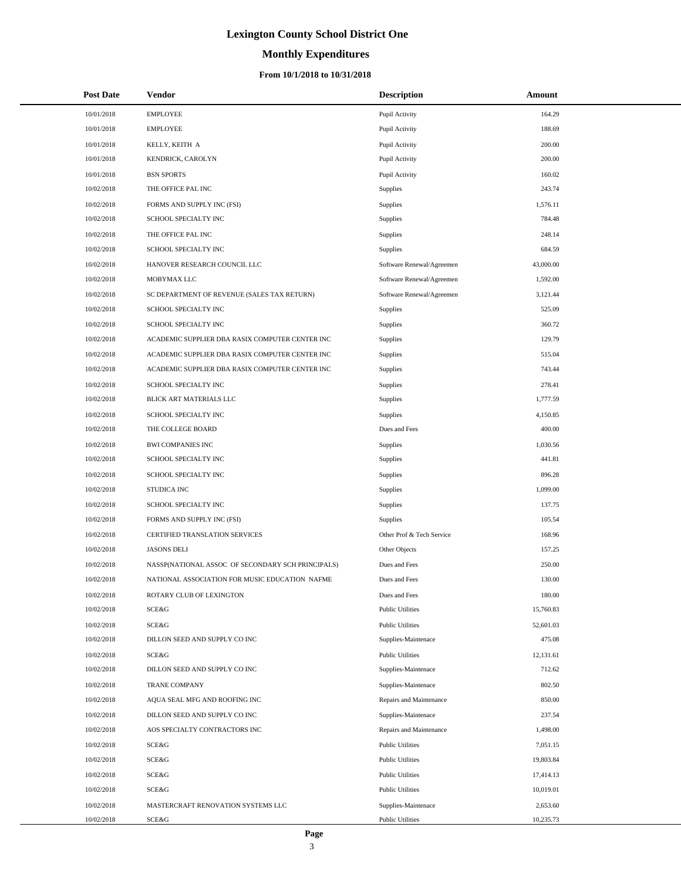# **Monthly Expenditures**

| <b>Post Date</b> | <b>Vendor</b>                                     | <b>Description</b>        | Amount    |
|------------------|---------------------------------------------------|---------------------------|-----------|
| 10/01/2018       | <b>EMPLOYEE</b>                                   | Pupil Activity            | 164.29    |
| 10/01/2018       | <b>EMPLOYEE</b>                                   | Pupil Activity            | 188.69    |
| 10/01/2018       | KELLY, KEITH A                                    | Pupil Activity            | 200.00    |
| 10/01/2018       | KENDRICK, CAROLYN                                 | Pupil Activity            | 200.00    |
| 10/01/2018       | <b>BSN SPORTS</b>                                 | Pupil Activity            | 160.02    |
| 10/02/2018       | THE OFFICE PAL INC                                | Supplies                  | 243.74    |
| 10/02/2018       | FORMS AND SUPPLY INC (FSI)                        | Supplies                  | 1,576.11  |
| 10/02/2018       | SCHOOL SPECIALTY INC                              | <b>Supplies</b>           | 784.48    |
| 10/02/2018       | THE OFFICE PAL INC                                | <b>Supplies</b>           | 248.14    |
| 10/02/2018       | SCHOOL SPECIALTY INC                              | <b>Supplies</b>           | 684.59    |
| 10/02/2018       | HANOVER RESEARCH COUNCIL LLC                      | Software Renewal/Agreemen | 43,000.00 |
| 10/02/2018       | MOBYMAX LLC                                       | Software Renewal/Agreemen | 1,592.00  |
| 10/02/2018       | SC DEPARTMENT OF REVENUE (SALES TAX RETURN)       | Software Renewal/Agreemen | 3,121.44  |
| 10/02/2018       | SCHOOL SPECIALTY INC                              | <b>Supplies</b>           | 525.09    |
| 10/02/2018       | SCHOOL SPECIALTY INC                              | Supplies                  | 360.72    |
| 10/02/2018       | ACADEMIC SUPPLIER DBA RASIX COMPUTER CENTER INC   | Supplies                  | 129.79    |
| 10/02/2018       | ACADEMIC SUPPLIER DBA RASIX COMPUTER CENTER INC   | Supplies                  | 515.04    |
| 10/02/2018       | ACADEMIC SUPPLIER DBA RASIX COMPUTER CENTER INC   | Supplies                  | 743.44    |
| 10/02/2018       | SCHOOL SPECIALTY INC                              | Supplies                  | 278.41    |
| 10/02/2018       | BLICK ART MATERIALS LLC                           | Supplies                  | 1,777.59  |
| 10/02/2018       | SCHOOL SPECIALTY INC                              | Supplies                  | 4,150.85  |
| 10/02/2018       | THE COLLEGE BOARD                                 | Dues and Fees             | 400.00    |
| 10/02/2018       | <b>BWI COMPANIES INC</b>                          | Supplies                  | 1,030.56  |
| 10/02/2018       | SCHOOL SPECIALTY INC                              | Supplies                  | 441.81    |
| 10/02/2018       | SCHOOL SPECIALTY INC                              | Supplies                  | 896.28    |
| 10/02/2018       | <b>STUDICA INC</b>                                | Supplies                  | 1,099.00  |
| 10/02/2018       | SCHOOL SPECIALTY INC                              | Supplies                  | 137.75    |
| 10/02/2018       | FORMS AND SUPPLY INC (FSI)                        | <b>Supplies</b>           | 105.54    |
| 10/02/2018       | CERTIFIED TRANSLATION SERVICES                    | Other Prof & Tech Service | 168.96    |
| 10/02/2018       | <b>JASONS DELI</b>                                | Other Objects             | 157.25    |
| 10/02/2018       | NASSP(NATIONAL ASSOC OF SECONDARY SCH PRINCIPALS) | Dues and Fees             | 250.00    |
| 10/02/2018       | NATIONAL ASSOCIATION FOR MUSIC EDUCATION NAFME    | Dues and Fees             | 130.00    |
| 10/02/2018       | ROTARY CLUB OF LEXINGTON                          | Dues and Fees             | 180.00    |
| 10/02/2018       | SCE&G                                             | <b>Public Utilities</b>   | 15,760.83 |
| 10/02/2018       | SCE&G                                             | <b>Public Utilities</b>   | 52,601.03 |
| 10/02/2018       | DILLON SEED AND SUPPLY CO INC                     | Supplies-Maintenace       | 475.08    |
| 10/02/2018       | SCE&G                                             | <b>Public Utilities</b>   | 12,131.61 |
| 10/02/2018       | DILLON SEED AND SUPPLY CO INC                     | Supplies-Maintenace       | 712.62    |
| 10/02/2018       | TRANE COMPANY                                     | Supplies-Maintenace       | 802.50    |
| 10/02/2018       | AQUA SEAL MFG AND ROOFING INC                     | Repairs and Maintenance   | 850.00    |
| 10/02/2018       | DILLON SEED AND SUPPLY CO INC                     | Supplies-Maintenace       | 237.54    |
| 10/02/2018       | AOS SPECIALTY CONTRACTORS INC                     | Repairs and Maintenance   | 1,498.00  |
| 10/02/2018       | SCE&G                                             | <b>Public Utilities</b>   | 7,051.15  |
| 10/02/2018       | SCE&G                                             | <b>Public Utilities</b>   | 19,803.84 |
| 10/02/2018       | SCE&G                                             | <b>Public Utilities</b>   | 17,414.13 |
| 10/02/2018       | SCE&G                                             | <b>Public Utilities</b>   | 10,019.01 |
| 10/02/2018       | MASTERCRAFT RENOVATION SYSTEMS LLC                | Supplies-Maintenace       | 2,653.60  |
| 10/02/2018       | SCE&G                                             | <b>Public Utilities</b>   | 10,235.73 |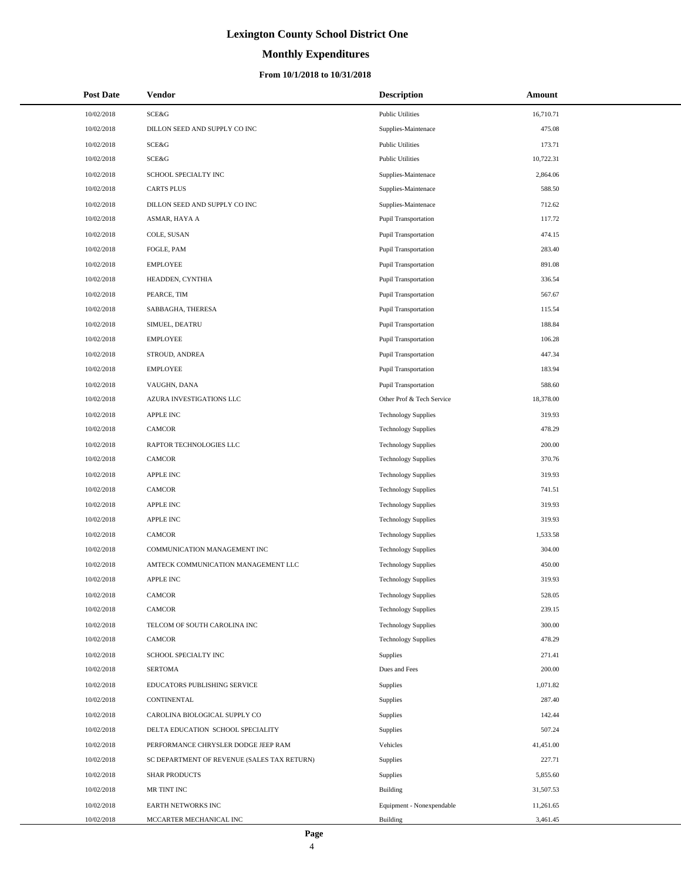# **Monthly Expenditures**

## **From 10/1/2018 to 10/31/2018**

| <b>Post Date</b> | <b>Vendor</b>                               | <b>Description</b>          | Amount    |
|------------------|---------------------------------------------|-----------------------------|-----------|
| 10/02/2018       | <b>SCE&amp;G</b>                            | <b>Public Utilities</b>     | 16,710.71 |
| 10/02/2018       | DILLON SEED AND SUPPLY CO INC               | Supplies-Maintenace         | 475.08    |
| 10/02/2018       | <b>SCE&amp;G</b>                            | <b>Public Utilities</b>     | 173.71    |
| 10/02/2018       | <b>SCE&amp;G</b>                            | <b>Public Utilities</b>     | 10,722.31 |
| 10/02/2018       | SCHOOL SPECIALTY INC                        | Supplies-Maintenace         | 2,864.06  |
| 10/02/2018       | <b>CARTS PLUS</b>                           | Supplies-Maintenace         | 588.50    |
| 10/02/2018       | DILLON SEED AND SUPPLY CO INC               | Supplies-Maintenace         | 712.62    |
| 10/02/2018       | ASMAR, HAYA A                               | Pupil Transportation        | 117.72    |
| 10/02/2018       | COLE, SUSAN                                 | <b>Pupil Transportation</b> | 474.15    |
| 10/02/2018       | FOGLE, PAM                                  | Pupil Transportation        | 283.40    |
| 10/02/2018       | <b>EMPLOYEE</b>                             | <b>Pupil Transportation</b> | 891.08    |
| 10/02/2018       | HEADDEN, CYNTHIA                            | Pupil Transportation        | 336.54    |
| 10/02/2018       | PEARCE, TIM                                 | <b>Pupil Transportation</b> | 567.67    |
| 10/02/2018       | SABBAGHA, THERESA                           | Pupil Transportation        | 115.54    |
| 10/02/2018       | SIMUEL, DEATRU                              | Pupil Transportation        | 188.84    |
| 10/02/2018       | <b>EMPLOYEE</b>                             | Pupil Transportation        | 106.28    |
| 10/02/2018       | STROUD, ANDREA                              | <b>Pupil Transportation</b> | 447.34    |
| 10/02/2018       | <b>EMPLOYEE</b>                             | Pupil Transportation        | 183.94    |
| 10/02/2018       | VAUGHN, DANA                                | Pupil Transportation        | 588.60    |
| 10/02/2018       | AZURA INVESTIGATIONS LLC                    | Other Prof & Tech Service   | 18,378.00 |
| 10/02/2018       | APPLE INC                                   | <b>Technology Supplies</b>  | 319.93    |
| 10/02/2018       | <b>CAMCOR</b>                               | <b>Technology Supplies</b>  | 478.29    |
| 10/02/2018       | RAPTOR TECHNOLOGIES LLC                     | <b>Technology Supplies</b>  | 200.00    |
| 10/02/2018       | <b>CAMCOR</b>                               | <b>Technology Supplies</b>  | 370.76    |
| 10/02/2018       | APPLE INC                                   | <b>Technology Supplies</b>  | 319.93    |
| 10/02/2018       | <b>CAMCOR</b>                               | <b>Technology Supplies</b>  | 741.51    |
| 10/02/2018       | APPLE INC                                   | <b>Technology Supplies</b>  | 319.93    |
| 10/02/2018       | <b>APPLE INC</b>                            | <b>Technology Supplies</b>  | 319.93    |
| 10/02/2018       | <b>CAMCOR</b>                               | <b>Technology Supplies</b>  | 1,533.58  |
| 10/02/2018       | COMMUNICATION MANAGEMENT INC                | <b>Technology Supplies</b>  | 304.00    |
| 10/02/2018       | AMTECK COMMUNICATION MANAGEMENT LLC         | <b>Technology Supplies</b>  | 450.00    |
| 10/02/2018       | <b>APPLE INC</b>                            | <b>Technology Supplies</b>  | 319.93    |
| 10/02/2018       | CAMCOR                                      | <b>Technology Supplies</b>  | 528.05    |
| 10/02/2018       | <b>CAMCOR</b>                               | <b>Technology Supplies</b>  | 239.15    |
| 10/02/2018       | TELCOM OF SOUTH CAROLINA INC                | <b>Technology Supplies</b>  | 300.00    |
| 10/02/2018       | <b>CAMCOR</b>                               | <b>Technology Supplies</b>  | 478.29    |
| 10/02/2018       | SCHOOL SPECIALTY INC                        | <b>Supplies</b>             | 271.41    |
| 10/02/2018       | <b>SERTOMA</b>                              | Dues and Fees               | 200.00    |
| 10/02/2018       | EDUCATORS PUBLISHING SERVICE                | <b>Supplies</b>             | 1,071.82  |
| 10/02/2018       | <b>CONTINENTAL</b>                          | <b>Supplies</b>             | 287.40    |
| 10/02/2018       | CAROLINA BIOLOGICAL SUPPLY CO               | <b>Supplies</b>             | 142.44    |
| 10/02/2018       | DELTA EDUCATION SCHOOL SPECIALITY           | <b>Supplies</b>             | 507.24    |
| 10/02/2018       | PERFORMANCE CHRYSLER DODGE JEEP RAM         | Vehicles                    | 41,451.00 |
| 10/02/2018       | SC DEPARTMENT OF REVENUE (SALES TAX RETURN) | Supplies                    | 227.71    |
| 10/02/2018       | <b>SHAR PRODUCTS</b>                        | Supplies                    | 5,855.60  |
| 10/02/2018       | MR TINT INC                                 | Building                    | 31,507.53 |
| 10/02/2018       | EARTH NETWORKS INC                          | Equipment - Nonexpendable   | 11,261.65 |
| 10/02/2018       | MCCARTER MECHANICAL INC                     | Building                    | 3,461.45  |

 $\overline{a}$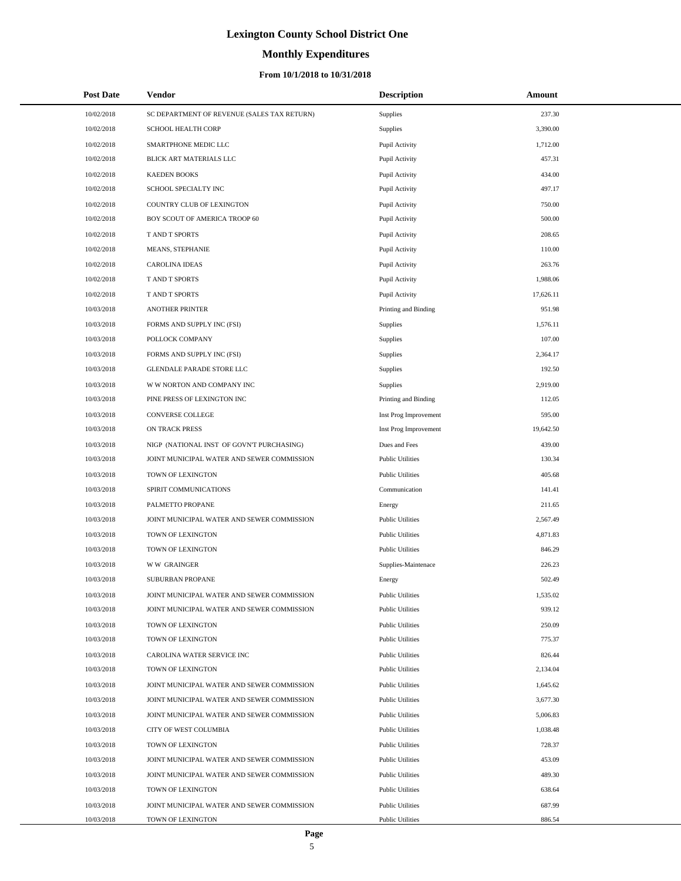# **Monthly Expenditures**

| <b>Post Date</b>         | Vendor                                                                                   | <b>Description</b>                                 | Amount               |
|--------------------------|------------------------------------------------------------------------------------------|----------------------------------------------------|----------------------|
| 10/02/2018               | SC DEPARTMENT OF REVENUE (SALES TAX RETURN)                                              | Supplies                                           | 237.30               |
| 10/02/2018               | <b>SCHOOL HEALTH CORP</b>                                                                | Supplies                                           | 3,390.00             |
| 10/02/2018               | SMARTPHONE MEDIC LLC                                                                     | Pupil Activity                                     | 1,712.00             |
| 10/02/2018               | BLICK ART MATERIALS LLC                                                                  | Pupil Activity                                     | 457.31               |
| 10/02/2018               | <b>KAEDEN BOOKS</b>                                                                      | Pupil Activity                                     | 434.00               |
| 10/02/2018               | SCHOOL SPECIALTY INC                                                                     | Pupil Activity                                     | 497.17               |
| 10/02/2018               | COUNTRY CLUB OF LEXINGTON                                                                | Pupil Activity                                     | 750.00               |
| 10/02/2018               | BOY SCOUT OF AMERICA TROOP 60                                                            | Pupil Activity                                     | 500.00               |
| 10/02/2018               | T AND T SPORTS                                                                           | Pupil Activity                                     | 208.65               |
| 10/02/2018               | <b>MEANS, STEPHANIE</b>                                                                  | Pupil Activity                                     | 110.00               |
| 10/02/2018               | <b>CAROLINA IDEAS</b>                                                                    | Pupil Activity                                     | 263.76               |
| 10/02/2018               | <b>T AND T SPORTS</b>                                                                    | Pupil Activity                                     | 1,988.06             |
| 10/02/2018               | <b>T AND T SPORTS</b>                                                                    | Pupil Activity                                     | 17,626.11            |
| 10/03/2018               | <b>ANOTHER PRINTER</b>                                                                   | Printing and Binding                               | 951.98               |
| 10/03/2018               | FORMS AND SUPPLY INC (FSI)                                                               | Supplies                                           | 1,576.11             |
| 10/03/2018               | POLLOCK COMPANY                                                                          | Supplies                                           | 107.00               |
| 10/03/2018               | FORMS AND SUPPLY INC (FSI)                                                               | Supplies                                           | 2.364.17             |
| 10/03/2018               | GLENDALE PARADE STORE LLC                                                                | Supplies                                           | 192.50               |
| 10/03/2018               | W W NORTON AND COMPANY INC                                                               | Supplies                                           | 2,919.00             |
| 10/03/2018               | PINE PRESS OF LEXINGTON INC                                                              | Printing and Binding                               | 112.05               |
| 10/03/2018               | CONVERSE COLLEGE                                                                         | Inst Prog Improvement                              | 595.00               |
| 10/03/2018               | ON TRACK PRESS                                                                           | Inst Prog Improvement                              | 19,642.50            |
| 10/03/2018               | NIGP (NATIONAL INST OF GOVN'T PURCHASING)                                                | Dues and Fees                                      | 439.00               |
| 10/03/2018               | JOINT MUNICIPAL WATER AND SEWER COMMISSION                                               | <b>Public Utilities</b>                            | 130.34               |
| 10/03/2018               | TOWN OF LEXINGTON                                                                        | <b>Public Utilities</b>                            | 405.68               |
| 10/03/2018               | SPIRIT COMMUNICATIONS                                                                    | Communication                                      | 141.41               |
| 10/03/2018               | PALMETTO PROPANE                                                                         | Energy                                             | 211.65               |
| 10/03/2018               | JOINT MUNICIPAL WATER AND SEWER COMMISSION                                               | <b>Public Utilities</b>                            | 2.567.49             |
| 10/03/2018               | TOWN OF LEXINGTON                                                                        | <b>Public Utilities</b>                            | 4,871.83             |
| 10/03/2018               | TOWN OF LEXINGTON                                                                        | <b>Public Utilities</b>                            | 846.29               |
| 10/03/2018               | <b>WW GRAINGER</b>                                                                       | Supplies-Maintenace                                | 226.23               |
| 10/03/2018               | <b>SUBURBAN PROPANE</b>                                                                  | Energy                                             | 502.49               |
| 10/03/2018               | JOINT MUNICIPAL WATER AND SEWER COMMISSION                                               | <b>Public Utilities</b>                            | 1,535.02             |
| 10/03/2018               | JOINT MUNICIPAL WATER AND SEWER COMMISSION                                               | <b>Public Utilities</b>                            | 939.12               |
| 10/03/2018               | TOWN OF LEXINGTON                                                                        | <b>Public Utilities</b>                            | 250.09               |
| 10/03/2018               | TOWN OF LEXINGTON                                                                        | <b>Public Utilities</b>                            | 775.37               |
| 10/03/2018               | CAROLINA WATER SERVICE INC                                                               | <b>Public Utilities</b>                            | 826.44               |
| 10/03/2018               | TOWN OF LEXINGTON                                                                        | <b>Public Utilities</b>                            | 2,134.04             |
| 10/03/2018<br>10/03/2018 | JOINT MUNICIPAL WATER AND SEWER COMMISSION<br>JOINT MUNICIPAL WATER AND SEWER COMMISSION | <b>Public Utilities</b><br><b>Public Utilities</b> | 1,645.62<br>3,677.30 |
|                          |                                                                                          |                                                    |                      |
| 10/03/2018<br>10/03/2018 | JOINT MUNICIPAL WATER AND SEWER COMMISSION<br>CITY OF WEST COLUMBIA                      | <b>Public Utilities</b><br><b>Public Utilities</b> | 5,006.83<br>1,038.48 |
|                          |                                                                                          | <b>Public Utilities</b>                            | 728.37               |
| 10/03/2018<br>10/03/2018 | TOWN OF LEXINGTON<br>JOINT MUNICIPAL WATER AND SEWER COMMISSION                          | <b>Public Utilities</b>                            | 453.09               |
| 10/03/2018               | JOINT MUNICIPAL WATER AND SEWER COMMISSION                                               | <b>Public Utilities</b>                            | 489.30               |
| 10/03/2018               | TOWN OF LEXINGTON                                                                        | <b>Public Utilities</b>                            | 638.64               |
| 10/03/2018               | JOINT MUNICIPAL WATER AND SEWER COMMISSION                                               | <b>Public Utilities</b>                            | 687.99               |
| 10/03/2018               | TOWN OF LEXINGTON                                                                        | <b>Public Utilities</b>                            | 886.54               |
|                          |                                                                                          |                                                    |                      |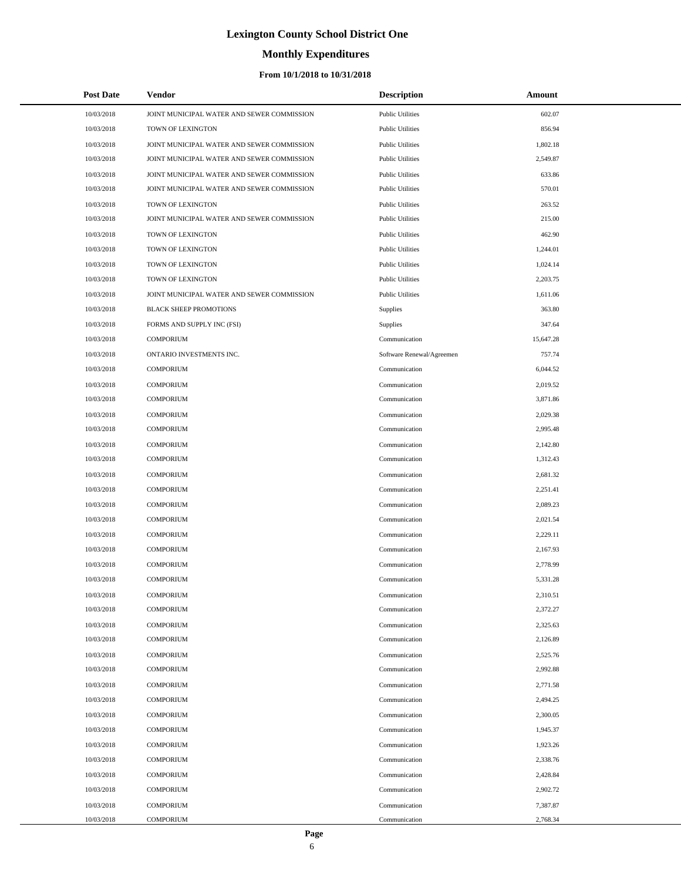# **Monthly Expenditures**

| <b>Post Date</b> | Vendor                                     | <b>Description</b>        | Amount    |
|------------------|--------------------------------------------|---------------------------|-----------|
| 10/03/2018       | JOINT MUNICIPAL WATER AND SEWER COMMISSION | <b>Public Utilities</b>   | 602.07    |
| 10/03/2018       | TOWN OF LEXINGTON                          | <b>Public Utilities</b>   | 856.94    |
| 10/03/2018       | JOINT MUNICIPAL WATER AND SEWER COMMISSION | <b>Public Utilities</b>   | 1,802.18  |
| 10/03/2018       | JOINT MUNICIPAL WATER AND SEWER COMMISSION | <b>Public Utilities</b>   | 2,549.87  |
| 10/03/2018       | JOINT MUNICIPAL WATER AND SEWER COMMISSION | <b>Public Utilities</b>   | 633.86    |
| 10/03/2018       | JOINT MUNICIPAL WATER AND SEWER COMMISSION | <b>Public Utilities</b>   | 570.01    |
| 10/03/2018       | TOWN OF LEXINGTON                          | <b>Public Utilities</b>   | 263.52    |
| 10/03/2018       | JOINT MUNICIPAL WATER AND SEWER COMMISSION | <b>Public Utilities</b>   | 215.00    |
| 10/03/2018       | TOWN OF LEXINGTON                          | <b>Public Utilities</b>   | 462.90    |
| 10/03/2018       | TOWN OF LEXINGTON                          | <b>Public Utilities</b>   | 1,244.01  |
| 10/03/2018       | TOWN OF LEXINGTON                          | <b>Public Utilities</b>   | 1,024.14  |
| 10/03/2018       | TOWN OF LEXINGTON                          | <b>Public Utilities</b>   | 2,203.75  |
| 10/03/2018       | JOINT MUNICIPAL WATER AND SEWER COMMISSION | <b>Public Utilities</b>   | 1,611.06  |
| 10/03/2018       | <b>BLACK SHEEP PROMOTIONS</b>              | Supplies                  | 363.80    |
| 10/03/2018       | FORMS AND SUPPLY INC (FSI)                 | <b>Supplies</b>           | 347.64    |
| 10/03/2018       | <b>COMPORIUM</b>                           | Communication             | 15,647.28 |
| 10/03/2018       | ONTARIO INVESTMENTS INC.                   | Software Renewal/Agreemen | 757.74    |
| 10/03/2018       | <b>COMPORIUM</b>                           | Communication             | 6,044.52  |
| 10/03/2018       | <b>COMPORIUM</b>                           | Communication             | 2,019.52  |
| 10/03/2018       | <b>COMPORIUM</b>                           | Communication             | 3,871.86  |
| 10/03/2018       | <b>COMPORIUM</b>                           | Communication             | 2,029.38  |
| 10/03/2018       | <b>COMPORIUM</b>                           | Communication             | 2,995.48  |
| 10/03/2018       | <b>COMPORIUM</b>                           | Communication             | 2,142.80  |
| 10/03/2018       | <b>COMPORIUM</b>                           | Communication             | 1,312.43  |
| 10/03/2018       | <b>COMPORIUM</b>                           | Communication             | 2,681.32  |
| 10/03/2018       | <b>COMPORIUM</b>                           | Communication             | 2,251.41  |
| 10/03/2018       | <b>COMPORIUM</b>                           | Communication             | 2,089.23  |
| 10/03/2018       | <b>COMPORIUM</b>                           | Communication             | 2,021.54  |
| 10/03/2018       | <b>COMPORIUM</b>                           | Communication             | 2,229.11  |
| 10/03/2018       | <b>COMPORIUM</b>                           | Communication             | 2,167.93  |
| 10/03/2018       | <b>COMPORIUM</b>                           | Communication             | 2,778.99  |
| 10/03/2018       | <b>COMPORIUM</b>                           | Communication             | 5,331.28  |
| 10/03/2018       | COMPORIUM                                  | Communication             | 2,310.51  |
| 10/03/2018       | <b>COMPORIUM</b>                           | Communication             | 2,372.27  |
| 10/03/2018       | <b>COMPORIUM</b>                           | Communication             | 2,325.63  |
| 10/03/2018       | <b>COMPORIUM</b>                           | Communication             | 2,126.89  |
| 10/03/2018       | <b>COMPORIUM</b>                           | Communication             | 2,525.76  |
| 10/03/2018       | <b>COMPORIUM</b>                           | Communication             | 2,992.88  |
| 10/03/2018       | <b>COMPORIUM</b>                           | Communication             | 2,771.58  |
| 10/03/2018       | <b>COMPORIUM</b>                           | Communication             | 2,494.25  |
| 10/03/2018       | <b>COMPORIUM</b>                           | Communication             | 2,300.05  |
| 10/03/2018       | <b>COMPORIUM</b>                           | Communication             | 1,945.37  |
| 10/03/2018       | <b>COMPORIUM</b>                           | Communication             | 1,923.26  |
| 10/03/2018       | <b>COMPORIUM</b>                           | Communication             | 2,338.76  |
| 10/03/2018       | <b>COMPORIUM</b>                           | Communication             | 2,428.84  |
| 10/03/2018       | <b>COMPORIUM</b>                           | Communication             | 2,902.72  |
| 10/03/2018       | <b>COMPORIUM</b>                           | Communication             | 7,387.87  |
| 10/03/2018       | COMPORIUM                                  | Communication             | 2,768.34  |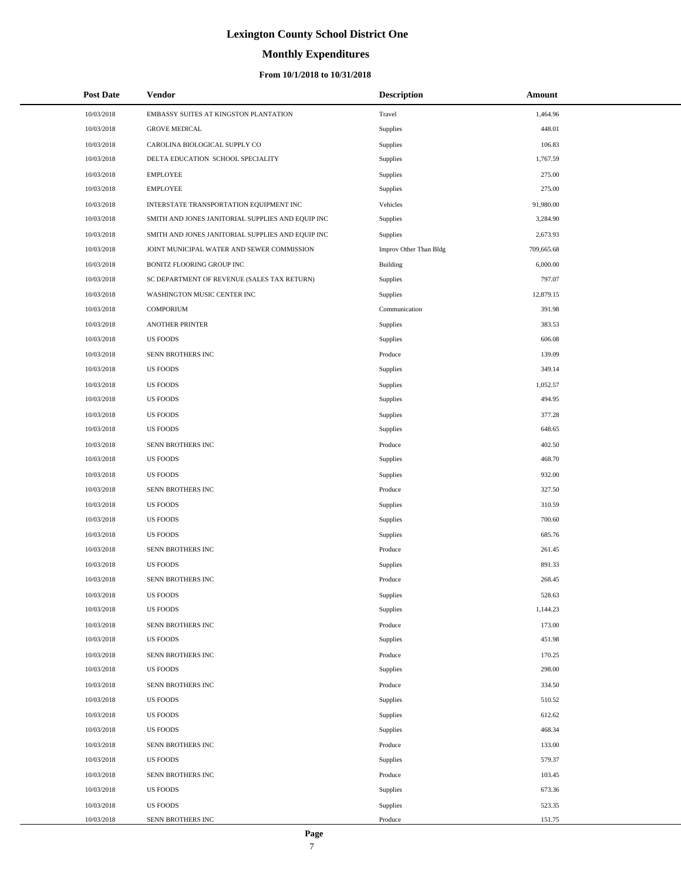# **Monthly Expenditures**

## **From 10/1/2018 to 10/31/2018**

| <b>Post Date</b> | Vendor                                            | <b>Description</b>     | Amount     |
|------------------|---------------------------------------------------|------------------------|------------|
| 10/03/2018       | EMBASSY SUITES AT KINGSTON PLANTATION             | Travel                 | 1,464.96   |
| 10/03/2018       | <b>GROVE MEDICAL</b>                              | Supplies               | 448.01     |
| 10/03/2018       | CAROLINA BIOLOGICAL SUPPLY CO                     | Supplies               | 106.83     |
| 10/03/2018       | DELTA EDUCATION SCHOOL SPECIALITY                 | Supplies               | 1,767.59   |
| 10/03/2018       | <b>EMPLOYEE</b>                                   | Supplies               | 275.00     |
| 10/03/2018       | <b>EMPLOYEE</b>                                   | Supplies               | 275.00     |
| 10/03/2018       | INTERSTATE TRANSPORTATION EQUIPMENT INC           | Vehicles               | 91,980.00  |
| 10/03/2018       | SMITH AND JONES JANITORIAL SUPPLIES AND EQUIP INC | Supplies               | 3,284.90   |
| 10/03/2018       | SMITH AND JONES JANITORIAL SUPPLIES AND EQUIP INC | Supplies               | 2,673.93   |
| 10/03/2018       | JOINT MUNICIPAL WATER AND SEWER COMMISSION        | Improv Other Than Bldg | 709,665.68 |
| 10/03/2018       | BONITZ FLOORING GROUP INC                         | Building               | 6,000.00   |
| 10/03/2018       | SC DEPARTMENT OF REVENUE (SALES TAX RETURN)       | Supplies               | 797.07     |
| 10/03/2018       | WASHINGTON MUSIC CENTER INC                       | Supplies               | 12,879.15  |
| 10/03/2018       | <b>COMPORIUM</b>                                  | Communication          | 391.98     |
| 10/03/2018       | <b>ANOTHER PRINTER</b>                            | Supplies               | 383.53     |
| 10/03/2018       | <b>US FOODS</b>                                   | <b>Supplies</b>        | 606.08     |
| 10/03/2018       | SENN BROTHERS INC                                 | Produce                | 139.09     |
| 10/03/2018       | <b>US FOODS</b>                                   | Supplies               | 349.14     |
| 10/03/2018       | <b>US FOODS</b>                                   | <b>Supplies</b>        | 1,052.57   |
| 10/03/2018       | <b>US FOODS</b>                                   | <b>Supplies</b>        | 494.95     |
| 10/03/2018       | <b>US FOODS</b>                                   | Supplies               | 377.28     |
| 10/03/2018       | <b>US FOODS</b>                                   | Supplies               | 648.65     |
| 10/03/2018       | SENN BROTHERS INC                                 | Produce                | 402.50     |
| 10/03/2018       | <b>US FOODS</b>                                   | Supplies               | 468.70     |
| 10/03/2018       | US FOODS                                          | <b>Supplies</b>        | 932.00     |
| 10/03/2018       | SENN BROTHERS INC                                 | Produce                | 327.50     |
| 10/03/2018       | <b>US FOODS</b>                                   | <b>Supplies</b>        | 310.59     |
| 10/03/2018       | <b>US FOODS</b>                                   | Supplies               | 700.60     |
| 10/03/2018       | <b>US FOODS</b>                                   | Supplies               | 685.76     |
| 10/03/2018       | SENN BROTHERS INC                                 | Produce                | 261.45     |
| 10/03/2018       | <b>US FOODS</b>                                   | Supplies               | 891.33     |
| 10/03/2018       | SENN BROTHERS INC                                 | Produce                | 268.45     |
| 10/03/2018       | US FOODS                                          | Supplies               | 528.63     |
| 10/03/2018       | <b>US FOODS</b>                                   | Supplies               | 1,144.23   |
| 10/03/2018       | SENN BROTHERS INC                                 | Produce                | 173.00     |
| 10/03/2018       | <b>US FOODS</b>                                   | Supplies               | 451.98     |
| 10/03/2018       | SENN BROTHERS INC                                 | Produce                | 170.25     |
| 10/03/2018       | <b>US FOODS</b>                                   | Supplies               | 298.00     |
| 10/03/2018       | SENN BROTHERS INC                                 | Produce                | 334.50     |
| 10/03/2018       | <b>US FOODS</b>                                   | Supplies               | 510.52     |
| 10/03/2018       | <b>US FOODS</b>                                   | Supplies               | 612.62     |
| 10/03/2018       | <b>US FOODS</b>                                   | Supplies               | 468.34     |
| 10/03/2018       | SENN BROTHERS INC                                 | Produce                | 133.00     |
| 10/03/2018       | <b>US FOODS</b>                                   | Supplies               | 579.37     |
| 10/03/2018       | SENN BROTHERS INC                                 | Produce                | 103.45     |
| 10/03/2018       | US FOODS                                          | Supplies               | 673.36     |
| 10/03/2018       | <b>US FOODS</b>                                   | Supplies               | 523.35     |
| 10/03/2018       | SENN BROTHERS INC                                 | Produce                | 151.75     |

 $\overline{a}$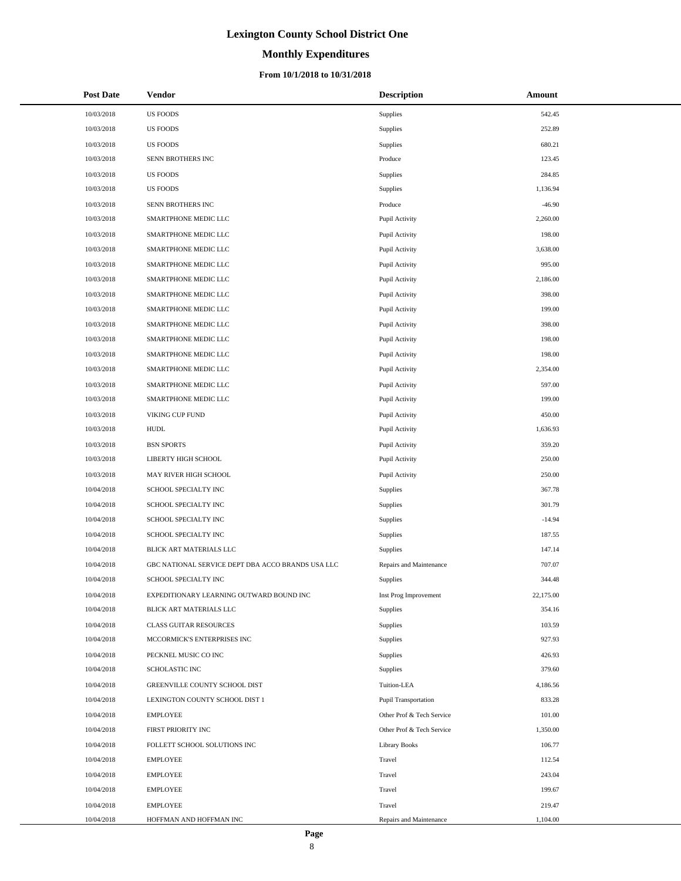# **Monthly Expenditures**

| <b>Post Date</b> | Vendor                                            | <b>Description</b>          | Amount    |
|------------------|---------------------------------------------------|-----------------------------|-----------|
| 10/03/2018       | <b>US FOODS</b>                                   | <b>Supplies</b>             | 542.45    |
| 10/03/2018       | <b>US FOODS</b>                                   | Supplies                    | 252.89    |
| 10/03/2018       | <b>US FOODS</b>                                   | Supplies                    | 680.21    |
| 10/03/2018       | SENN BROTHERS INC                                 | Produce                     | 123.45    |
| 10/03/2018       | <b>US FOODS</b>                                   | Supplies                    | 284.85    |
| 10/03/2018       | <b>US FOODS</b>                                   | Supplies                    | 1,136.94  |
| 10/03/2018       | SENN BROTHERS INC                                 | Produce                     | $-46.90$  |
| 10/03/2018       | SMARTPHONE MEDIC LLC                              | Pupil Activity              | 2,260.00  |
| 10/03/2018       | SMARTPHONE MEDIC LLC                              | Pupil Activity              | 198.00    |
| 10/03/2018       | SMARTPHONE MEDIC LLC                              | Pupil Activity              | 3,638.00  |
| 10/03/2018       | SMARTPHONE MEDIC LLC                              | Pupil Activity              | 995.00    |
| 10/03/2018       | SMARTPHONE MEDIC LLC                              | Pupil Activity              | 2,186.00  |
| 10/03/2018       | SMARTPHONE MEDIC LLC                              | Pupil Activity              | 398.00    |
| 10/03/2018       | SMARTPHONE MEDIC LLC                              | Pupil Activity              | 199.00    |
| 10/03/2018       | SMARTPHONE MEDIC LLC                              | Pupil Activity              | 398.00    |
| 10/03/2018       | SMARTPHONE MEDIC LLC                              | Pupil Activity              | 198.00    |
| 10/03/2018       | SMARTPHONE MEDIC LLC                              | Pupil Activity              | 198.00    |
| 10/03/2018       | SMARTPHONE MEDIC LLC                              | Pupil Activity              | 2,354.00  |
| 10/03/2018       | SMARTPHONE MEDIC LLC                              | Pupil Activity              | 597.00    |
| 10/03/2018       | SMARTPHONE MEDIC LLC                              | Pupil Activity              | 199.00    |
| 10/03/2018       | VIKING CUP FUND                                   | Pupil Activity              | 450.00    |
| 10/03/2018       | <b>HUDL</b>                                       | Pupil Activity              | 1,636.93  |
| 10/03/2018       | <b>BSN SPORTS</b>                                 | Pupil Activity              | 359.20    |
| 10/03/2018       | LIBERTY HIGH SCHOOL                               | Pupil Activity              | 250.00    |
| 10/03/2018       | MAY RIVER HIGH SCHOOL                             | Pupil Activity              | 250.00    |
| 10/04/2018       | SCHOOL SPECIALTY INC                              | Supplies                    | 367.78    |
| 10/04/2018       | SCHOOL SPECIALTY INC                              | Supplies                    | 301.79    |
| 10/04/2018       | SCHOOL SPECIALTY INC                              | Supplies                    | $-14.94$  |
| 10/04/2018       | SCHOOL SPECIALTY INC                              | Supplies                    | 187.55    |
| 10/04/2018       | BLICK ART MATERIALS LLC                           | Supplies                    | 147.14    |
| 10/04/2018       | GBC NATIONAL SERVICE DEPT DBA ACCO BRANDS USA LLC | Repairs and Maintenance     | 707.07    |
| 10/04/2018       | SCHOOL SPECIALTY INC                              | Supplies                    | 344.48    |
| 10/04/2018       | EXPEDITIONARY LEARNING OUTWARD BOUND INC          | Inst Prog Improvement       | 22,175.00 |
| 10/04/2018       | BLICK ART MATERIALS LLC                           | Supplies                    | 354.16    |
| 10/04/2018       | <b>CLASS GUITAR RESOURCES</b>                     | Supplies                    | 103.59    |
| 10/04/2018       | MCCORMICK'S ENTERPRISES INC                       | Supplies                    | 927.93    |
| 10/04/2018       | PECKNEL MUSIC CO INC                              | Supplies                    | 426.93    |
| 10/04/2018       | SCHOLASTIC INC                                    | Supplies                    | 379.60    |
| 10/04/2018       | GREENVILLE COUNTY SCHOOL DIST                     | Tuition-LEA                 | 4,186.56  |
| 10/04/2018       | LEXINGTON COUNTY SCHOOL DIST 1                    | <b>Pupil Transportation</b> | 833.28    |
| 10/04/2018       | <b>EMPLOYEE</b>                                   | Other Prof & Tech Service   | 101.00    |
| 10/04/2018       | FIRST PRIORITY INC                                | Other Prof & Tech Service   | 1,350.00  |
| 10/04/2018       | FOLLETT SCHOOL SOLUTIONS INC                      | Library Books               | 106.77    |
| 10/04/2018       | <b>EMPLOYEE</b>                                   | Travel                      | 112.54    |
| 10/04/2018       | <b>EMPLOYEE</b>                                   | Travel                      | 243.04    |
| 10/04/2018       | <b>EMPLOYEE</b>                                   | Travel                      | 199.67    |
| 10/04/2018       | <b>EMPLOYEE</b>                                   | Travel                      | 219.47    |
| 10/04/2018       | HOFFMAN AND HOFFMAN INC                           | Repairs and Maintenance     | 1,104.00  |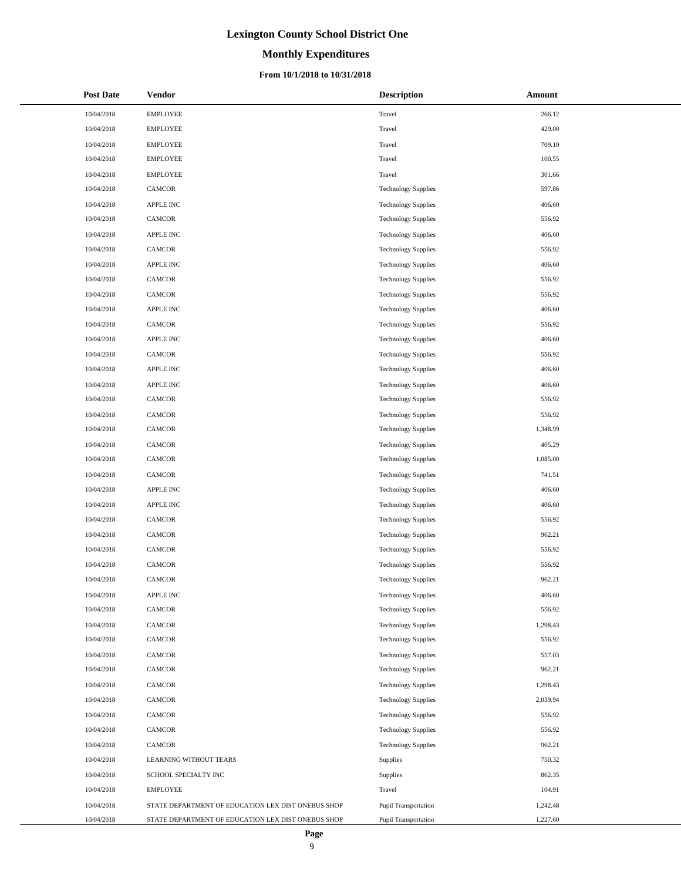# **Monthly Expenditures**

| <b>Post Date</b> | Vendor                                             | <b>Description</b>          | Amount   |
|------------------|----------------------------------------------------|-----------------------------|----------|
| 10/04/2018       | <b>EMPLOYEE</b>                                    | Travel                      | 266.12   |
| 10/04/2018       | <b>EMPLOYEE</b>                                    | Travel                      | 429.00   |
| 10/04/2018       | <b>EMPLOYEE</b>                                    | Travel                      | 709.10   |
| 10/04/2018       | <b>EMPLOYEE</b>                                    | Travel                      | 100.55   |
| 10/04/2018       | <b>EMPLOYEE</b>                                    | Travel                      | 301.66   |
| 10/04/2018       | <b>CAMCOR</b>                                      | <b>Technology Supplies</b>  | 597.86   |
| 10/04/2018       | APPLE INC                                          | <b>Technology Supplies</b>  | 406.60   |
| 10/04/2018       | CAMCOR                                             | <b>Technology Supplies</b>  | 556.92   |
| 10/04/2018       | <b>APPLE INC</b>                                   | <b>Technology Supplies</b>  | 406.60   |
| 10/04/2018       | CAMCOR                                             | <b>Technology Supplies</b>  | 556.92   |
| 10/04/2018       | APPLE INC                                          | <b>Technology Supplies</b>  | 406.60   |
| 10/04/2018       | <b>CAMCOR</b>                                      | <b>Technology Supplies</b>  | 556.92   |
| 10/04/2018       | <b>CAMCOR</b>                                      | <b>Technology Supplies</b>  | 556.92   |
| 10/04/2018       | APPLE INC                                          | <b>Technology Supplies</b>  | 406.60   |
| 10/04/2018       | CAMCOR                                             | <b>Technology Supplies</b>  | 556.92   |
| 10/04/2018       | APPLE INC                                          | <b>Technology Supplies</b>  | 406.60   |
| 10/04/2018       | CAMCOR                                             | <b>Technology Supplies</b>  | 556.92   |
| 10/04/2018       | <b>APPLE INC</b>                                   | <b>Technology Supplies</b>  | 406.60   |
| 10/04/2018       | <b>APPLE INC</b>                                   | <b>Technology Supplies</b>  | 406.60   |
| 10/04/2018       | <b>CAMCOR</b>                                      | <b>Technology Supplies</b>  | 556.92   |
| 10/04/2018       | <b>CAMCOR</b>                                      | <b>Technology Supplies</b>  | 556.92   |
| 10/04/2018       | <b>CAMCOR</b>                                      | <b>Technology Supplies</b>  | 1,348.99 |
| 10/04/2018       | <b>CAMCOR</b>                                      | <b>Technology Supplies</b>  | 405.29   |
| 10/04/2018       | <b>CAMCOR</b>                                      | <b>Technology Supplies</b>  | 1,085.00 |
| 10/04/2018       | CAMCOR                                             | <b>Technology Supplies</b>  | 741.51   |
| 10/04/2018       | <b>APPLE INC</b>                                   | <b>Technology Supplies</b>  | 406.60   |
| 10/04/2018       | <b>APPLE INC</b>                                   | <b>Technology Supplies</b>  | 406.60   |
| 10/04/2018       | <b>CAMCOR</b>                                      | <b>Technology Supplies</b>  | 556.92   |
| 10/04/2018       | CAMCOR                                             | <b>Technology Supplies</b>  | 962.21   |
| 10/04/2018       | <b>CAMCOR</b>                                      | <b>Technology Supplies</b>  | 556.92   |
| 10/04/2018       | CAMCOR                                             | <b>Technology Supplies</b>  | 556.92   |
| 10/04/2018       | CAMCOR                                             | <b>Technology Supplies</b>  | 962.21   |
| 10/04/2018       | APPLE INC                                          | <b>Technology Supplies</b>  | 406.60   |
| 10/04/2018       | <b>CAMCOR</b>                                      | <b>Technology Supplies</b>  | 556.92   |
| 10/04/2018       | CAMCOR                                             | <b>Technology Supplies</b>  | 1,298.43 |
| 10/04/2018       | CAMCOR                                             | <b>Technology Supplies</b>  | 556.92   |
| 10/04/2018       | CAMCOR                                             | <b>Technology Supplies</b>  | 557.03   |
| 10/04/2018       | <b>CAMCOR</b>                                      | <b>Technology Supplies</b>  | 962.21   |
| 10/04/2018       | CAMCOR                                             | <b>Technology Supplies</b>  | 1,298.43 |
| 10/04/2018       | CAMCOR                                             | <b>Technology Supplies</b>  | 2,039.94 |
| 10/04/2018       | <b>CAMCOR</b>                                      | <b>Technology Supplies</b>  | 556.92   |
| 10/04/2018       | CAMCOR                                             | <b>Technology Supplies</b>  | 556.92   |
| 10/04/2018       | CAMCOR                                             | <b>Technology Supplies</b>  | 962.21   |
| 10/04/2018       | LEARNING WITHOUT TEARS                             | Supplies                    | 750.32   |
| 10/04/2018       | SCHOOL SPECIALTY INC                               | Supplies                    | 862.35   |
| 10/04/2018       | <b>EMPLOYEE</b>                                    | Travel                      | 104.91   |
| 10/04/2018       | STATE DEPARTMENT OF EDUCATION LEX DIST ONEBUS SHOP | Pupil Transportation        | 1,242.48 |
| 10/04/2018       | STATE DEPARTMENT OF EDUCATION LEX DIST ONEBUS SHOP | <b>Pupil Transportation</b> | 1,227.60 |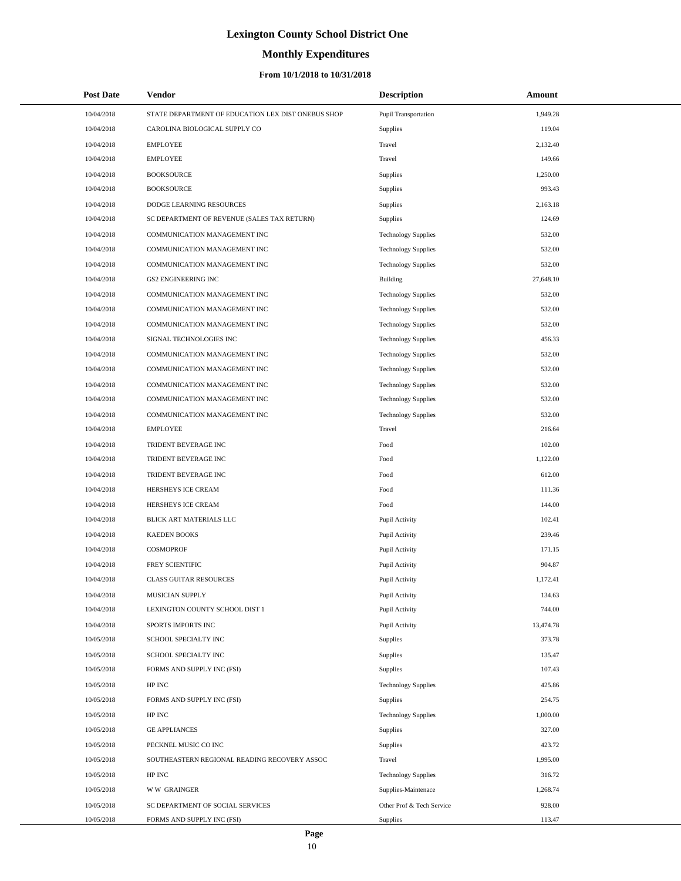# **Monthly Expenditures**

## **From 10/1/2018 to 10/31/2018**

| <b>Post Date</b> | Vendor                                             | <b>Description</b>         | Amount    |  |
|------------------|----------------------------------------------------|----------------------------|-----------|--|
| 10/04/2018       | STATE DEPARTMENT OF EDUCATION LEX DIST ONEBUS SHOP | Pupil Transportation       | 1,949.28  |  |
| 10/04/2018       | CAROLINA BIOLOGICAL SUPPLY CO                      | <b>Supplies</b>            | 119.04    |  |
| 10/04/2018       | <b>EMPLOYEE</b>                                    | Travel                     | 2,132.40  |  |
| 10/04/2018       | <b>EMPLOYEE</b>                                    | Travel                     | 149.66    |  |
| 10/04/2018       | <b>BOOKSOURCE</b>                                  | <b>Supplies</b>            | 1,250.00  |  |
| 10/04/2018       | <b>BOOKSOURCE</b>                                  | Supplies                   | 993.43    |  |
| 10/04/2018       | DODGE LEARNING RESOURCES                           | Supplies                   | 2,163.18  |  |
| 10/04/2018       | SC DEPARTMENT OF REVENUE (SALES TAX RETURN)        | Supplies                   | 124.69    |  |
| 10/04/2018       | COMMUNICATION MANAGEMENT INC                       | <b>Technology Supplies</b> | 532.00    |  |
| 10/04/2018       | COMMUNICATION MANAGEMENT INC                       | <b>Technology Supplies</b> | 532.00    |  |
| 10/04/2018       | COMMUNICATION MANAGEMENT INC                       | <b>Technology Supplies</b> | 532.00    |  |
| 10/04/2018       | <b>GS2 ENGINEERING INC</b>                         | <b>Building</b>            | 27,648.10 |  |
| 10/04/2018       | COMMUNICATION MANAGEMENT INC                       | <b>Technology Supplies</b> | 532.00    |  |
| 10/04/2018       | COMMUNICATION MANAGEMENT INC                       | <b>Technology Supplies</b> | 532.00    |  |
| 10/04/2018       | COMMUNICATION MANAGEMENT INC                       | <b>Technology Supplies</b> | 532.00    |  |
| 10/04/2018       | SIGNAL TECHNOLOGIES INC                            | <b>Technology Supplies</b> | 456.33    |  |
| 10/04/2018       | COMMUNICATION MANAGEMENT INC                       | <b>Technology Supplies</b> | 532.00    |  |
| 10/04/2018       | COMMUNICATION MANAGEMENT INC                       | <b>Technology Supplies</b> | 532.00    |  |
| 10/04/2018       | COMMUNICATION MANAGEMENT INC                       | <b>Technology Supplies</b> | 532.00    |  |
| 10/04/2018       | COMMUNICATION MANAGEMENT INC                       | <b>Technology Supplies</b> | 532.00    |  |
| 10/04/2018       | COMMUNICATION MANAGEMENT INC                       | <b>Technology Supplies</b> | 532.00    |  |
| 10/04/2018       | <b>EMPLOYEE</b>                                    | Travel                     | 216.64    |  |
| 10/04/2018       | TRIDENT BEVERAGE INC                               | Food                       | 102.00    |  |
| 10/04/2018       | TRIDENT BEVERAGE INC                               | Food                       | 1,122.00  |  |
| 10/04/2018       | TRIDENT BEVERAGE INC                               | Food                       | 612.00    |  |
| 10/04/2018       | HERSHEYS ICE CREAM                                 | Food                       | 111.36    |  |
| 10/04/2018       | HERSHEYS ICE CREAM                                 | Food                       | 144.00    |  |
| 10/04/2018       | BLICK ART MATERIALS LLC                            | Pupil Activity             | 102.41    |  |
| 10/04/2018       | <b>KAEDEN BOOKS</b>                                | Pupil Activity             | 239.46    |  |
| 10/04/2018       | <b>COSMOPROF</b>                                   | Pupil Activity             | 171.15    |  |
| 10/04/2018       | FREY SCIENTIFIC                                    | Pupil Activity             | 904.87    |  |
| 10/04/2018       | <b>CLASS GUITAR RESOURCES</b>                      | Pupil Activity             | 1,172.41  |  |
| 10/04/2018       | MUSICIAN SUPPLY                                    | Pupil Activity             | 134.63    |  |
| 10/04/2018       | LEXINGTON COUNTY SCHOOL DIST 1                     | Pupil Activity             | 744.00    |  |
| 10/04/2018       | SPORTS IMPORTS INC                                 | Pupil Activity             | 13,474.78 |  |
| 10/05/2018       | SCHOOL SPECIALTY INC                               | Supplies                   | 373.78    |  |
| 10/05/2018       | SCHOOL SPECIALTY INC                               | Supplies                   | 135.47    |  |
| 10/05/2018       | FORMS AND SUPPLY INC (FSI)                         | Supplies                   | 107.43    |  |
| 10/05/2018       | HP INC                                             | <b>Technology Supplies</b> | 425.86    |  |
| 10/05/2018       | FORMS AND SUPPLY INC (FSI)                         | Supplies                   | 254.75    |  |
| 10/05/2018       | HP INC                                             | <b>Technology Supplies</b> | 1,000.00  |  |
| 10/05/2018       | <b>GE APPLIANCES</b>                               | Supplies                   | 327.00    |  |
| 10/05/2018       | PECKNEL MUSIC CO INC                               | Supplies                   | 423.72    |  |
| 10/05/2018       | SOUTHEASTERN REGIONAL READING RECOVERY ASSOC       | Travel                     | 1,995.00  |  |
| 10/05/2018       | HP INC                                             | <b>Technology Supplies</b> | 316.72    |  |
| 10/05/2018       | <b>WW GRAINGER</b>                                 | Supplies-Maintenace        | 1,268.74  |  |
| 10/05/2018       | SC DEPARTMENT OF SOCIAL SERVICES                   | Other Prof & Tech Service  | 928.00    |  |
| 10/05/2018       | FORMS AND SUPPLY INC (FSI)                         | Supplies                   | 113.47    |  |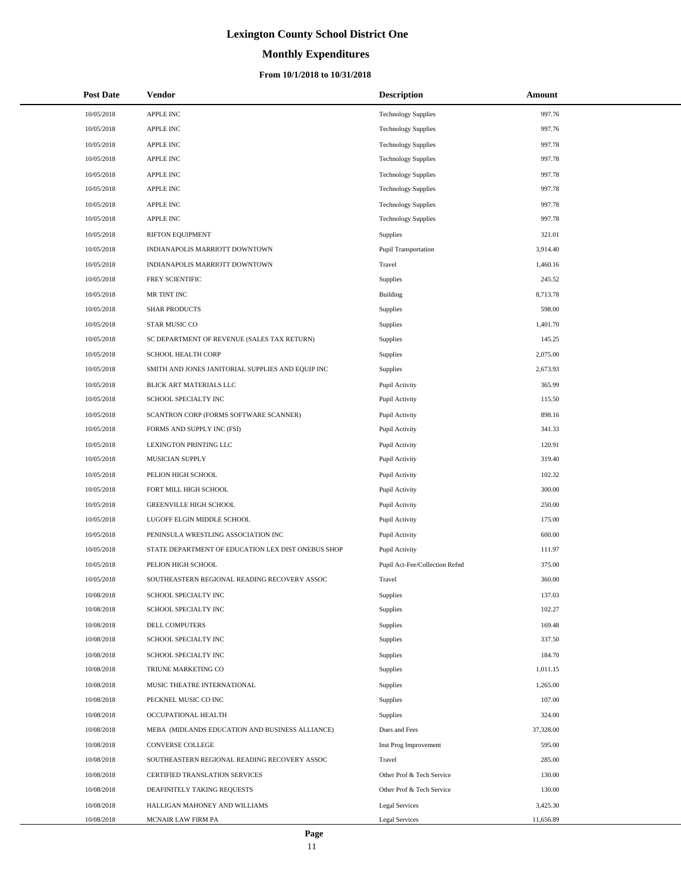# **Monthly Expenditures**

## **From 10/1/2018 to 10/31/2018**

| <b>Post Date</b> | Vendor                                             | <b>Description</b>             | Amount    |
|------------------|----------------------------------------------------|--------------------------------|-----------|
| 10/05/2018       | APPLE INC                                          | <b>Technology Supplies</b>     | 997.76    |
| 10/05/2018       | <b>APPLE INC</b>                                   | <b>Technology Supplies</b>     | 997.76    |
| 10/05/2018       | APPLE INC                                          | <b>Technology Supplies</b>     | 997.78    |
| 10/05/2018       | <b>APPLE INC</b>                                   | <b>Technology Supplies</b>     | 997.78    |
| 10/05/2018       | APPLE INC                                          | <b>Technology Supplies</b>     | 997.78    |
| 10/05/2018       | <b>APPLE INC</b>                                   | <b>Technology Supplies</b>     | 997.78    |
| 10/05/2018       | APPLE INC                                          | <b>Technology Supplies</b>     | 997.78    |
| 10/05/2018       | <b>APPLE INC</b>                                   | <b>Technology Supplies</b>     | 997.78    |
| 10/05/2018       | RIFTON EQUIPMENT                                   | Supplies                       | 321.01    |
| 10/05/2018       | INDIANAPOLIS MARRIOTT DOWNTOWN                     | <b>Pupil Transportation</b>    | 3,914.40  |
| 10/05/2018       | INDIANAPOLIS MARRIOTT DOWNTOWN                     | Travel                         | 1,460.16  |
| 10/05/2018       | FREY SCIENTIFIC                                    | Supplies                       | 245.52    |
| 10/05/2018       | MR TINT INC                                        | <b>Building</b>                | 8,713.78  |
| 10/05/2018       | <b>SHAR PRODUCTS</b>                               | Supplies                       | 598.00    |
| 10/05/2018       | STAR MUSIC CO                                      | Supplies                       | 1,401.70  |
| 10/05/2018       | SC DEPARTMENT OF REVENUE (SALES TAX RETURN)        | Supplies                       | 145.25    |
| 10/05/2018       | SCHOOL HEALTH CORP                                 | Supplies                       | 2,075.00  |
| 10/05/2018       | SMITH AND JONES JANITORIAL SUPPLIES AND EQUIP INC  | Supplies                       | 2,673.93  |
| 10/05/2018       | BLICK ART MATERIALS LLC                            | Pupil Activity                 | 365.99    |
| 10/05/2018       | SCHOOL SPECIALTY INC                               | Pupil Activity                 | 115.50    |
| 10/05/2018       | SCANTRON CORP (FORMS SOFTWARE SCANNER)             | Pupil Activity                 | 898.16    |
| 10/05/2018       | FORMS AND SUPPLY INC (FSI)                         | Pupil Activity                 | 341.33    |
| 10/05/2018       | LEXINGTON PRINTING LLC                             | Pupil Activity                 | 120.91    |
| 10/05/2018       | MUSICIAN SUPPLY                                    | Pupil Activity                 | 319.40    |
| 10/05/2018       | PELION HIGH SCHOOL                                 | Pupil Activity                 | 102.32    |
| 10/05/2018       | FORT MILL HIGH SCHOOL                              | Pupil Activity                 | 300.00    |
| 10/05/2018       | <b>GREENVILLE HIGH SCHOOL</b>                      | Pupil Activity                 | 250.00    |
| 10/05/2018       | LUGOFF ELGIN MIDDLE SCHOOL                         | Pupil Activity                 | 175.00    |
| 10/05/2018       | PENINSULA WRESTLING ASSOCIATION INC                | Pupil Activity                 | 600.00    |
| 10/05/2018       | STATE DEPARTMENT OF EDUCATION LEX DIST ONEBUS SHOP | Pupil Activity                 | 111.97    |
| 10/05/2018       | PELION HIGH SCHOOL                                 | Pupil Act-Fee/Collection Refnd | 375.00    |
| 10/05/2018       | SOUTHEASTERN REGIONAL READING RECOVERY ASSOC       | Travel                         | 360.00    |
| 10/08/2018       | SCHOOL SPECIALTY INC                               | Supplies                       | 137.03    |
| 10/08/2018       | SCHOOL SPECIALTY INC                               | Supplies                       | 102.27    |
| 10/08/2018       | DELL COMPUTERS                                     | Supplies                       | 169.48    |
| 10/08/2018       | SCHOOL SPECIALTY INC                               | Supplies                       | 337.50    |
| 10/08/2018       | SCHOOL SPECIALTY INC                               | Supplies                       | 184.70    |
| 10/08/2018       | TRIUNE MARKETING CO                                | Supplies                       | 1,011.15  |
| 10/08/2018       | MUSIC THEATRE INTERNATIONAL                        | Supplies                       | 1,265.00  |
| 10/08/2018       | PECKNEL MUSIC CO INC                               | Supplies                       | 107.00    |
| 10/08/2018       | OCCUPATIONAL HEALTH                                | Supplies                       | 324.00    |
| 10/08/2018       | MEBA (MIDLANDS EDUCATION AND BUSINESS ALLIANCE)    | Dues and Fees                  | 37,328.00 |
| 10/08/2018       | CONVERSE COLLEGE                                   | Inst Prog Improvement          | 595.00    |
| 10/08/2018       | SOUTHEASTERN REGIONAL READING RECOVERY ASSOC       | Travel                         | 285.00    |
| 10/08/2018       | CERTIFIED TRANSLATION SERVICES                     | Other Prof & Tech Service      | 130.00    |
| 10/08/2018       | DEAFINITELY TAKING REQUESTS                        | Other Prof & Tech Service      | 130.00    |
| 10/08/2018       | HALLIGAN MAHONEY AND WILLIAMS                      | <b>Legal Services</b>          | 3,425.30  |
| 10/08/2018       | MCNAIR LAW FIRM PA                                 | <b>Legal Services</b>          | 11,656.89 |

 $\overline{a}$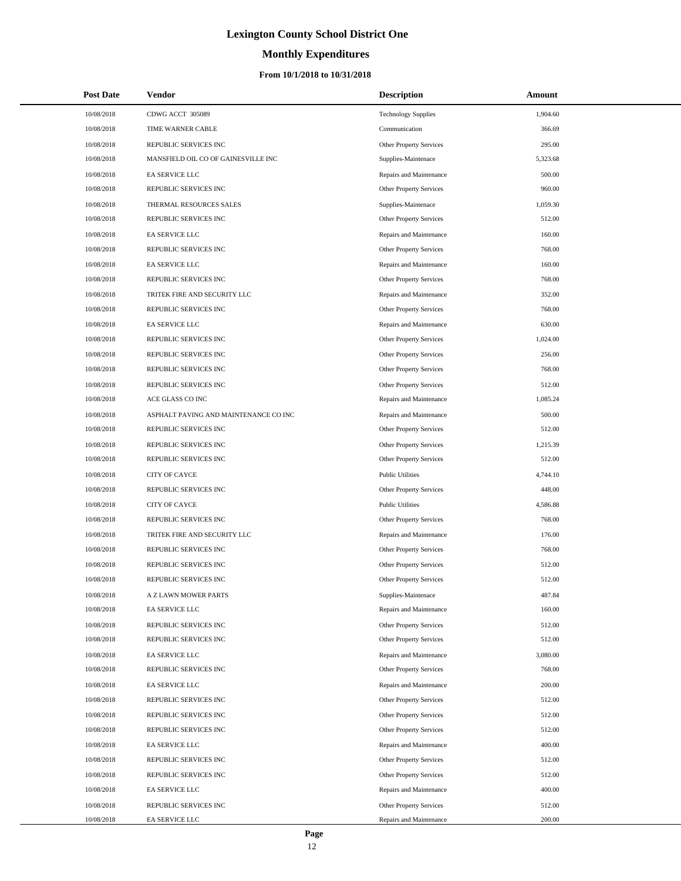# **Monthly Expenditures**

| <b>Post Date</b> | Vendor                                | <b>Description</b>             | Amount   |
|------------------|---------------------------------------|--------------------------------|----------|
| 10/08/2018       | CDWG ACCT 305089                      | <b>Technology Supplies</b>     | 1,904.60 |
| 10/08/2018       | TIME WARNER CABLE                     | Communication                  | 366.69   |
| 10/08/2018       | REPUBLIC SERVICES INC                 | Other Property Services        | 295.00   |
| 10/08/2018       | MANSFIELD OIL CO OF GAINESVILLE INC   | Supplies-Maintenace            | 5,323.68 |
| 10/08/2018       | EA SERVICE LLC                        | Repairs and Maintenance        | 500.00   |
| 10/08/2018       | REPUBLIC SERVICES INC                 | Other Property Services        | 960.00   |
| 10/08/2018       | THERMAL RESOURCES SALES               | Supplies-Maintenace            | 1,059.30 |
| 10/08/2018       | REPUBLIC SERVICES INC                 | Other Property Services        | 512.00   |
| 10/08/2018       | EA SERVICE LLC                        | Repairs and Maintenance        | 160.00   |
| 10/08/2018       | REPUBLIC SERVICES INC                 | Other Property Services        | 768.00   |
| 10/08/2018       | EA SERVICE LLC                        | Repairs and Maintenance        | 160.00   |
| 10/08/2018       | REPUBLIC SERVICES INC                 | Other Property Services        | 768.00   |
| 10/08/2018       | TRITEK FIRE AND SECURITY LLC          | Repairs and Maintenance        | 352.00   |
| 10/08/2018       | REPUBLIC SERVICES INC                 | Other Property Services        | 768.00   |
| 10/08/2018       | EA SERVICE LLC                        | Repairs and Maintenance        | 630.00   |
| 10/08/2018       | REPUBLIC SERVICES INC                 | Other Property Services        | 1,024.00 |
| 10/08/2018       | REPUBLIC SERVICES INC                 | Other Property Services        | 256.00   |
| 10/08/2018       | REPUBLIC SERVICES INC                 | Other Property Services        | 768.00   |
| 10/08/2018       | REPUBLIC SERVICES INC                 | Other Property Services        | 512.00   |
| 10/08/2018       | ACE GLASS CO INC                      | Repairs and Maintenance        | 1,085.24 |
| 10/08/2018       | ASPHALT PAVING AND MAINTENANCE CO INC | Repairs and Maintenance        | 500.00   |
| 10/08/2018       | REPUBLIC SERVICES INC                 | Other Property Services        | 512.00   |
| 10/08/2018       | REPUBLIC SERVICES INC                 | Other Property Services        | 1,215.39 |
| 10/08/2018       | REPUBLIC SERVICES INC                 | Other Property Services        | 512.00   |
| 10/08/2018       | <b>CITY OF CAYCE</b>                  | <b>Public Utilities</b>        | 4,744.10 |
| 10/08/2018       | REPUBLIC SERVICES INC                 | Other Property Services        | 448.00   |
| 10/08/2018       | <b>CITY OF CAYCE</b>                  | <b>Public Utilities</b>        | 4,586.88 |
| 10/08/2018       | REPUBLIC SERVICES INC                 | Other Property Services        | 768.00   |
| 10/08/2018       | TRITEK FIRE AND SECURITY LLC          | Repairs and Maintenance        | 176.00   |
| 10/08/2018       | REPUBLIC SERVICES INC                 | Other Property Services        | 768.00   |
| 10/08/2018       | REPUBLIC SERVICES INC                 | <b>Other Property Services</b> | 512.00   |
| 10/08/2018       | REPUBLIC SERVICES INC                 | Other Property Services        | 512.00   |
| 10/08/2018       | A Z LAWN MOWER PARTS                  | Supplies-Maintenace            | 487.84   |
| 10/08/2018       | EA SERVICE LLC                        | Repairs and Maintenance        | 160.00   |
| 10/08/2018       | REPUBLIC SERVICES INC                 | Other Property Services        | 512.00   |
| 10/08/2018       | REPUBLIC SERVICES INC                 | Other Property Services        | 512.00   |
| 10/08/2018       | EA SERVICE LLC                        | Repairs and Maintenance        | 3,080.00 |
| 10/08/2018       | REPUBLIC SERVICES INC                 | Other Property Services        | 768.00   |
| 10/08/2018       | EA SERVICE LLC                        | Repairs and Maintenance        | 200.00   |
| 10/08/2018       | REPUBLIC SERVICES INC                 | Other Property Services        | 512.00   |
| 10/08/2018       | REPUBLIC SERVICES INC                 | Other Property Services        | 512.00   |
| 10/08/2018       | REPUBLIC SERVICES INC                 | <b>Other Property Services</b> | 512.00   |
| 10/08/2018       | EA SERVICE LLC                        | Repairs and Maintenance        | 400.00   |
| 10/08/2018       | REPUBLIC SERVICES INC                 | Other Property Services        | 512.00   |
| 10/08/2018       | REPUBLIC SERVICES INC                 | Other Property Services        | 512.00   |
| 10/08/2018       | EA SERVICE LLC                        | Repairs and Maintenance        | 400.00   |
| 10/08/2018       | REPUBLIC SERVICES INC                 | Other Property Services        | 512.00   |
| 10/08/2018       | EA SERVICE LLC                        | Repairs and Maintenance        | 200.00   |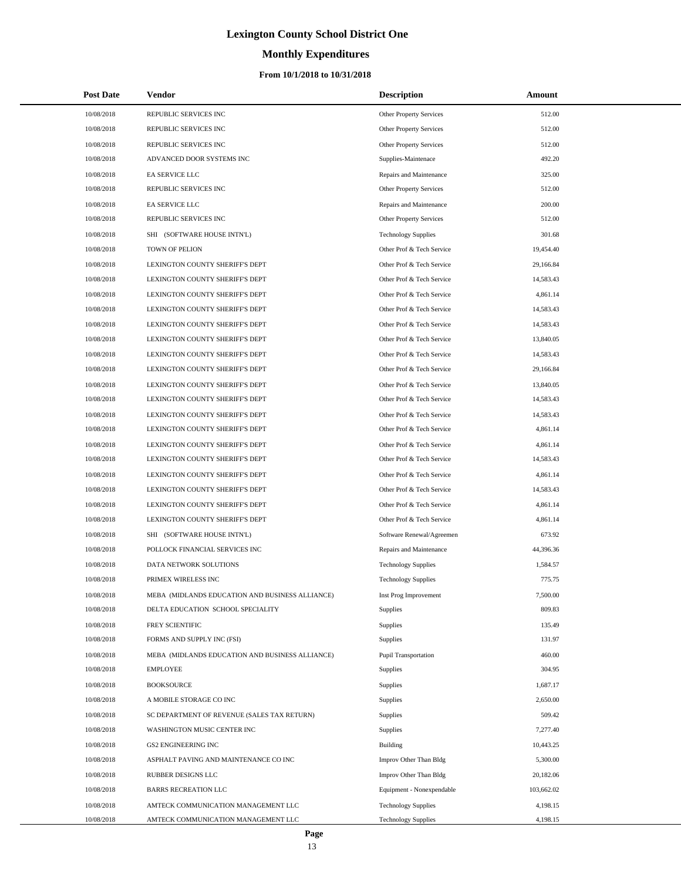# **Monthly Expenditures**

| <b>Post Date</b> | <b>Vendor</b>                                   | <b>Description</b>             | Amount     |
|------------------|-------------------------------------------------|--------------------------------|------------|
| 10/08/2018       | REPUBLIC SERVICES INC                           | Other Property Services        | 512.00     |
| 10/08/2018       | REPUBLIC SERVICES INC                           | <b>Other Property Services</b> | 512.00     |
| 10/08/2018       | REPUBLIC SERVICES INC                           | <b>Other Property Services</b> | 512.00     |
| 10/08/2018       | ADVANCED DOOR SYSTEMS INC                       | Supplies-Maintenace            | 492.20     |
| 10/08/2018       | EA SERVICE LLC                                  | Repairs and Maintenance        | 325.00     |
| 10/08/2018       | REPUBLIC SERVICES INC                           | Other Property Services        | 512.00     |
| 10/08/2018       | EA SERVICE LLC                                  | Repairs and Maintenance        | 200.00     |
| 10/08/2018       | REPUBLIC SERVICES INC                           | Other Property Services        | 512.00     |
| 10/08/2018       | SHI (SOFTWARE HOUSE INTN'L)                     | <b>Technology Supplies</b>     | 301.68     |
| 10/08/2018       | TOWN OF PELION                                  | Other Prof & Tech Service      | 19,454.40  |
| 10/08/2018       | LEXINGTON COUNTY SHERIFF'S DEPT                 | Other Prof & Tech Service      | 29,166.84  |
| 10/08/2018       | LEXINGTON COUNTY SHERIFF'S DEPT                 | Other Prof & Tech Service      | 14,583.43  |
| 10/08/2018       | LEXINGTON COUNTY SHERIFF'S DEPT                 | Other Prof & Tech Service      | 4,861.14   |
| 10/08/2018       | LEXINGTON COUNTY SHERIFF'S DEPT                 | Other Prof & Tech Service      | 14,583.43  |
| 10/08/2018       | LEXINGTON COUNTY SHERIFF'S DEPT                 | Other Prof & Tech Service      | 14,583.43  |
| 10/08/2018       | LEXINGTON COUNTY SHERIFF'S DEPT                 | Other Prof & Tech Service      | 13,840.05  |
| 10/08/2018       | LEXINGTON COUNTY SHERIFF'S DEPT                 | Other Prof & Tech Service      | 14,583.43  |
| 10/08/2018       | LEXINGTON COUNTY SHERIFF'S DEPT                 | Other Prof & Tech Service      | 29,166.84  |
| 10/08/2018       | LEXINGTON COUNTY SHERIFF'S DEPT                 | Other Prof & Tech Service      | 13,840.05  |
| 10/08/2018       | LEXINGTON COUNTY SHERIFF'S DEPT                 | Other Prof & Tech Service      | 14,583.43  |
| 10/08/2018       | LEXINGTON COUNTY SHERIFF'S DEPT                 | Other Prof & Tech Service      | 14,583.43  |
| 10/08/2018       | LEXINGTON COUNTY SHERIFF'S DEPT                 | Other Prof & Tech Service      | 4,861.14   |
| 10/08/2018       | LEXINGTON COUNTY SHERIFF'S DEPT                 | Other Prof & Tech Service      | 4,861.14   |
| 10/08/2018       | LEXINGTON COUNTY SHERIFF'S DEPT                 | Other Prof & Tech Service      | 14,583.43  |
| 10/08/2018       | LEXINGTON COUNTY SHERIFF'S DEPT                 | Other Prof & Tech Service      | 4,861.14   |
| 10/08/2018       | LEXINGTON COUNTY SHERIFF'S DEPT                 | Other Prof & Tech Service      | 14,583.43  |
| 10/08/2018       | LEXINGTON COUNTY SHERIFF'S DEPT                 | Other Prof & Tech Service      | 4,861.14   |
| 10/08/2018       | LEXINGTON COUNTY SHERIFF'S DEPT                 | Other Prof & Tech Service      | 4,861.14   |
| 10/08/2018       | SHI (SOFTWARE HOUSE INTN'L)                     | Software Renewal/Agreemen      | 673.92     |
| 10/08/2018       | POLLOCK FINANCIAL SERVICES INC                  | Repairs and Maintenance        | 44,396.36  |
| 10/08/2018       | DATA NETWORK SOLUTIONS                          | <b>Technology Supplies</b>     | 1,584.57   |
| 10/08/2018       | PRIMEX WIRELESS INC                             | <b>Technology Supplies</b>     | 775.75     |
| 10/08/2018       | MEBA (MIDLANDS EDUCATION AND BUSINESS ALLIANCE) | Inst Prog Improvement          | 7,500.00   |
| 10/08/2018       | DELTA EDUCATION SCHOOL SPECIALITY               | <b>Supplies</b>                | 809.83     |
| 10/08/2018       | FREY SCIENTIFIC                                 | <b>Supplies</b>                | 135.49     |
| 10/08/2018       | FORMS AND SUPPLY INC (FSI)                      | <b>Supplies</b>                | 131.97     |
| 10/08/2018       | MEBA (MIDLANDS EDUCATION AND BUSINESS ALLIANCE) | Pupil Transportation           | 460.00     |
| 10/08/2018       | <b>EMPLOYEE</b>                                 | Supplies                       | 304.95     |
| 10/08/2018       | <b>BOOKSOURCE</b>                               | Supplies                       | 1,687.17   |
| 10/08/2018       | A MOBILE STORAGE CO INC                         | <b>Supplies</b>                | 2,650.00   |
| 10/08/2018       | SC DEPARTMENT OF REVENUE (SALES TAX RETURN)     | <b>Supplies</b>                | 509.42     |
| 10/08/2018       | WASHINGTON MUSIC CENTER INC                     | <b>Supplies</b>                | 7,277.40   |
| 10/08/2018       | <b>GS2 ENGINEERING INC</b>                      | <b>Building</b>                | 10,443.25  |
| 10/08/2018       | ASPHALT PAVING AND MAINTENANCE CO INC           | Improv Other Than Bldg         | 5,300.00   |
| 10/08/2018       | RUBBER DESIGNS LLC                              | Improv Other Than Bldg         | 20,182.06  |
| 10/08/2018       | <b>BARRS RECREATION LLC</b>                     | Equipment - Nonexpendable      | 103,662.02 |
| 10/08/2018       | AMTECK COMMUNICATION MANAGEMENT LLC             | <b>Technology Supplies</b>     | 4,198.15   |
| 10/08/2018       | AMTECK COMMUNICATION MANAGEMENT LLC             | <b>Technology Supplies</b>     | 4,198.15   |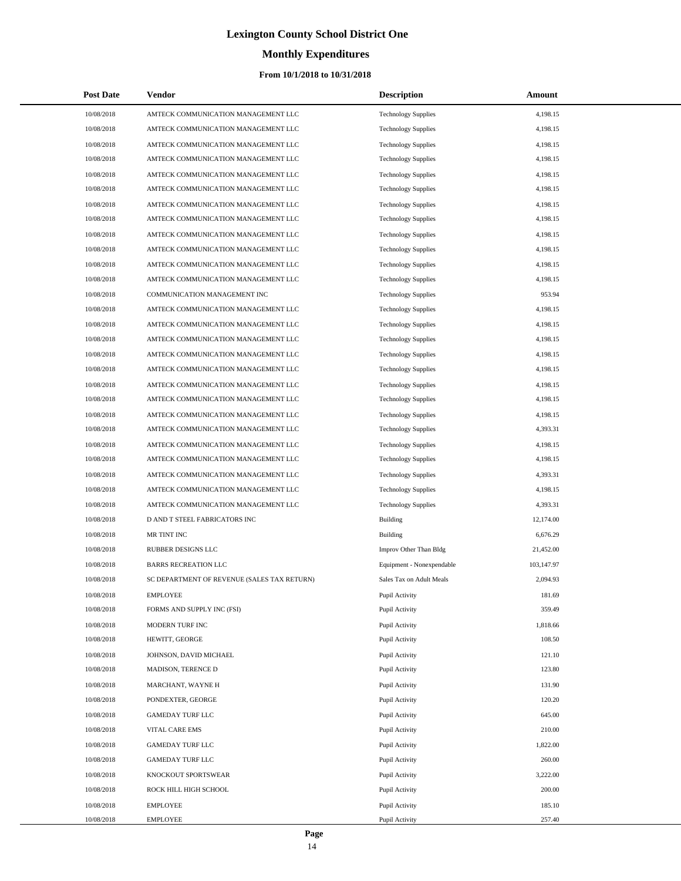# **Monthly Expenditures**

## **From 10/1/2018 to 10/31/2018**

| <b>Post Date</b> | Vendor                                      | <b>Description</b>         | Amount     |
|------------------|---------------------------------------------|----------------------------|------------|
| 10/08/2018       | AMTECK COMMUNICATION MANAGEMENT LLC         | <b>Technology Supplies</b> | 4,198.15   |
| 10/08/2018       | AMTECK COMMUNICATION MANAGEMENT LLC         | <b>Technology Supplies</b> | 4,198.15   |
| 10/08/2018       | AMTECK COMMUNICATION MANAGEMENT LLC         | <b>Technology Supplies</b> | 4,198.15   |
| 10/08/2018       | AMTECK COMMUNICATION MANAGEMENT LLC         | <b>Technology Supplies</b> | 4,198.15   |
| 10/08/2018       | AMTECK COMMUNICATION MANAGEMENT LLC         | <b>Technology Supplies</b> | 4,198.15   |
| 10/08/2018       | AMTECK COMMUNICATION MANAGEMENT LLC         | <b>Technology Supplies</b> | 4,198.15   |
| 10/08/2018       | AMTECK COMMUNICATION MANAGEMENT LLC         | <b>Technology Supplies</b> | 4,198.15   |
| 10/08/2018       | AMTECK COMMUNICATION MANAGEMENT LLC         | <b>Technology Supplies</b> | 4,198.15   |
| 10/08/2018       | AMTECK COMMUNICATION MANAGEMENT LLC         | <b>Technology Supplies</b> | 4,198.15   |
| 10/08/2018       | AMTECK COMMUNICATION MANAGEMENT LLC         | <b>Technology Supplies</b> | 4,198.15   |
| 10/08/2018       | AMTECK COMMUNICATION MANAGEMENT LLC         | <b>Technology Supplies</b> | 4,198.15   |
| 10/08/2018       | AMTECK COMMUNICATION MANAGEMENT LLC         | <b>Technology Supplies</b> | 4,198.15   |
| 10/08/2018       | COMMUNICATION MANAGEMENT INC                | <b>Technology Supplies</b> | 953.94     |
| 10/08/2018       | AMTECK COMMUNICATION MANAGEMENT LLC         | <b>Technology Supplies</b> | 4,198.15   |
| 10/08/2018       | AMTECK COMMUNICATION MANAGEMENT LLC         | <b>Technology Supplies</b> | 4,198.15   |
| 10/08/2018       | AMTECK COMMUNICATION MANAGEMENT LLC         | <b>Technology Supplies</b> | 4,198.15   |
| 10/08/2018       | AMTECK COMMUNICATION MANAGEMENT LLC         | <b>Technology Supplies</b> | 4,198.15   |
| 10/08/2018       | AMTECK COMMUNICATION MANAGEMENT LLC         | <b>Technology Supplies</b> | 4,198.15   |
| 10/08/2018       | AMTECK COMMUNICATION MANAGEMENT LLC         | <b>Technology Supplies</b> | 4,198.15   |
| 10/08/2018       | AMTECK COMMUNICATION MANAGEMENT LLC         | <b>Technology Supplies</b> | 4,198.15   |
| 10/08/2018       | AMTECK COMMUNICATION MANAGEMENT LLC         | <b>Technology Supplies</b> | 4,198.15   |
| 10/08/2018       | AMTECK COMMUNICATION MANAGEMENT LLC         | <b>Technology Supplies</b> | 4,393.31   |
| 10/08/2018       | AMTECK COMMUNICATION MANAGEMENT LLC         | <b>Technology Supplies</b> | 4,198.15   |
| 10/08/2018       | AMTECK COMMUNICATION MANAGEMENT LLC         | <b>Technology Supplies</b> | 4,198.15   |
| 10/08/2018       | AMTECK COMMUNICATION MANAGEMENT LLC         | <b>Technology Supplies</b> | 4,393.31   |
| 10/08/2018       | AMTECK COMMUNICATION MANAGEMENT LLC         | <b>Technology Supplies</b> | 4,198.15   |
| 10/08/2018       | AMTECK COMMUNICATION MANAGEMENT LLC         | <b>Technology Supplies</b> | 4,393.31   |
| 10/08/2018       | D AND T STEEL FABRICATORS INC               | <b>Building</b>            | 12,174.00  |
| 10/08/2018       | MR TINT INC                                 | Building                   | 6,676.29   |
| 10/08/2018       | <b>RUBBER DESIGNS LLC</b>                   | Improv Other Than Bldg     | 21,452.00  |
| 10/08/2018       | <b>BARRS RECREATION LLC</b>                 | Equipment - Nonexpendable  | 103,147.97 |
| 10/08/2018       | SC DEPARTMENT OF REVENUE (SALES TAX RETURN) | Sales Tax on Adult Meals   | 2,094.93   |
| 10/08/2018       | <b>EMPLOYEE</b>                             | Pupil Activity             | 181.69     |
| 10/08/2018       | FORMS AND SUPPLY INC (FSI)                  | Pupil Activity             | 359.49     |
| 10/08/2018       | MODERN TURF INC                             | Pupil Activity             | 1,818.66   |
| 10/08/2018       | HEWITT, GEORGE                              | Pupil Activity             | 108.50     |
| 10/08/2018       | JOHNSON, DAVID MICHAEL                      | Pupil Activity             | 121.10     |
| 10/08/2018       | MADISON, TERENCE D                          | Pupil Activity             | 123.80     |
| 10/08/2018       | MARCHANT, WAYNE H                           | Pupil Activity             | 131.90     |
| 10/08/2018       | PONDEXTER, GEORGE                           | Pupil Activity             | 120.20     |
| 10/08/2018       | <b>GAMEDAY TURF LLC</b>                     | Pupil Activity             | 645.00     |
| 10/08/2018       | VITAL CARE EMS                              | Pupil Activity             | 210.00     |
| 10/08/2018       | <b>GAMEDAY TURF LLC</b>                     | Pupil Activity             | 1,822.00   |
| 10/08/2018       | <b>GAMEDAY TURF LLC</b>                     | Pupil Activity             | 260.00     |
| 10/08/2018       | KNOCKOUT SPORTSWEAR                         | Pupil Activity             | 3,222.00   |
| 10/08/2018       | ROCK HILL HIGH SCHOOL                       | Pupil Activity             | 200.00     |
| 10/08/2018       | <b>EMPLOYEE</b>                             | Pupil Activity             | 185.10     |
| 10/08/2018       | <b>EMPLOYEE</b>                             | Pupil Activity             | 257.40     |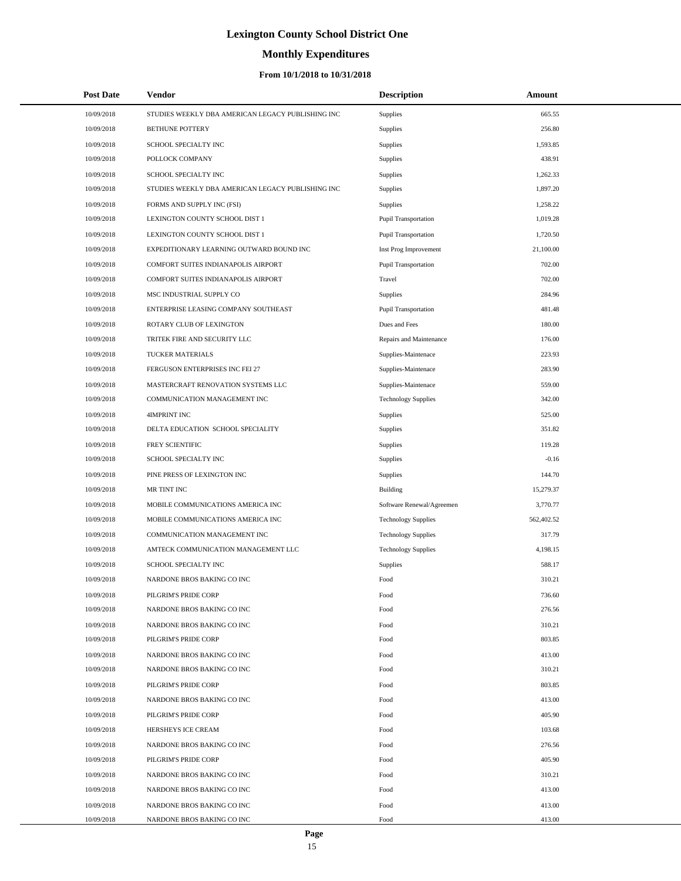# **Monthly Expenditures**

| <b>Post Date</b> | Vendor                                            | <b>Description</b>          | Amount     |  |
|------------------|---------------------------------------------------|-----------------------------|------------|--|
| 10/09/2018       | STUDIES WEEKLY DBA AMERICAN LEGACY PUBLISHING INC | <b>Supplies</b>             | 665.55     |  |
| 10/09/2018       | <b>BETHUNE POTTERY</b>                            | Supplies                    | 256.80     |  |
| 10/09/2018       | SCHOOL SPECIALTY INC                              | Supplies                    | 1,593.85   |  |
| 10/09/2018       | POLLOCK COMPANY                                   | <b>Supplies</b>             | 438.91     |  |
| 10/09/2018       | SCHOOL SPECIALTY INC                              | Supplies                    | 1,262.33   |  |
| 10/09/2018       | STUDIES WEEKLY DBA AMERICAN LEGACY PUBLISHING INC | <b>Supplies</b>             | 1,897.20   |  |
| 10/09/2018       | FORMS AND SUPPLY INC (FSI)                        | Supplies                    | 1,258.22   |  |
| 10/09/2018       | LEXINGTON COUNTY SCHOOL DIST 1                    | <b>Pupil Transportation</b> | 1,019.28   |  |
| 10/09/2018       | LEXINGTON COUNTY SCHOOL DIST 1                    | Pupil Transportation        | 1,720.50   |  |
| 10/09/2018       | EXPEDITIONARY LEARNING OUTWARD BOUND INC          | Inst Prog Improvement       | 21,100.00  |  |
| 10/09/2018       | COMFORT SUITES INDIANAPOLIS AIRPORT               | Pupil Transportation        | 702.00     |  |
| 10/09/2018       | COMFORT SUITES INDIANAPOLIS AIRPORT               | Travel                      | 702.00     |  |
| 10/09/2018       | MSC INDUSTRIAL SUPPLY CO                          | Supplies                    | 284.96     |  |
| 10/09/2018       | ENTERPRISE LEASING COMPANY SOUTHEAST              | Pupil Transportation        | 481.48     |  |
| 10/09/2018       | ROTARY CLUB OF LEXINGTON                          | Dues and Fees               | 180.00     |  |
| 10/09/2018       | TRITEK FIRE AND SECURITY LLC                      | Repairs and Maintenance     | 176.00     |  |
| 10/09/2018       | TUCKER MATERIALS                                  | Supplies-Maintenace         | 223.93     |  |
| 10/09/2018       | FERGUSON ENTERPRISES INC FEI 27                   | Supplies-Maintenace         | 283.90     |  |
| 10/09/2018       | MASTERCRAFT RENOVATION SYSTEMS LLC                | Supplies-Maintenace         | 559.00     |  |
| 10/09/2018       | COMMUNICATION MANAGEMENT INC                      | <b>Technology Supplies</b>  | 342.00     |  |
| 10/09/2018       | <b>4IMPRINT INC</b>                               | Supplies                    | 525.00     |  |
| 10/09/2018       | DELTA EDUCATION SCHOOL SPECIALITY                 | <b>Supplies</b>             | 351.82     |  |
| 10/09/2018       | FREY SCIENTIFIC                                   | Supplies                    | 119.28     |  |
| 10/09/2018       | SCHOOL SPECIALTY INC                              | Supplies                    | $-0.16$    |  |
| 10/09/2018       | PINE PRESS OF LEXINGTON INC                       | Supplies                    | 144.70     |  |
| 10/09/2018       | MR TINT INC                                       | <b>Building</b>             | 15,279.37  |  |
| 10/09/2018       | MOBILE COMMUNICATIONS AMERICA INC                 | Software Renewal/Agreemen   | 3,770.77   |  |
| 10/09/2018       | MOBILE COMMUNICATIONS AMERICA INC                 | <b>Technology Supplies</b>  | 562,402.52 |  |
| 10/09/2018       | COMMUNICATION MANAGEMENT INC                      | <b>Technology Supplies</b>  | 317.79     |  |
| 10/09/2018       | AMTECK COMMUNICATION MANAGEMENT LLC               | <b>Technology Supplies</b>  | 4,198.15   |  |
| 10/09/2018       | SCHOOL SPECIALTY INC                              | Supplies                    | 588.17     |  |
| 10/09/2018       | NARDONE BROS BAKING CO INC                        | Food                        | 310.21     |  |
| 10/09/2018       | PILGRIM'S PRIDE CORP                              | Food                        | 736.60     |  |
| 10/09/2018       | NARDONE BROS BAKING CO INC                        | Food                        | 276.56     |  |
| 10/09/2018       | NARDONE BROS BAKING CO INC                        | Food                        | 310.21     |  |
| 10/09/2018       | PILGRIM'S PRIDE CORP                              | Food                        | 803.85     |  |
| 10/09/2018       | NARDONE BROS BAKING CO INC                        | Food                        | 413.00     |  |
| 10/09/2018       | NARDONE BROS BAKING CO INC                        | Food                        | 310.21     |  |
| 10/09/2018       | PILGRIM'S PRIDE CORP                              | Food                        | 803.85     |  |
| 10/09/2018       | NARDONE BROS BAKING CO INC                        | Food                        | 413.00     |  |
| 10/09/2018       | PILGRIM'S PRIDE CORP                              | Food                        | 405.90     |  |
| 10/09/2018       | HERSHEYS ICE CREAM                                | Food                        | 103.68     |  |
| 10/09/2018       | NARDONE BROS BAKING CO INC                        | Food                        | 276.56     |  |
| 10/09/2018       | PILGRIM'S PRIDE CORP                              | Food                        | 405.90     |  |
| 10/09/2018       | NARDONE BROS BAKING CO INC                        | Food                        | 310.21     |  |
| 10/09/2018       | NARDONE BROS BAKING CO INC                        | Food                        | 413.00     |  |
| 10/09/2018       | NARDONE BROS BAKING CO INC                        | Food                        | 413.00     |  |
| 10/09/2018       | NARDONE BROS BAKING CO INC                        | Food                        | 413.00     |  |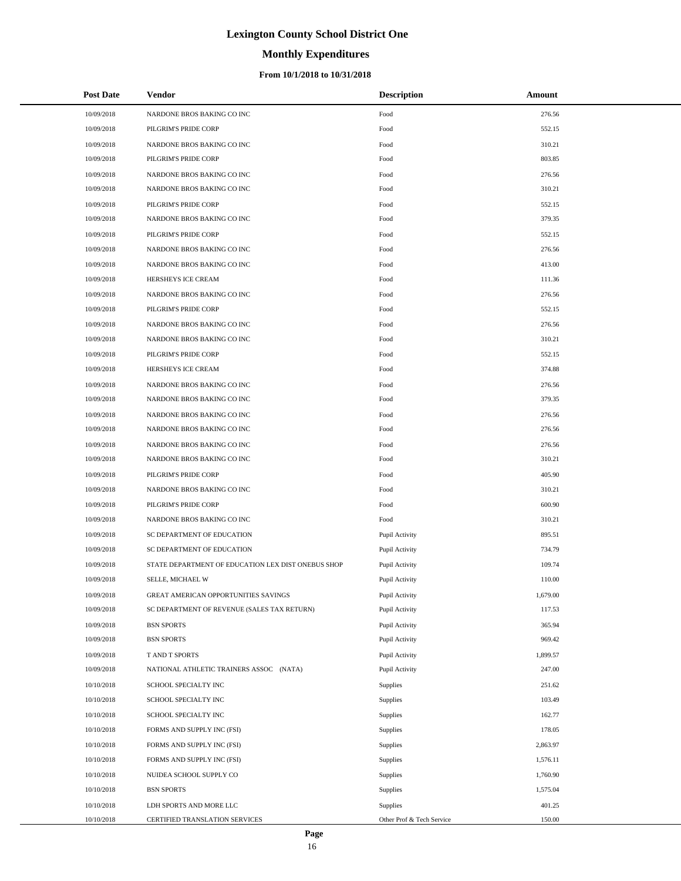# **Monthly Expenditures**

## **From 10/1/2018 to 10/31/2018**

| <b>Post Date</b> | Vendor                                             | <b>Description</b>        | Amount   |
|------------------|----------------------------------------------------|---------------------------|----------|
| 10/09/2018       | NARDONE BROS BAKING CO INC                         | Food                      | 276.56   |
| 10/09/2018       | PILGRIM'S PRIDE CORP                               | Food                      | 552.15   |
| 10/09/2018       | NARDONE BROS BAKING CO INC                         | Food                      | 310.21   |
| 10/09/2018       | PILGRIM'S PRIDE CORP                               | Food                      | 803.85   |
| 10/09/2018       | NARDONE BROS BAKING CO INC                         | Food                      | 276.56   |
| 10/09/2018       | NARDONE BROS BAKING CO INC                         | Food                      | 310.21   |
| 10/09/2018       | PILGRIM'S PRIDE CORP                               | Food                      | 552.15   |
| 10/09/2018       | NARDONE BROS BAKING CO INC                         | Food                      | 379.35   |
| 10/09/2018       | PILGRIM'S PRIDE CORP                               | Food                      | 552.15   |
| 10/09/2018       | NARDONE BROS BAKING CO INC                         | Food                      | 276.56   |
| 10/09/2018       | NARDONE BROS BAKING CO INC                         | Food                      | 413.00   |
| 10/09/2018       | HERSHEYS ICE CREAM                                 | Food                      | 111.36   |
| 10/09/2018       | NARDONE BROS BAKING CO INC                         | Food                      | 276.56   |
| 10/09/2018       | PILGRIM'S PRIDE CORP                               | Food                      | 552.15   |
| 10/09/2018       | NARDONE BROS BAKING CO INC                         | Food                      | 276.56   |
| 10/09/2018       | NARDONE BROS BAKING CO INC                         | Food                      | 310.21   |
| 10/09/2018       | PILGRIM'S PRIDE CORP                               | Food                      | 552.15   |
| 10/09/2018       | HERSHEYS ICE CREAM                                 | Food                      | 374.88   |
| 10/09/2018       | NARDONE BROS BAKING CO INC                         | Food                      | 276.56   |
| 10/09/2018       | NARDONE BROS BAKING CO INC                         | Food                      | 379.35   |
| 10/09/2018       | NARDONE BROS BAKING CO INC                         | Food                      | 276.56   |
| 10/09/2018       | NARDONE BROS BAKING CO INC                         | Food                      | 276.56   |
| 10/09/2018       | NARDONE BROS BAKING CO INC                         | Food                      | 276.56   |
| 10/09/2018       | NARDONE BROS BAKING CO INC                         | Food                      | 310.21   |
| 10/09/2018       | PILGRIM'S PRIDE CORP                               | Food                      | 405.90   |
| 10/09/2018       | NARDONE BROS BAKING CO INC                         | Food                      | 310.21   |
| 10/09/2018       | PILGRIM'S PRIDE CORP                               | Food                      | 600.90   |
| 10/09/2018       | NARDONE BROS BAKING CO INC                         | Food                      | 310.21   |
| 10/09/2018       | SC DEPARTMENT OF EDUCATION                         | Pupil Activity            | 895.51   |
| 10/09/2018       | SC DEPARTMENT OF EDUCATION                         | Pupil Activity            | 734.79   |
| 10/09/2018       | STATE DEPARTMENT OF EDUCATION LEX DIST ONEBUS SHOP | Pupil Activity            | 109.74   |
| 10/09/2018       | SELLE, MICHAEL W                                   | Pupil Activity            | 110.00   |
| 10/09/2018       | GREAT AMERICAN OPPORTUNITIES SAVINGS               | Pupil Activity            | 1,679.00 |
| 10/09/2018       | SC DEPARTMENT OF REVENUE (SALES TAX RETURN)        | Pupil Activity            | 117.53   |
| 10/09/2018       | <b>BSN SPORTS</b>                                  | Pupil Activity            | 365.94   |
| 10/09/2018       | <b>BSN SPORTS</b>                                  | Pupil Activity            | 969.42   |
| 10/09/2018       | T AND T SPORTS                                     | Pupil Activity            | 1,899.57 |
| 10/09/2018       | NATIONAL ATHLETIC TRAINERS ASSOC (NATA)            | Pupil Activity            | 247.00   |
| 10/10/2018       | SCHOOL SPECIALTY INC                               | Supplies                  | 251.62   |
| 10/10/2018       | SCHOOL SPECIALTY INC                               | Supplies                  | 103.49   |
| 10/10/2018       | SCHOOL SPECIALTY INC                               | Supplies                  | 162.77   |
| 10/10/2018       | FORMS AND SUPPLY INC (FSI)                         | Supplies                  | 178.05   |
| 10/10/2018       | FORMS AND SUPPLY INC (FSI)                         | Supplies                  | 2,863.97 |
| 10/10/2018       | FORMS AND SUPPLY INC (FSI)                         | Supplies                  | 1,576.11 |
| 10/10/2018       | NUIDEA SCHOOL SUPPLY CO                            | Supplies                  | 1,760.90 |
| 10/10/2018       | <b>BSN SPORTS</b>                                  | Supplies                  | 1,575.04 |
| 10/10/2018       | LDH SPORTS AND MORE LLC                            | Supplies                  | 401.25   |
| 10/10/2018       | CERTIFIED TRANSLATION SERVICES                     | Other Prof & Tech Service | 150.00   |

 $\overline{a}$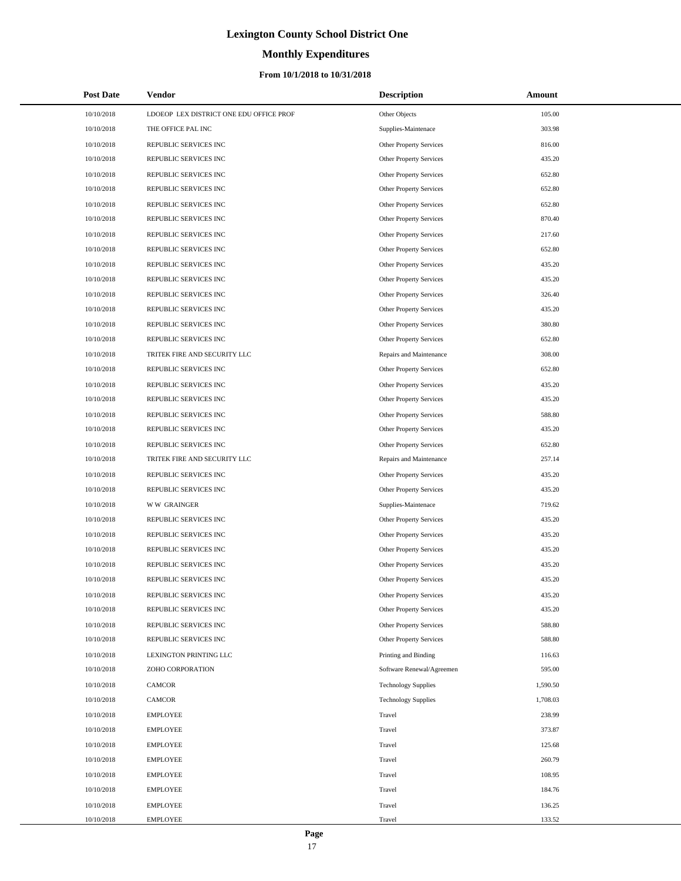# **Monthly Expenditures**

| <b>Post Date</b> | Vendor                                  | <b>Description</b>             | Amount   |
|------------------|-----------------------------------------|--------------------------------|----------|
| 10/10/2018       | LDOEOP LEX DISTRICT ONE EDU OFFICE PROF | Other Objects                  | 105.00   |
| 10/10/2018       | THE OFFICE PAL INC                      | Supplies-Maintenace            | 303.98   |
| 10/10/2018       | REPUBLIC SERVICES INC                   | Other Property Services        | 816.00   |
| 10/10/2018       | REPUBLIC SERVICES INC                   | Other Property Services        | 435.20   |
| 10/10/2018       | REPUBLIC SERVICES INC                   | Other Property Services        | 652.80   |
| 10/10/2018       | REPUBLIC SERVICES INC                   | Other Property Services        | 652.80   |
| 10/10/2018       | REPUBLIC SERVICES INC                   | Other Property Services        | 652.80   |
| 10/10/2018       | REPUBLIC SERVICES INC                   | <b>Other Property Services</b> | 870.40   |
| 10/10/2018       | REPUBLIC SERVICES INC                   | <b>Other Property Services</b> | 217.60   |
| 10/10/2018       | REPUBLIC SERVICES INC                   | Other Property Services        | 652.80   |
| 10/10/2018       | REPUBLIC SERVICES INC                   | Other Property Services        | 435.20   |
| 10/10/2018       | REPUBLIC SERVICES INC                   | Other Property Services        | 435.20   |
| 10/10/2018       | REPUBLIC SERVICES INC                   | Other Property Services        | 326.40   |
| 10/10/2018       | REPUBLIC SERVICES INC                   | Other Property Services        | 435.20   |
| 10/10/2018       | REPUBLIC SERVICES INC                   | Other Property Services        | 380.80   |
| 10/10/2018       | REPUBLIC SERVICES INC                   | Other Property Services        | 652.80   |
| 10/10/2018       | TRITEK FIRE AND SECURITY LLC            | Repairs and Maintenance        | 308.00   |
| 10/10/2018       | REPUBLIC SERVICES INC                   | Other Property Services        | 652.80   |
| 10/10/2018       | REPUBLIC SERVICES INC                   | <b>Other Property Services</b> | 435.20   |
| 10/10/2018       | REPUBLIC SERVICES INC                   | <b>Other Property Services</b> | 435.20   |
| 10/10/2018       | REPUBLIC SERVICES INC                   | Other Property Services        | 588.80   |
| 10/10/2018       | REPUBLIC SERVICES INC                   | Other Property Services        | 435.20   |
| 10/10/2018       | REPUBLIC SERVICES INC                   | Other Property Services        | 652.80   |
| 10/10/2018       | TRITEK FIRE AND SECURITY LLC            | Repairs and Maintenance        | 257.14   |
| 10/10/2018       | REPUBLIC SERVICES INC                   | Other Property Services        | 435.20   |
| 10/10/2018       | REPUBLIC SERVICES INC                   | Other Property Services        | 435.20   |
| 10/10/2018       | <b>WW GRAINGER</b>                      | Supplies-Maintenace            | 719.62   |
| 10/10/2018       | REPUBLIC SERVICES INC                   | Other Property Services        | 435.20   |
| 10/10/2018       | REPUBLIC SERVICES INC                   | Other Property Services        | 435.20   |
| 10/10/2018       | REPUBLIC SERVICES INC                   | <b>Other Property Services</b> | 435.20   |
| 10/10/2018       | REPUBLIC SERVICES INC                   | Other Property Services        | 435.20   |
| 10/10/2018       | REPUBLIC SERVICES INC                   | Other Property Services        | 435.20   |
| 10/10/2018       | REPUBLIC SERVICES INC                   | Other Property Services        | 435.20   |
| 10/10/2018       | REPUBLIC SERVICES INC                   | Other Property Services        | 435.20   |
| 10/10/2018       | REPUBLIC SERVICES INC                   | Other Property Services        | 588.80   |
| 10/10/2018       | REPUBLIC SERVICES INC                   | <b>Other Property Services</b> | 588.80   |
| 10/10/2018       | LEXINGTON PRINTING LLC                  | Printing and Binding           | 116.63   |
| 10/10/2018       | ZOHO CORPORATION                        | Software Renewal/Agreemen      | 595.00   |
| 10/10/2018       | CAMCOR                                  | <b>Technology Supplies</b>     | 1,590.50 |
| 10/10/2018       | CAMCOR                                  | <b>Technology Supplies</b>     | 1,708.03 |
| 10/10/2018       | <b>EMPLOYEE</b>                         | Travel                         | 238.99   |
| 10/10/2018       | <b>EMPLOYEE</b>                         | Travel                         | 373.87   |
| 10/10/2018       | <b>EMPLOYEE</b>                         | Travel                         | 125.68   |
| 10/10/2018       | <b>EMPLOYEE</b>                         | Travel                         | 260.79   |
| 10/10/2018       | <b>EMPLOYEE</b>                         | Travel                         | 108.95   |
| 10/10/2018       | <b>EMPLOYEE</b>                         | Travel                         | 184.76   |
| 10/10/2018       | <b>EMPLOYEE</b>                         | Travel                         | 136.25   |
| 10/10/2018       | <b>EMPLOYEE</b>                         | Travel                         | 133.52   |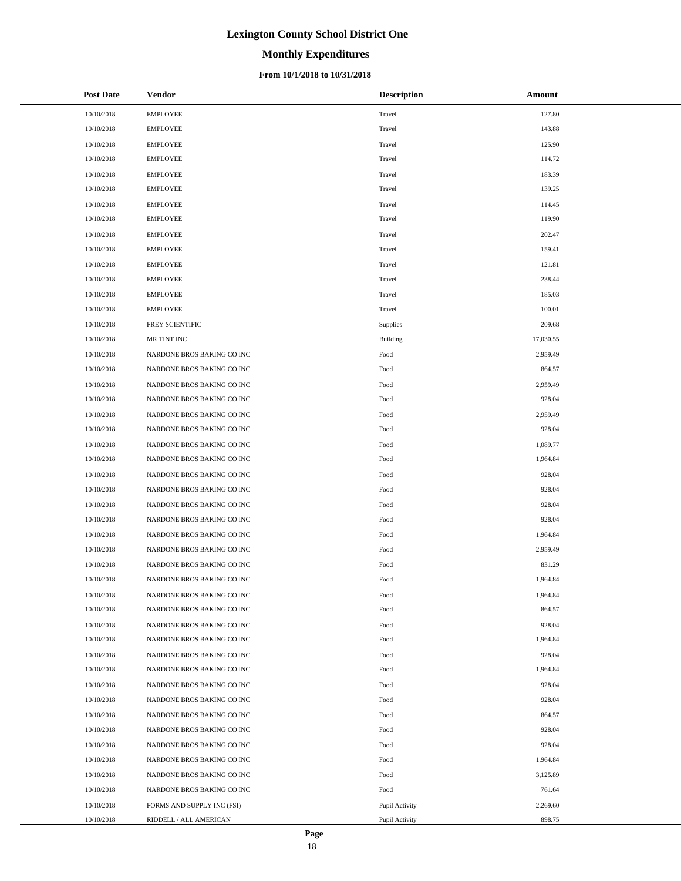# **Monthly Expenditures**

## **From 10/1/2018 to 10/31/2018**

| <b>Post Date</b> | Vendor                     | <b>Description</b> | Amount    |
|------------------|----------------------------|--------------------|-----------|
| 10/10/2018       | <b>EMPLOYEE</b>            | Travel             | 127.80    |
| 10/10/2018       | <b>EMPLOYEE</b>            | Travel             | 143.88    |
| 10/10/2018       | <b>EMPLOYEE</b>            | Travel             | 125.90    |
| 10/10/2018       | <b>EMPLOYEE</b>            | Travel             | 114.72    |
| 10/10/2018       | <b>EMPLOYEE</b>            | Travel             | 183.39    |
| 10/10/2018       | <b>EMPLOYEE</b>            | Travel             | 139.25    |
| 10/10/2018       | <b>EMPLOYEE</b>            | Travel             | 114.45    |
| 10/10/2018       | <b>EMPLOYEE</b>            | Travel             | 119.90    |
| 10/10/2018       | <b>EMPLOYEE</b>            | Travel             | 202.47    |
| 10/10/2018       | <b>EMPLOYEE</b>            | Travel             | 159.41    |
| 10/10/2018       | <b>EMPLOYEE</b>            | Travel             | 121.81    |
| 10/10/2018       | <b>EMPLOYEE</b>            | Travel             | 238.44    |
| 10/10/2018       | <b>EMPLOYEE</b>            | Travel             | 185.03    |
| 10/10/2018       | <b>EMPLOYEE</b>            | Travel             | 100.01    |
| 10/10/2018       | FREY SCIENTIFIC            | Supplies           | 209.68    |
| 10/10/2018       | MR TINT INC                | Building           | 17,030.55 |
| 10/10/2018       | NARDONE BROS BAKING CO INC | Food               | 2,959.49  |
| 10/10/2018       | NARDONE BROS BAKING CO INC | Food               | 864.57    |
| 10/10/2018       | NARDONE BROS BAKING CO INC | Food               | 2,959.49  |
| 10/10/2018       | NARDONE BROS BAKING CO INC | Food               | 928.04    |
| 10/10/2018       | NARDONE BROS BAKING CO INC | Food               | 2,959.49  |
| 10/10/2018       | NARDONE BROS BAKING CO INC | Food               | 928.04    |
| 10/10/2018       | NARDONE BROS BAKING CO INC | Food               | 1,089.77  |
| 10/10/2018       | NARDONE BROS BAKING CO INC | Food               | 1,964.84  |
| 10/10/2018       | NARDONE BROS BAKING CO INC | Food               | 928.04    |
| 10/10/2018       | NARDONE BROS BAKING CO INC | Food               | 928.04    |
| 10/10/2018       | NARDONE BROS BAKING CO INC | Food               | 928.04    |
| 10/10/2018       | NARDONE BROS BAKING CO INC | Food               | 928.04    |
| 10/10/2018       | NARDONE BROS BAKING CO INC | Food               | 1,964.84  |
| 10/10/2018       | NARDONE BROS BAKING CO INC | Food               | 2,959.49  |
| 10/10/2018       | NARDONE BROS BAKING CO INC | Food               | 831.29    |
| 10/10/2018       | NARDONE BROS BAKING CO INC | Food               | 1,964.84  |
| 10/10/2018       | NARDONE BROS BAKING CO INC | Food               | 1,964.84  |
| 10/10/2018       | NARDONE BROS BAKING CO INC | Food               | 864.57    |
| 10/10/2018       | NARDONE BROS BAKING CO INC | Food               | 928.04    |
| 10/10/2018       | NARDONE BROS BAKING CO INC | Food               | 1,964.84  |
| 10/10/2018       | NARDONE BROS BAKING CO INC | Food               | 928.04    |
| 10/10/2018       | NARDONE BROS BAKING CO INC | Food               | 1,964.84  |
| 10/10/2018       | NARDONE BROS BAKING CO INC | Food               | 928.04    |
| 10/10/2018       | NARDONE BROS BAKING CO INC | Food               | 928.04    |
| 10/10/2018       | NARDONE BROS BAKING CO INC | Food               | 864.57    |
| 10/10/2018       | NARDONE BROS BAKING CO INC | Food               | 928.04    |
| 10/10/2018       | NARDONE BROS BAKING CO INC | Food               | 928.04    |
| 10/10/2018       | NARDONE BROS BAKING CO INC | Food               | 1,964.84  |
| 10/10/2018       | NARDONE BROS BAKING CO INC | Food               | 3,125.89  |
| 10/10/2018       | NARDONE BROS BAKING CO INC | Food               | 761.64    |
| 10/10/2018       | FORMS AND SUPPLY INC (FSI) | Pupil Activity     | 2,269.60  |
| 10/10/2018       | RIDDELL / ALL AMERICAN     | Pupil Activity     | 898.75    |

 $\overline{\phantom{a}}$  $\overline{\phantom{0}}$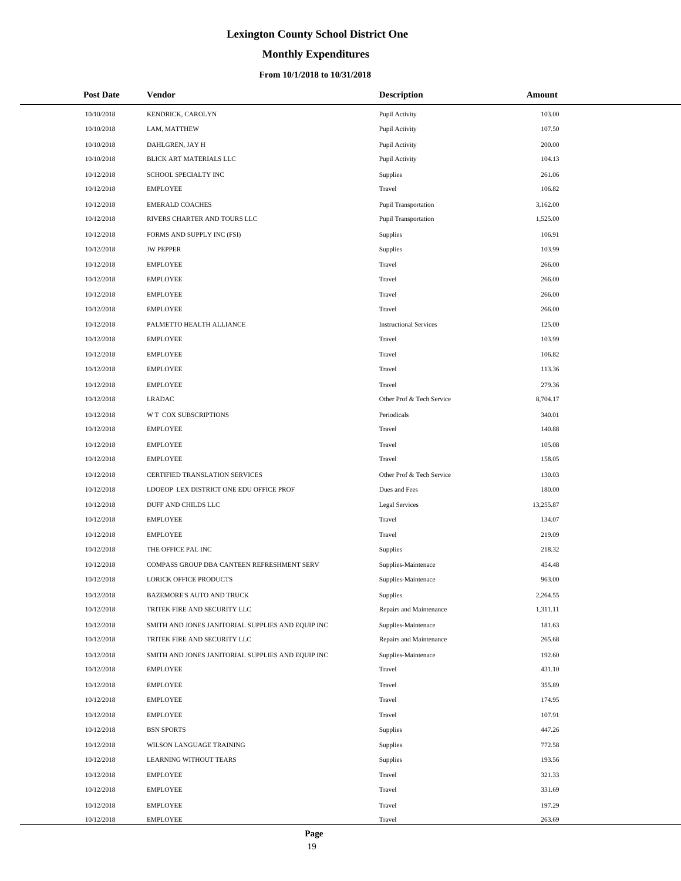# **Monthly Expenditures**

## **From 10/1/2018 to 10/31/2018**

| <b>Post Date</b> | <b>Vendor</b>                                     | <b>Description</b>            | Amount    |
|------------------|---------------------------------------------------|-------------------------------|-----------|
| 10/10/2018       | KENDRICK, CAROLYN                                 | Pupil Activity                | 103.00    |
| 10/10/2018       | LAM, MATTHEW                                      | Pupil Activity                | 107.50    |
| 10/10/2018       | DAHLGREN, JAY H                                   | Pupil Activity                | 200.00    |
| 10/10/2018       | BLICK ART MATERIALS LLC                           | Pupil Activity                | 104.13    |
| 10/12/2018       | SCHOOL SPECIALTY INC                              | Supplies                      | 261.06    |
| 10/12/2018       | <b>EMPLOYEE</b>                                   | Travel                        | 106.82    |
| 10/12/2018       | <b>EMERALD COACHES</b>                            | <b>Pupil Transportation</b>   | 3,162.00  |
| 10/12/2018       | RIVERS CHARTER AND TOURS LLC                      | <b>Pupil Transportation</b>   | 1,525.00  |
| 10/12/2018       | FORMS AND SUPPLY INC (FSI)                        | <b>Supplies</b>               | 106.91    |
| 10/12/2018       | <b>JW PEPPER</b>                                  | Supplies                      | 103.99    |
| 10/12/2018       | <b>EMPLOYEE</b>                                   | Travel                        | 266.00    |
| 10/12/2018       | <b>EMPLOYEE</b>                                   | Travel                        | 266.00    |
| 10/12/2018       | <b>EMPLOYEE</b>                                   | Travel                        | 266.00    |
| 10/12/2018       | <b>EMPLOYEE</b>                                   | Travel                        | 266.00    |
| 10/12/2018       | PALMETTO HEALTH ALLIANCE                          | <b>Instructional Services</b> | 125.00    |
| 10/12/2018       | <b>EMPLOYEE</b>                                   | Travel                        | 103.99    |
| 10/12/2018       | <b>EMPLOYEE</b>                                   | Travel                        | 106.82    |
| 10/12/2018       | <b>EMPLOYEE</b>                                   | Travel                        | 113.36    |
| 10/12/2018       | <b>EMPLOYEE</b>                                   | Travel                        | 279.36    |
| 10/12/2018       | <b>LRADAC</b>                                     | Other Prof & Tech Service     | 8,704.17  |
| 10/12/2018       | W T COX SUBSCRIPTIONS                             | Periodicals                   | 340.01    |
| 10/12/2018       | <b>EMPLOYEE</b>                                   | Travel                        | 140.88    |
| 10/12/2018       | <b>EMPLOYEE</b>                                   | Travel                        | 105.08    |
| 10/12/2018       | <b>EMPLOYEE</b>                                   | Travel                        | 158.05    |
| 10/12/2018       | CERTIFIED TRANSLATION SERVICES                    | Other Prof & Tech Service     | 130.03    |
| 10/12/2018       | LDOEOP LEX DISTRICT ONE EDU OFFICE PROF           | Dues and Fees                 | 180.00    |
| 10/12/2018       | DUFF AND CHILDS LLC                               | <b>Legal Services</b>         | 13,255.87 |
| 10/12/2018       | <b>EMPLOYEE</b>                                   | Travel                        | 134.07    |
| 10/12/2018       | <b>EMPLOYEE</b>                                   | Travel                        | 219.09    |
| 10/12/2018       | THE OFFICE PAL INC                                | Supplies                      | 218.32    |
| 10/12/2018       | COMPASS GROUP DBA CANTEEN REFRESHMENT SERV        | Supplies-Maintenace           | 454.48    |
| 10/12/2018       | <b>LORICK OFFICE PRODUCTS</b>                     | Supplies-Maintenace           | 963.00    |
| 10/12/2018       | BAZEMORE'S AUTO AND TRUCK                         | Supplies                      | 2,264.55  |
| 10/12/2018       | TRITEK FIRE AND SECURITY LLC                      | Repairs and Maintenance       | 1,311.11  |
| 10/12/2018       | SMITH AND JONES JANITORIAL SUPPLIES AND EQUIP INC | Supplies-Maintenace           | 181.63    |
| 10/12/2018       | TRITEK FIRE AND SECURITY LLC                      | Repairs and Maintenance       | 265.68    |
| 10/12/2018       | SMITH AND JONES JANITORIAL SUPPLIES AND EQUIP INC | Supplies-Maintenace           | 192.60    |
| 10/12/2018       | EMPLOYEE                                          | Travel                        | 431.10    |
| 10/12/2018       | EMPLOYEE                                          | Travel                        | 355.89    |
| 10/12/2018       | <b>EMPLOYEE</b>                                   | Travel                        | 174.95    |
| 10/12/2018       | EMPLOYEE                                          | Travel                        | 107.91    |
| 10/12/2018       | <b>BSN SPORTS</b>                                 | Supplies                      | 447.26    |
| 10/12/2018       | WILSON LANGUAGE TRAINING                          | Supplies                      | 772.58    |
| 10/12/2018       | LEARNING WITHOUT TEARS                            | Supplies                      | 193.56    |
| 10/12/2018       | <b>EMPLOYEE</b>                                   | Travel                        | 321.33    |
| 10/12/2018       | EMPLOYEE                                          | Travel                        | 331.69    |
| 10/12/2018       | <b>EMPLOYEE</b>                                   | Travel                        | 197.29    |
| 10/12/2018       | <b>EMPLOYEE</b>                                   | Travel                        | 263.69    |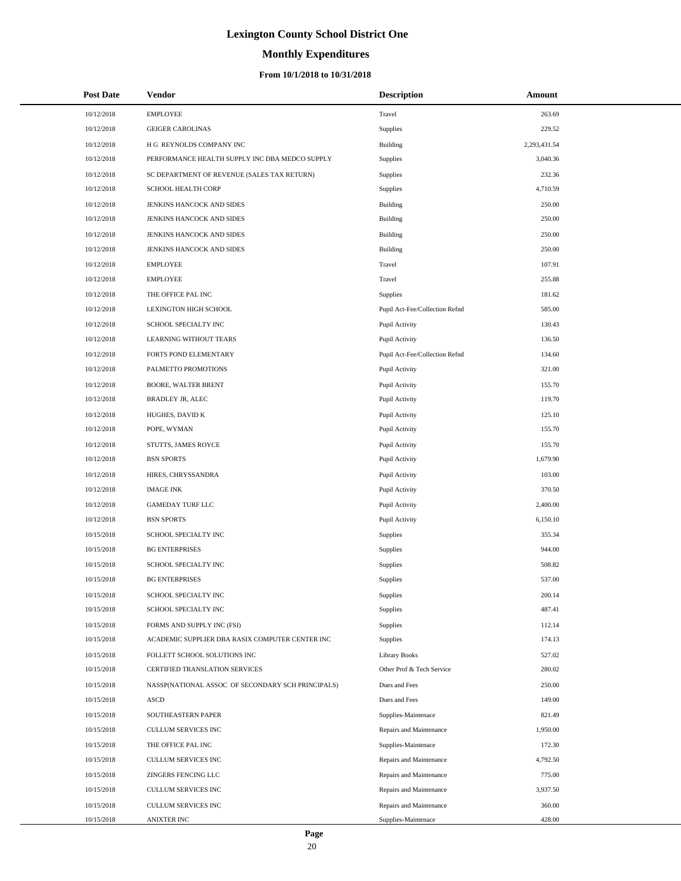# **Monthly Expenditures**

| <b>Post Date</b> | Vendor                                            | <b>Description</b>             | Amount       |
|------------------|---------------------------------------------------|--------------------------------|--------------|
| 10/12/2018       | <b>EMPLOYEE</b>                                   | Travel                         | 263.69       |
| 10/12/2018       | <b>GEIGER CAROLINAS</b>                           | Supplies                       | 229.52       |
| 10/12/2018       | H G REYNOLDS COMPANY INC                          | Building                       | 2,293,431.54 |
| 10/12/2018       | PERFORMANCE HEALTH SUPPLY INC DBA MEDCO SUPPLY    | Supplies                       | 3,040.36     |
| 10/12/2018       | SC DEPARTMENT OF REVENUE (SALES TAX RETURN)       | Supplies                       | 232.36       |
| 10/12/2018       | SCHOOL HEALTH CORP                                | Supplies                       | 4,710.59     |
| 10/12/2018       | JENKINS HANCOCK AND SIDES                         | Building                       | 250.00       |
| 10/12/2018       | JENKINS HANCOCK AND SIDES                         | Building                       | 250.00       |
| 10/12/2018       | JENKINS HANCOCK AND SIDES                         | Building                       | 250.00       |
| 10/12/2018       | JENKINS HANCOCK AND SIDES                         | Building                       | 250.00       |
| 10/12/2018       | <b>EMPLOYEE</b>                                   | Travel                         | 107.91       |
| 10/12/2018       | <b>EMPLOYEE</b>                                   | Travel                         | 255.88       |
| 10/12/2018       | THE OFFICE PAL INC                                | Supplies                       | 181.62       |
| 10/12/2018       | LEXINGTON HIGH SCHOOL                             | Pupil Act-Fee/Collection Refnd | 585.00       |
| 10/12/2018       | SCHOOL SPECIALTY INC                              | Pupil Activity                 | 130.43       |
| 10/12/2018       | <b>LEARNING WITHOUT TEARS</b>                     | Pupil Activity                 | 136.50       |
| 10/12/2018       | FORTS POND ELEMENTARY                             | Pupil Act-Fee/Collection Refnd | 134.60       |
| 10/12/2018       | PALMETTO PROMOTIONS                               | Pupil Activity                 | 321.00       |
| 10/12/2018       | <b>BOORE, WALTER BRENT</b>                        | Pupil Activity                 | 155.70       |
| 10/12/2018       | BRADLEY JR, ALEC                                  | Pupil Activity                 | 119.70       |
| 10/12/2018       | HUGHES, DAVID K                                   | Pupil Activity                 | 125.10       |
| 10/12/2018       | POPE, WYMAN                                       | Pupil Activity                 | 155.70       |
| 10/12/2018       | STUTTS, JAMES ROYCE                               | Pupil Activity                 | 155.70       |
| 10/12/2018       | <b>BSN SPORTS</b>                                 | Pupil Activity                 | 1,679.90     |
| 10/12/2018       | HIRES, CHRYSSANDRA                                | Pupil Activity                 | 103.00       |
| 10/12/2018       | <b>IMAGE INK</b>                                  | Pupil Activity                 | 370.50       |
| 10/12/2018       | <b>GAMEDAY TURF LLC</b>                           | Pupil Activity                 | 2,400.00     |
| 10/12/2018       | <b>BSN SPORTS</b>                                 | Pupil Activity                 | 6,150.10     |
| 10/15/2018       | SCHOOL SPECIALTY INC                              | Supplies                       | 355.34       |
| 10/15/2018       | <b>BG ENTERPRISES</b>                             | Supplies                       | 944.00       |
| 10/15/2018       | SCHOOL SPECIALTY INC                              | Supplies                       | 508.82       |
| 10/15/2018       | <b>BG ENTERPRISES</b>                             | Supplies                       | 537.00       |
| 10/15/2018       | SCHOOL SPECIALTY INC                              | Supplies                       | 200.14       |
| 10/15/2018       | SCHOOL SPECIALTY INC                              | Supplies                       | 487.41       |
| 10/15/2018       | FORMS AND SUPPLY INC (FSI)                        | Supplies                       | 112.14       |
| 10/15/2018       | ACADEMIC SUPPLIER DBA RASIX COMPUTER CENTER INC   | Supplies                       | 174.13       |
| 10/15/2018       | FOLLETT SCHOOL SOLUTIONS INC                      | <b>Library Books</b>           | 527.02       |
| 10/15/2018       | CERTIFIED TRANSLATION SERVICES                    | Other Prof & Tech Service      | 280.02       |
| 10/15/2018       | NASSP(NATIONAL ASSOC OF SECONDARY SCH PRINCIPALS) | Dues and Fees                  | 250.00       |
| 10/15/2018       | <b>ASCD</b>                                       | Dues and Fees                  | 149.00       |
| 10/15/2018       | SOUTHEASTERN PAPER                                | Supplies-Maintenace            | 821.49       |
| 10/15/2018       | CULLUM SERVICES INC                               | Repairs and Maintenance        | 1,950.00     |
| 10/15/2018       | THE OFFICE PAL INC                                | Supplies-Maintenace            | 172.30       |
| 10/15/2018       | CULLUM SERVICES INC                               | Repairs and Maintenance        | 4,792.50     |
| 10/15/2018       | ZINGERS FENCING LLC                               | Repairs and Maintenance        | 775.00       |
| 10/15/2018       | CULLUM SERVICES INC                               | Repairs and Maintenance        | 3,937.50     |
| 10/15/2018       | CULLUM SERVICES INC                               | Repairs and Maintenance        | 360.00       |
| 10/15/2018       | <b>ANIXTER INC</b>                                | Supplies-Maintenace            | 428.00       |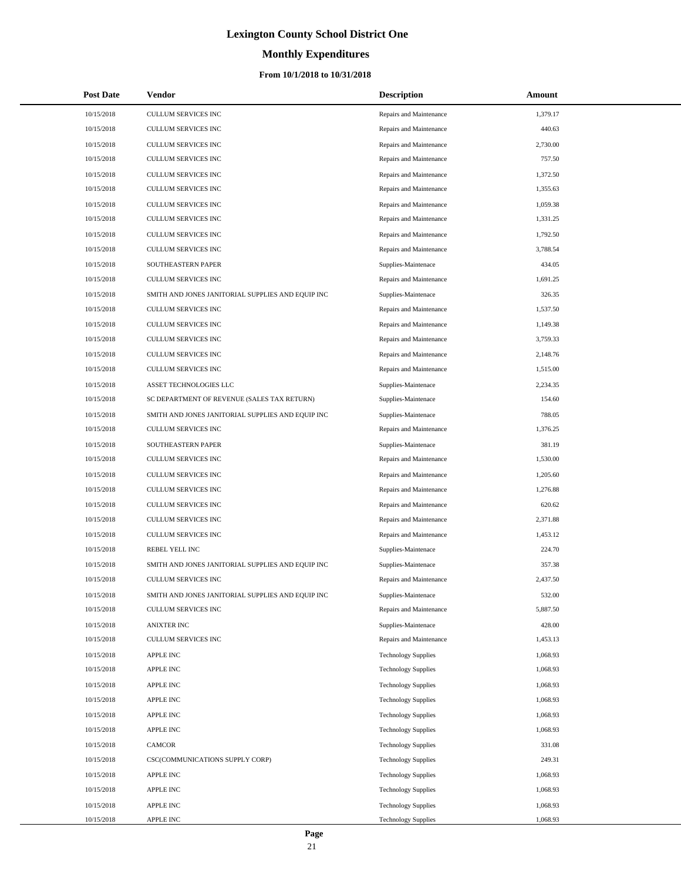# **Monthly Expenditures**

## **From 10/1/2018 to 10/31/2018**

| <b>Post Date</b> | Vendor                                            | <b>Description</b>         | Amount   |
|------------------|---------------------------------------------------|----------------------------|----------|
| 10/15/2018       | <b>CULLUM SERVICES INC</b>                        | Repairs and Maintenance    | 1,379.17 |
| 10/15/2018       | <b>CULLUM SERVICES INC</b>                        | Repairs and Maintenance    | 440.63   |
| 10/15/2018       | CULLUM SERVICES INC                               | Repairs and Maintenance    | 2,730.00 |
| 10/15/2018       | CULLUM SERVICES INC                               | Repairs and Maintenance    | 757.50   |
| 10/15/2018       | CULLUM SERVICES INC                               | Repairs and Maintenance    | 1,372.50 |
| 10/15/2018       | CULLUM SERVICES INC                               | Repairs and Maintenance    | 1,355.63 |
| 10/15/2018       | CULLUM SERVICES INC                               | Repairs and Maintenance    | 1,059.38 |
| 10/15/2018       | CULLUM SERVICES INC                               | Repairs and Maintenance    | 1,331.25 |
| 10/15/2018       | CULLUM SERVICES INC                               | Repairs and Maintenance    | 1,792.50 |
| 10/15/2018       | CULLUM SERVICES INC                               | Repairs and Maintenance    | 3,788.54 |
| 10/15/2018       | SOUTHEASTERN PAPER                                | Supplies-Maintenace        | 434.05   |
| 10/15/2018       | <b>CULLUM SERVICES INC</b>                        | Repairs and Maintenance    | 1,691.25 |
| 10/15/2018       | SMITH AND JONES JANITORIAL SUPPLIES AND EQUIP INC | Supplies-Maintenace        | 326.35   |
| 10/15/2018       | <b>CULLUM SERVICES INC</b>                        | Repairs and Maintenance    | 1,537.50 |
| 10/15/2018       | CULLUM SERVICES INC                               | Repairs and Maintenance    | 1,149.38 |
| 10/15/2018       | CULLUM SERVICES INC                               | Repairs and Maintenance    | 3,759.33 |
| 10/15/2018       | CULLUM SERVICES INC                               | Repairs and Maintenance    | 2,148.76 |
| 10/15/2018       | CULLUM SERVICES INC                               | Repairs and Maintenance    | 1,515.00 |
| 10/15/2018       | ASSET TECHNOLOGIES LLC                            | Supplies-Maintenace        | 2,234.35 |
| 10/15/2018       | SC DEPARTMENT OF REVENUE (SALES TAX RETURN)       | Supplies-Maintenace        | 154.60   |
| 10/15/2018       | SMITH AND JONES JANITORIAL SUPPLIES AND EQUIP INC | Supplies-Maintenace        | 788.05   |
| 10/15/2018       | <b>CULLUM SERVICES INC</b>                        | Repairs and Maintenance    | 1,376.25 |
| 10/15/2018       | SOUTHEASTERN PAPER                                | Supplies-Maintenace        | 381.19   |
| 10/15/2018       | CULLUM SERVICES INC                               | Repairs and Maintenance    | 1,530.00 |
| 10/15/2018       | CULLUM SERVICES INC                               | Repairs and Maintenance    | 1,205.60 |
| 10/15/2018       | CULLUM SERVICES INC                               | Repairs and Maintenance    | 1,276.88 |
| 10/15/2018       | CULLUM SERVICES INC                               | Repairs and Maintenance    | 620.62   |
| 10/15/2018       | CULLUM SERVICES INC                               | Repairs and Maintenance    | 2.371.88 |
| 10/15/2018       | <b>CULLUM SERVICES INC</b>                        | Repairs and Maintenance    | 1,453.12 |
| 10/15/2018       | REBEL YELL INC                                    | Supplies-Maintenace        | 224.70   |
| 10/15/2018       | SMITH AND JONES JANITORIAL SUPPLIES AND EQUIP INC | Supplies-Maintenace        | 357.38   |
| 10/15/2018       | <b>CULLUM SERVICES INC</b>                        | Repairs and Maintenance    | 2,437.50 |
| 10/15/2018       | SMITH AND JONES JANITORIAL SUPPLIES AND EQUIP INC | Supplies-Maintenace        | 532.00   |
| 10/15/2018       | <b>CULLUM SERVICES INC</b>                        | Repairs and Maintenance    | 5,887.50 |
| 10/15/2018       | <b>ANIXTER INC</b>                                | Supplies-Maintenace        | 428.00   |
| 10/15/2018       | CULLUM SERVICES INC                               | Repairs and Maintenance    | 1,453.13 |
| 10/15/2018       | <b>APPLE INC</b>                                  | <b>Technology Supplies</b> | 1,068.93 |
| 10/15/2018       | APPLE INC                                         | <b>Technology Supplies</b> | 1,068.93 |
| 10/15/2018       | <b>APPLE INC</b>                                  | <b>Technology Supplies</b> | 1,068.93 |
| 10/15/2018       | APPLE INC                                         | <b>Technology Supplies</b> | 1,068.93 |
| 10/15/2018       | APPLE INC                                         | <b>Technology Supplies</b> | 1,068.93 |
| 10/15/2018       | APPLE INC                                         | <b>Technology Supplies</b> | 1,068.93 |
| 10/15/2018       | <b>CAMCOR</b>                                     | <b>Technology Supplies</b> | 331.08   |
| 10/15/2018       | CSC(COMMUNICATIONS SUPPLY CORP)                   | <b>Technology Supplies</b> | 249.31   |
| 10/15/2018       | <b>APPLE INC</b>                                  | <b>Technology Supplies</b> | 1,068.93 |
| 10/15/2018       | APPLE INC                                         | <b>Technology Supplies</b> | 1,068.93 |
| 10/15/2018       | <b>APPLE INC</b>                                  | <b>Technology Supplies</b> | 1,068.93 |
| 10/15/2018       | APPLE INC                                         | <b>Technology Supplies</b> | 1,068.93 |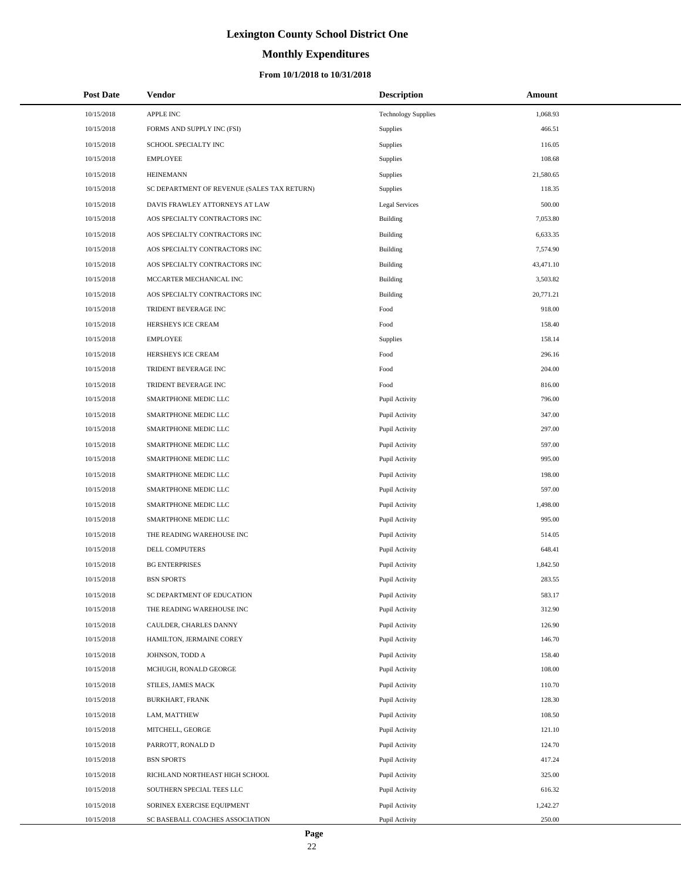# **Monthly Expenditures**

## **From 10/1/2018 to 10/31/2018**

| <b>Post Date</b> | Vendor                                      | <b>Description</b>         | Amount    |
|------------------|---------------------------------------------|----------------------------|-----------|
| 10/15/2018       | APPLE INC                                   | <b>Technology Supplies</b> | 1,068.93  |
| 10/15/2018       | FORMS AND SUPPLY INC (FSI)                  | Supplies                   | 466.51    |
| 10/15/2018       | SCHOOL SPECIALTY INC                        | Supplies                   | 116.05    |
| 10/15/2018       | <b>EMPLOYEE</b>                             | Supplies                   | 108.68    |
| 10/15/2018       | <b>HEINEMANN</b>                            | Supplies                   | 21,580.65 |
| 10/15/2018       | SC DEPARTMENT OF REVENUE (SALES TAX RETURN) | Supplies                   | 118.35    |
| 10/15/2018       | DAVIS FRAWLEY ATTORNEYS AT LAW              | <b>Legal Services</b>      | 500.00    |
| 10/15/2018       | AOS SPECIALTY CONTRACTORS INC               | Building                   | 7,053.80  |
| 10/15/2018       | AOS SPECIALTY CONTRACTORS INC               | Building                   | 6,633.35  |
| 10/15/2018       | AOS SPECIALTY CONTRACTORS INC               | Building                   | 7,574.90  |
| 10/15/2018       | AOS SPECIALTY CONTRACTORS INC               | Building                   | 43,471.10 |
| 10/15/2018       | MCCARTER MECHANICAL INC                     | Building                   | 3,503.82  |
| 10/15/2018       | AOS SPECIALTY CONTRACTORS INC               | Building                   | 20,771.21 |
| 10/15/2018       | TRIDENT BEVERAGE INC                        | Food                       | 918.00    |
| 10/15/2018       | HERSHEYS ICE CREAM                          | Food                       | 158.40    |
| 10/15/2018       | <b>EMPLOYEE</b>                             | Supplies                   | 158.14    |
| 10/15/2018       | HERSHEYS ICE CREAM                          | Food                       | 296.16    |
| 10/15/2018       | TRIDENT BEVERAGE INC                        | Food                       | 204.00    |
| 10/15/2018       | TRIDENT BEVERAGE INC                        | Food                       | 816.00    |
| 10/15/2018       | SMARTPHONE MEDIC LLC                        | Pupil Activity             | 796.00    |
| 10/15/2018       | SMARTPHONE MEDIC LLC                        | Pupil Activity             | 347.00    |
| 10/15/2018       | SMARTPHONE MEDIC LLC                        | Pupil Activity             | 297.00    |
| 10/15/2018       | SMARTPHONE MEDIC LLC                        | Pupil Activity             | 597.00    |
| 10/15/2018       | SMARTPHONE MEDIC LLC                        | Pupil Activity             | 995.00    |
| 10/15/2018       | SMARTPHONE MEDIC LLC                        | Pupil Activity             | 198.00    |
| 10/15/2018       | SMARTPHONE MEDIC LLC                        | Pupil Activity             | 597.00    |
| 10/15/2018       | SMARTPHONE MEDIC LLC                        | Pupil Activity             | 1,498.00  |
| 10/15/2018       | SMARTPHONE MEDIC LLC                        | Pupil Activity             | 995.00    |
| 10/15/2018       | THE READING WAREHOUSE INC                   | Pupil Activity             | 514.05    |
| 10/15/2018       | DELL COMPUTERS                              | Pupil Activity             | 648.41    |
| 10/15/2018       | <b>BG ENTERPRISES</b>                       | Pupil Activity             | 1,842.50  |
| 10/15/2018       | <b>BSN SPORTS</b>                           | Pupil Activity             | 283.55    |
| 10/15/2018       | SC DEPARTMENT OF EDUCATION                  | Pupil Activity             | 583.17    |
| 10/15/2018       | THE READING WAREHOUSE INC                   | Pupil Activity             | 312.90    |
| 10/15/2018       | CAULDER, CHARLES DANNY                      | Pupil Activity             | 126.90    |
| 10/15/2018       | HAMILTON, JERMAINE COREY                    | Pupil Activity             | 146.70    |
| 10/15/2018       | JOHNSON, TODD A                             | Pupil Activity             | 158.40    |
| 10/15/2018       | MCHUGH, RONALD GEORGE                       | Pupil Activity             | 108.00    |
| 10/15/2018       | STILES, JAMES MACK                          | Pupil Activity             | 110.70    |
| 10/15/2018       | <b>BURKHART, FRANK</b>                      | Pupil Activity             | 128.30    |
| 10/15/2018       | LAM, MATTHEW                                | Pupil Activity             | 108.50    |
| 10/15/2018       | MITCHELL, GEORGE                            | Pupil Activity             | 121.10    |
| 10/15/2018       | PARROTT, RONALD D                           | Pupil Activity             | 124.70    |
| 10/15/2018       | <b>BSN SPORTS</b>                           | Pupil Activity             | 417.24    |
| 10/15/2018       | RICHLAND NORTHEAST HIGH SCHOOL              | Pupil Activity             | 325.00    |
| 10/15/2018       | SOUTHERN SPECIAL TEES LLC                   | Pupil Activity             | 616.32    |
| 10/15/2018       | SORINEX EXERCISE EQUIPMENT                  | Pupil Activity             | 1,242.27  |
| 10/15/2018       | SC BASEBALL COACHES ASSOCIATION             | Pupil Activity             | 250.00    |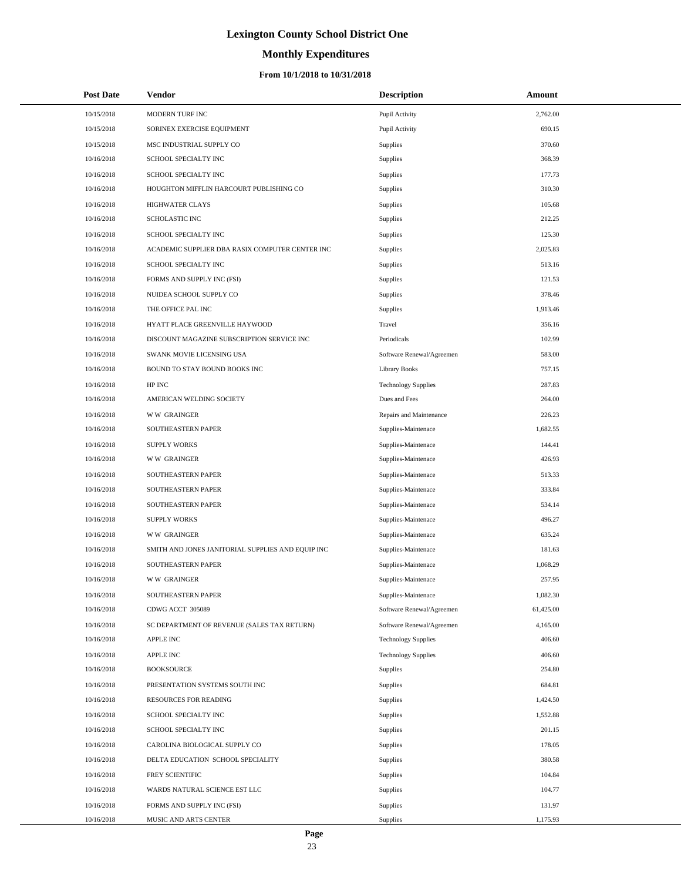# **Monthly Expenditures**

## **From 10/1/2018 to 10/31/2018**

| <b>Post Date</b> | Vendor                                            | <b>Description</b>         | Amount    |
|------------------|---------------------------------------------------|----------------------------|-----------|
| 10/15/2018       | MODERN TURF INC                                   | Pupil Activity             | 2,762.00  |
| 10/15/2018       | SORINEX EXERCISE EQUIPMENT                        | Pupil Activity             | 690.15    |
| 10/15/2018       | MSC INDUSTRIAL SUPPLY CO                          | Supplies                   | 370.60    |
| 10/16/2018       | SCHOOL SPECIALTY INC                              | Supplies                   | 368.39    |
| 10/16/2018       | SCHOOL SPECIALTY INC                              | Supplies                   | 177.73    |
| 10/16/2018       | HOUGHTON MIFFLIN HARCOURT PUBLISHING CO           | Supplies                   | 310.30    |
| 10/16/2018       | <b>HIGHWATER CLAYS</b>                            | Supplies                   | 105.68    |
| 10/16/2018       | <b>SCHOLASTIC INC</b>                             | Supplies                   | 212.25    |
| 10/16/2018       | SCHOOL SPECIALTY INC                              | Supplies                   | 125.30    |
| 10/16/2018       | ACADEMIC SUPPLIER DBA RASIX COMPUTER CENTER INC   | Supplies                   | 2,025.83  |
| 10/16/2018       | SCHOOL SPECIALTY INC                              | Supplies                   | 513.16    |
| 10/16/2018       | FORMS AND SUPPLY INC (FSI)                        | Supplies                   | 121.53    |
| 10/16/2018       | NUIDEA SCHOOL SUPPLY CO                           | Supplies                   | 378.46    |
| 10/16/2018       | THE OFFICE PAL INC                                | Supplies                   | 1,913.46  |
| 10/16/2018       | HYATT PLACE GREENVILLE HAYWOOD                    | Travel                     | 356.16    |
| 10/16/2018       | DISCOUNT MAGAZINE SUBSCRIPTION SERVICE INC        | Periodicals                | 102.99    |
| 10/16/2018       | SWANK MOVIE LICENSING USA                         | Software Renewal/Agreemen  | 583.00    |
| 10/16/2018       | BOUND TO STAY BOUND BOOKS INC                     | <b>Library Books</b>       | 757.15    |
| 10/16/2018       | HP INC                                            | <b>Technology Supplies</b> | 287.83    |
| 10/16/2018       | AMERICAN WELDING SOCIETY                          | Dues and Fees              | 264.00    |
| 10/16/2018       | <b>WW GRAINGER</b>                                | Repairs and Maintenance    | 226.23    |
| 10/16/2018       | SOUTHEASTERN PAPER                                | Supplies-Maintenace        | 1,682.55  |
| 10/16/2018       | <b>SUPPLY WORKS</b>                               | Supplies-Maintenace        | 144.41    |
| 10/16/2018       | <b>WW GRAINGER</b>                                | Supplies-Maintenace        | 426.93    |
| 10/16/2018       | SOUTHEASTERN PAPER                                | Supplies-Maintenace        | 513.33    |
| 10/16/2018       | SOUTHEASTERN PAPER                                | Supplies-Maintenace        | 333.84    |
| 10/16/2018       | SOUTHEASTERN PAPER                                | Supplies-Maintenace        | 534.14    |
| 10/16/2018       | <b>SUPPLY WORKS</b>                               | Supplies-Maintenace        | 496.27    |
| 10/16/2018       | <b>WW GRAINGER</b>                                | Supplies-Maintenace        | 635.24    |
| 10/16/2018       | SMITH AND JONES JANITORIAL SUPPLIES AND EQUIP INC | Supplies-Maintenace        | 181.63    |
| 10/16/2018       | SOUTHEASTERN PAPER                                | Supplies-Maintenace        | 1,068.29  |
| 10/16/2018       | <b>WW GRAINGER</b>                                | Supplies-Maintenace        | 257.95    |
| 10/16/2018       | SOUTHEASTERN PAPER                                | Supplies-Maintenace        | 1,082.30  |
| 10/16/2018       | CDWG ACCT 305089                                  | Software Renewal/Agreemen  | 61,425.00 |
| 10/16/2018       | SC DEPARTMENT OF REVENUE (SALES TAX RETURN)       | Software Renewal/Agreemen  | 4,165.00  |
| 10/16/2018       | <b>APPLE INC</b>                                  | <b>Technology Supplies</b> | 406.60    |
| 10/16/2018       | <b>APPLE INC</b>                                  | <b>Technology Supplies</b> | 406.60    |
| 10/16/2018       | <b>BOOKSOURCE</b>                                 | Supplies                   | 254.80    |
| 10/16/2018       | PRESENTATION SYSTEMS SOUTH INC                    | Supplies                   | 684.81    |
| 10/16/2018       | RESOURCES FOR READING                             | Supplies                   | 1,424.50  |
| 10/16/2018       | SCHOOL SPECIALTY INC                              | Supplies                   | 1,552.88  |
| 10/16/2018       | SCHOOL SPECIALTY INC                              | Supplies                   | 201.15    |
| 10/16/2018       | CAROLINA BIOLOGICAL SUPPLY CO                     | Supplies                   | 178.05    |
| 10/16/2018       | DELTA EDUCATION SCHOOL SPECIALITY                 | Supplies                   | 380.58    |
| 10/16/2018       | FREY SCIENTIFIC                                   | Supplies                   | 104.84    |
| 10/16/2018       | WARDS NATURAL SCIENCE EST LLC                     | Supplies                   | 104.77    |
| 10/16/2018       | FORMS AND SUPPLY INC (FSI)                        | Supplies                   | 131.97    |
| 10/16/2018       | MUSIC AND ARTS CENTER                             | Supplies                   | 1,175.93  |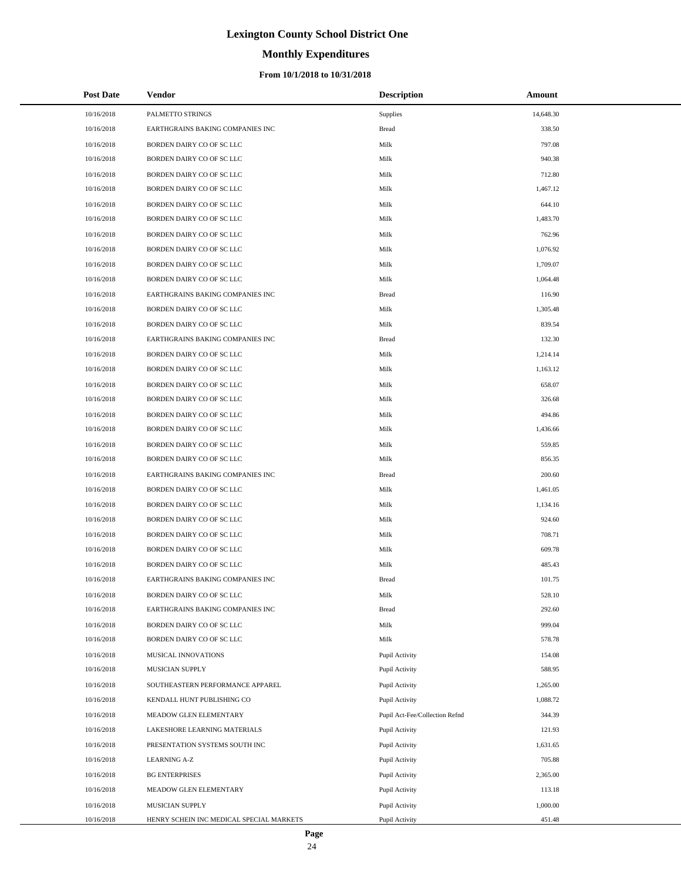# **Monthly Expenditures**

## **From 10/1/2018 to 10/31/2018**

| <b>Post Date</b> | Vendor                                   | <b>Description</b>             | Amount    |
|------------------|------------------------------------------|--------------------------------|-----------|
| 10/16/2018       | PALMETTO STRINGS                         | Supplies                       | 14,648.30 |
| 10/16/2018       | EARTHGRAINS BAKING COMPANIES INC         | <b>Bread</b>                   | 338.50    |
| 10/16/2018       | BORDEN DAIRY CO OF SC LLC                | Milk                           | 797.08    |
| 10/16/2018       | BORDEN DAIRY CO OF SC LLC                | Milk                           | 940.38    |
| 10/16/2018       | BORDEN DAIRY CO OF SC LLC                | Milk                           | 712.80    |
| 10/16/2018       | BORDEN DAIRY CO OF SC LLC                | Milk                           | 1,467.12  |
| 10/16/2018       | BORDEN DAIRY CO OF SC LLC                | Milk                           | 644.10    |
| 10/16/2018       | BORDEN DAIRY CO OF SC LLC                | Milk                           | 1,483.70  |
| 10/16/2018       | BORDEN DAIRY CO OF SC LLC                | Milk                           | 762.96    |
| 10/16/2018       | BORDEN DAIRY CO OF SC LLC                | Milk                           | 1,076.92  |
| 10/16/2018       | BORDEN DAIRY CO OF SC LLC                | Milk                           | 1,709.07  |
| 10/16/2018       | BORDEN DAIRY CO OF SC LLC                | Milk                           | 1,064.48  |
| 10/16/2018       | EARTHGRAINS BAKING COMPANIES INC         | <b>Bread</b>                   | 116.90    |
| 10/16/2018       | BORDEN DAIRY CO OF SC LLC                | Milk                           | 1,305.48  |
| 10/16/2018       | BORDEN DAIRY CO OF SC LLC                | Milk                           | 839.54    |
| 10/16/2018       | EARTHGRAINS BAKING COMPANIES INC         | <b>Bread</b>                   | 132.30    |
| 10/16/2018       | BORDEN DAIRY CO OF SC LLC                | Milk                           | 1,214.14  |
| 10/16/2018       | BORDEN DAIRY CO OF SC LLC                | Milk                           | 1,163.12  |
| 10/16/2018       | BORDEN DAIRY CO OF SC LLC                | Milk                           | 658.07    |
| 10/16/2018       | BORDEN DAIRY CO OF SC LLC                | Milk                           | 326.68    |
| 10/16/2018       | BORDEN DAIRY CO OF SC LLC                | Milk                           | 494.86    |
| 10/16/2018       | BORDEN DAIRY CO OF SC LLC                | Milk                           | 1,436.66  |
| 10/16/2018       | BORDEN DAIRY CO OF SC LLC                | Milk                           | 559.85    |
| 10/16/2018       | BORDEN DAIRY CO OF SC LLC                | Milk                           | 856.35    |
| 10/16/2018       | EARTHGRAINS BAKING COMPANIES INC         | <b>Bread</b>                   | 200.60    |
| 10/16/2018       | BORDEN DAIRY CO OF SC LLC                | Milk                           | 1,461.05  |
| 10/16/2018       | BORDEN DAIRY CO OF SC LLC                | Milk                           | 1,134.16  |
| 10/16/2018       | BORDEN DAIRY CO OF SC LLC                | Milk                           | 924.60    |
| 10/16/2018       | BORDEN DAIRY CO OF SC LLC                | Milk                           | 708.71    |
| 10/16/2018       | BORDEN DAIRY CO OF SC LLC                | Milk                           | 609.78    |
| 10/16/2018       | BORDEN DAIRY CO OF SC LLC                | Milk                           | 485.43    |
| 10/16/2018       | EARTHGRAINS BAKING COMPANIES INC         | <b>Bread</b>                   | 101.75    |
| 10/16/2018       | BORDEN DAIRY CO OF SC LLC                | Milk                           | 528.10    |
| 10/16/2018       | EARTHGRAINS BAKING COMPANIES INC         | <b>Bread</b>                   | 292.60    |
| 10/16/2018       | BORDEN DAIRY CO OF SC LLC                | Milk                           | 999.04    |
| 10/16/2018       | BORDEN DAIRY CO OF SC LLC                | Milk                           | 578.78    |
| 10/16/2018       | MUSICAL INNOVATIONS                      | Pupil Activity                 | 154.08    |
| 10/16/2018       | MUSICIAN SUPPLY                          | Pupil Activity                 | 588.95    |
| 10/16/2018       | SOUTHEASTERN PERFORMANCE APPAREL         | Pupil Activity                 | 1,265.00  |
| 10/16/2018       | KENDALL HUNT PUBLISHING CO               | Pupil Activity                 | 1,088.72  |
| 10/16/2018       | MEADOW GLEN ELEMENTARY                   | Pupil Act-Fee/Collection Refnd | 344.39    |
| 10/16/2018       | LAKESHORE LEARNING MATERIALS             | Pupil Activity                 | 121.93    |
| 10/16/2018       | PRESENTATION SYSTEMS SOUTH INC           | Pupil Activity                 | 1,631.65  |
| 10/16/2018       | <b>LEARNING A-Z</b>                      | Pupil Activity                 | 705.88    |
| 10/16/2018       | <b>BG ENTERPRISES</b>                    | Pupil Activity                 | 2,365.00  |
| 10/16/2018       | MEADOW GLEN ELEMENTARY                   | Pupil Activity                 | 113.18    |
| 10/16/2018       | MUSICIAN SUPPLY                          | Pupil Activity                 | 1,000.00  |
| 10/16/2018       | HENRY SCHEIN INC MEDICAL SPECIAL MARKETS | Pupil Activity                 | 451.48    |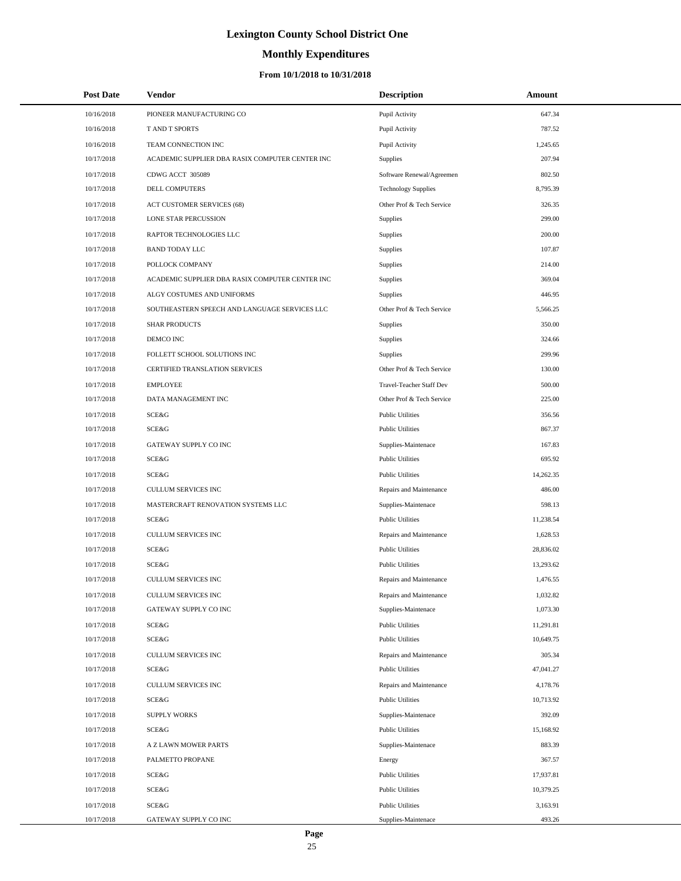# **Monthly Expenditures**

## **From 10/1/2018 to 10/31/2018**

| <b>Post Date</b> | Vendor                                          | <b>Description</b>         | Amount    |  |
|------------------|-------------------------------------------------|----------------------------|-----------|--|
| 10/16/2018       | PIONEER MANUFACTURING CO                        | Pupil Activity             | 647.34    |  |
| 10/16/2018       | T AND T SPORTS                                  | Pupil Activity             | 787.52    |  |
| 10/16/2018       | TEAM CONNECTION INC                             | Pupil Activity             | 1,245.65  |  |
| 10/17/2018       | ACADEMIC SUPPLIER DBA RASIX COMPUTER CENTER INC | Supplies                   | 207.94    |  |
| 10/17/2018       | CDWG ACCT 305089                                | Software Renewal/Agreemen  | 802.50    |  |
| 10/17/2018       | DELL COMPUTERS                                  | <b>Technology Supplies</b> | 8,795.39  |  |
| 10/17/2018       | ACT CUSTOMER SERVICES (68)                      | Other Prof & Tech Service  | 326.35    |  |
| 10/17/2018       | LONE STAR PERCUSSION                            | Supplies                   | 299.00    |  |
| 10/17/2018       | RAPTOR TECHNOLOGIES LLC                         | Supplies                   | 200.00    |  |
| 10/17/2018       | <b>BAND TODAY LLC</b>                           | Supplies                   | 107.87    |  |
| 10/17/2018       | POLLOCK COMPANY                                 | Supplies                   | 214.00    |  |
| 10/17/2018       | ACADEMIC SUPPLIER DBA RASIX COMPUTER CENTER INC | Supplies                   | 369.04    |  |
| 10/17/2018       | ALGY COSTUMES AND UNIFORMS                      | Supplies                   | 446.95    |  |
| 10/17/2018       | SOUTHEASTERN SPEECH AND LANGUAGE SERVICES LLC   | Other Prof & Tech Service  | 5,566.25  |  |
| 10/17/2018       | <b>SHAR PRODUCTS</b>                            | Supplies                   | 350.00    |  |
| 10/17/2018       | DEMCO INC                                       | Supplies                   | 324.66    |  |
| 10/17/2018       | FOLLETT SCHOOL SOLUTIONS INC                    | Supplies                   | 299.96    |  |
| 10/17/2018       | CERTIFIED TRANSLATION SERVICES                  | Other Prof & Tech Service  | 130.00    |  |
| 10/17/2018       | <b>EMPLOYEE</b>                                 | Travel-Teacher Staff Dev   | 500.00    |  |
| 10/17/2018       | DATA MANAGEMENT INC                             | Other Prof & Tech Service  | 225.00    |  |
| 10/17/2018       | SCE&G                                           | <b>Public Utilities</b>    | 356.56    |  |
| 10/17/2018       | <b>SCE&amp;G</b>                                | <b>Public Utilities</b>    | 867.37    |  |
| 10/17/2018       | GATEWAY SUPPLY CO INC                           | Supplies-Maintenace        | 167.83    |  |
| 10/17/2018       | SCE&G                                           | <b>Public Utilities</b>    | 695.92    |  |
| 10/17/2018       | SCE&G                                           | <b>Public Utilities</b>    | 14,262.35 |  |
| 10/17/2018       | CULLUM SERVICES INC                             | Repairs and Maintenance    | 486.00    |  |
| 10/17/2018       | MASTERCRAFT RENOVATION SYSTEMS LLC              | Supplies-Maintenace        | 598.13    |  |
| 10/17/2018       | SCE&G                                           | <b>Public Utilities</b>    | 11,238.54 |  |
| 10/17/2018       | <b>CULLUM SERVICES INC</b>                      | Repairs and Maintenance    | 1,628.53  |  |
| 10/17/2018       | SCE&G                                           | <b>Public Utilities</b>    | 28,836.02 |  |
| 10/17/2018       | SCE&G                                           | <b>Public Utilities</b>    | 13,293.62 |  |
| 10/17/2018       | <b>CULLUM SERVICES INC</b>                      | Repairs and Maintenance    | 1.476.55  |  |
| 10/17/2018       | CULLUM SERVICES INC                             | Repairs and Maintenance    | 1,032.82  |  |
| 10/17/2018       | GATEWAY SUPPLY CO INC                           | Supplies-Maintenace        | 1,073.30  |  |
| 10/17/2018       | SCE&G                                           | <b>Public Utilities</b>    | 11,291.81 |  |
| 10/17/2018       | SCE&G                                           | <b>Public Utilities</b>    | 10,649.75 |  |
| 10/17/2018       | CULLUM SERVICES INC                             | Repairs and Maintenance    | 305.34    |  |
| 10/17/2018       | SCE&G                                           | <b>Public Utilities</b>    | 47,041.27 |  |
| 10/17/2018       | CULLUM SERVICES INC                             | Repairs and Maintenance    | 4,178.76  |  |
| 10/17/2018       | <b>SCE&amp;G</b>                                | <b>Public Utilities</b>    | 10,713.92 |  |
| 10/17/2018       | <b>SUPPLY WORKS</b>                             | Supplies-Maintenace        | 392.09    |  |
| 10/17/2018       | SCE&G                                           | <b>Public Utilities</b>    | 15,168.92 |  |
| 10/17/2018       | A Z LAWN MOWER PARTS                            | Supplies-Maintenace        | 883.39    |  |
| 10/17/2018       | PALMETTO PROPANE                                | Energy                     | 367.57    |  |
| 10/17/2018       | SCE&G                                           | <b>Public Utilities</b>    | 17,937.81 |  |
| 10/17/2018       | SCE&G                                           | <b>Public Utilities</b>    | 10,379.25 |  |
| 10/17/2018       | SCE&G                                           | <b>Public Utilities</b>    | 3,163.91  |  |
| 10/17/2018       | GATEWAY SUPPLY CO INC                           | Supplies-Maintenace        | 493.26    |  |

 $\overline{a}$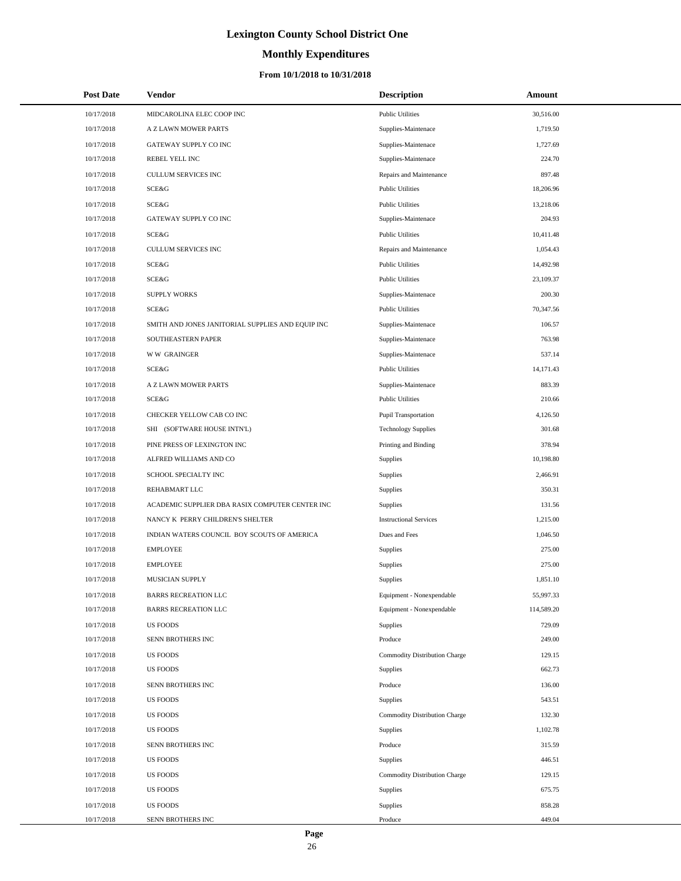# **Monthly Expenditures**

| <b>Post Date</b> | <b>Vendor</b>                                     | <b>Description</b>            | Amount     |
|------------------|---------------------------------------------------|-------------------------------|------------|
| 10/17/2018       | MIDCAROLINA ELEC COOP INC                         | <b>Public Utilities</b>       | 30,516.00  |
| 10/17/2018       | A Z LAWN MOWER PARTS                              | Supplies-Maintenace           | 1,719.50   |
| 10/17/2018       | GATEWAY SUPPLY CO INC                             | Supplies-Maintenace           | 1,727.69   |
| 10/17/2018       | REBEL YELL INC                                    | Supplies-Maintenace           | 224.70     |
| 10/17/2018       | <b>CULLUM SERVICES INC</b>                        | Repairs and Maintenance       | 897.48     |
| 10/17/2018       | SCE&G                                             | <b>Public Utilities</b>       | 18,206.96  |
| 10/17/2018       | SCE&G                                             | <b>Public Utilities</b>       | 13,218.06  |
| 10/17/2018       | GATEWAY SUPPLY CO INC                             | Supplies-Maintenace           | 204.93     |
| 10/17/2018       | SCE&G                                             | <b>Public Utilities</b>       | 10,411.48  |
| 10/17/2018       | <b>CULLUM SERVICES INC</b>                        | Repairs and Maintenance       | 1,054.43   |
| 10/17/2018       | SCE&G                                             | <b>Public Utilities</b>       | 14,492.98  |
| 10/17/2018       | SCE&G                                             | <b>Public Utilities</b>       | 23,109.37  |
| 10/17/2018       | <b>SUPPLY WORKS</b>                               | Supplies-Maintenace           | 200.30     |
| 10/17/2018       | SCE&G                                             | <b>Public Utilities</b>       | 70,347.56  |
| 10/17/2018       | SMITH AND JONES JANITORIAL SUPPLIES AND EQUIP INC | Supplies-Maintenace           | 106.57     |
| 10/17/2018       | SOUTHEASTERN PAPER                                | Supplies-Maintenace           | 763.98     |
| 10/17/2018       | <b>WW GRAINGER</b>                                | Supplies-Maintenace           | 537.14     |
| 10/17/2018       | SCE&G                                             | <b>Public Utilities</b>       | 14,171.43  |
| 10/17/2018       | A Z LAWN MOWER PARTS                              | Supplies-Maintenace           | 883.39     |
| 10/17/2018       | SCE&G                                             | <b>Public Utilities</b>       | 210.66     |
| 10/17/2018       | CHECKER YELLOW CAB CO INC                         | <b>Pupil Transportation</b>   | 4,126.50   |
| 10/17/2018       | SHI (SOFTWARE HOUSE INTN'L)                       | <b>Technology Supplies</b>    | 301.68     |
| 10/17/2018       | PINE PRESS OF LEXINGTON INC                       | Printing and Binding          | 378.94     |
| 10/17/2018       | ALFRED WILLIAMS AND CO                            | Supplies                      | 10,198.80  |
| 10/17/2018       | SCHOOL SPECIALTY INC                              | Supplies                      | 2,466.91   |
| 10/17/2018       | REHABMART LLC                                     | Supplies                      | 350.31     |
| 10/17/2018       | ACADEMIC SUPPLIER DBA RASIX COMPUTER CENTER INC   | Supplies                      | 131.56     |
| 10/17/2018       | NANCY K PERRY CHILDREN'S SHELTER                  | <b>Instructional Services</b> | 1,215.00   |
| 10/17/2018       | INDIAN WATERS COUNCIL BOY SCOUTS OF AMERICA       | Dues and Fees                 | 1,046.50   |
| 10/17/2018       | <b>EMPLOYEE</b>                                   | Supplies                      | 275.00     |
| 10/17/2018       | <b>EMPLOYEE</b>                                   | Supplies                      | 275.00     |
| 10/17/2018       | <b>MUSICIAN SUPPLY</b>                            | Supplies                      | 1,851.10   |
| 10/17/2018       | <b>BARRS RECREATION LLC</b>                       | Equipment - Nonexpendable     | 55,997.33  |
| 10/17/2018       | <b>BARRS RECREATION LLC</b>                       | Equipment - Nonexpendable     | 114,589.20 |
| 10/17/2018       | <b>US FOODS</b>                                   | Supplies                      | 729.09     |
| 10/17/2018       | SENN BROTHERS INC                                 | Produce                       | 249.00     |
| 10/17/2018       | <b>US FOODS</b>                                   | Commodity Distribution Charge | 129.15     |
| 10/17/2018       | <b>US FOODS</b>                                   | Supplies                      | 662.73     |
| 10/17/2018       | SENN BROTHERS INC                                 | Produce                       | 136.00     |
| 10/17/2018       | <b>US FOODS</b>                                   | Supplies                      | 543.51     |
| 10/17/2018       | <b>US FOODS</b>                                   | Commodity Distribution Charge | 132.30     |
| 10/17/2018       | <b>US FOODS</b>                                   | Supplies                      | 1,102.78   |
| 10/17/2018       | SENN BROTHERS INC                                 | Produce                       | 315.59     |
| 10/17/2018       | <b>US FOODS</b>                                   | Supplies                      | 446.51     |
| 10/17/2018       | <b>US FOODS</b>                                   | Commodity Distribution Charge | 129.15     |
| 10/17/2018       | <b>US FOODS</b>                                   | Supplies                      | 675.75     |
| 10/17/2018       | <b>US FOODS</b>                                   | Supplies                      | 858.28     |
| 10/17/2018       | SENN BROTHERS INC                                 | Produce                       | 449.04     |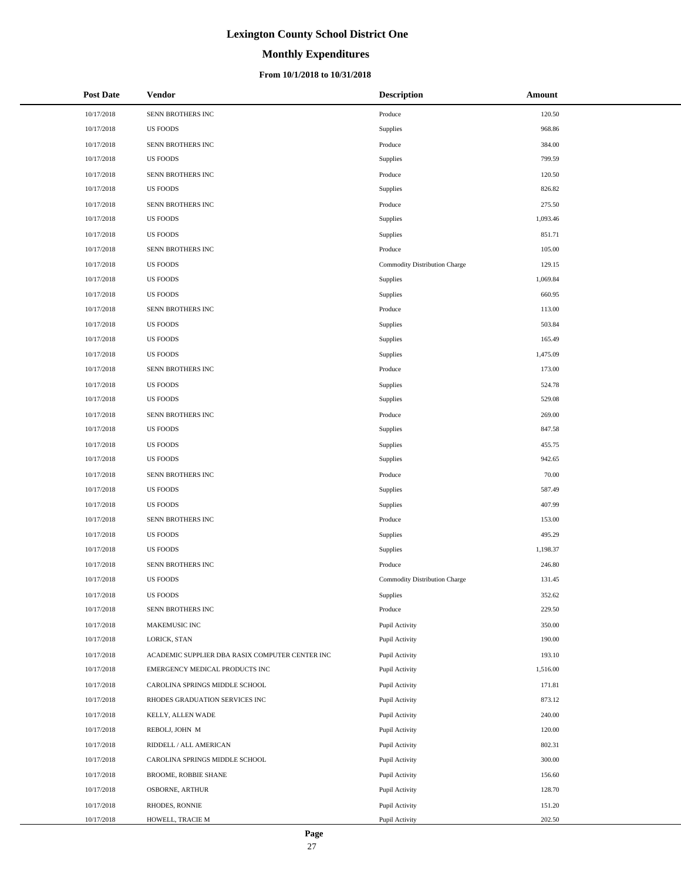# **Monthly Expenditures**

## **From 10/1/2018 to 10/31/2018**

| <b>Post Date</b> | <b>Vendor</b>                                   | <b>Description</b>            | Amount   |
|------------------|-------------------------------------------------|-------------------------------|----------|
| 10/17/2018       | SENN BROTHERS INC                               | Produce                       | 120.50   |
| 10/17/2018       | <b>US FOODS</b>                                 | Supplies                      | 968.86   |
| 10/17/2018       | SENN BROTHERS INC                               | Produce                       | 384.00   |
| 10/17/2018       | <b>US FOODS</b>                                 | Supplies                      | 799.59   |
| 10/17/2018       | SENN BROTHERS INC                               | Produce                       | 120.50   |
| 10/17/2018       | <b>US FOODS</b>                                 | Supplies                      | 826.82   |
| 10/17/2018       | SENN BROTHERS INC                               | Produce                       | 275.50   |
| 10/17/2018       | <b>US FOODS</b>                                 | Supplies                      | 1,093.46 |
| 10/17/2018       | <b>US FOODS</b>                                 | Supplies                      | 851.71   |
| 10/17/2018       | SENN BROTHERS INC                               | Produce                       | 105.00   |
| 10/17/2018       | <b>US FOODS</b>                                 | Commodity Distribution Charge | 129.15   |
| 10/17/2018       | <b>US FOODS</b>                                 | Supplies                      | 1,069.84 |
| 10/17/2018       | <b>US FOODS</b>                                 | Supplies                      | 660.95   |
| 10/17/2018       | SENN BROTHERS INC                               | Produce                       | 113.00   |
| 10/17/2018       | <b>US FOODS</b>                                 | Supplies                      | 503.84   |
| 10/17/2018       | <b>US FOODS</b>                                 | Supplies                      | 165.49   |
| 10/17/2018       | <b>US FOODS</b>                                 | Supplies                      | 1,475.09 |
| 10/17/2018       | SENN BROTHERS INC                               | Produce                       | 173.00   |
| 10/17/2018       | <b>US FOODS</b>                                 | Supplies                      | 524.78   |
| 10/17/2018       | <b>US FOODS</b>                                 | Supplies                      | 529.08   |
| 10/17/2018       | SENN BROTHERS INC                               | Produce                       | 269.00   |
| 10/17/2018       | <b>US FOODS</b>                                 | Supplies                      | 847.58   |
| 10/17/2018       | <b>US FOODS</b>                                 | Supplies                      | 455.75   |
| 10/17/2018       | <b>US FOODS</b>                                 | Supplies                      | 942.65   |
| 10/17/2018       | SENN BROTHERS INC                               | Produce                       | 70.00    |
| 10/17/2018       | <b>US FOODS</b>                                 | Supplies                      | 587.49   |
| 10/17/2018       | <b>US FOODS</b>                                 | Supplies                      | 407.99   |
| 10/17/2018       | SENN BROTHERS INC                               | Produce                       | 153.00   |
| 10/17/2018       | <b>US FOODS</b>                                 | Supplies                      | 495.29   |
| 10/17/2018       | <b>US FOODS</b>                                 | Supplies                      | 1,198.37 |
| 10/17/2018       | SENN BROTHERS INC                               | Produce                       | 246.80   |
| 10/17/2018       | <b>US FOODS</b>                                 | Commodity Distribution Charge | 131.45   |
| 10/17/2018       | <b>US FOODS</b>                                 | Supplies                      | 352.62   |
| 10/17/2018       | SENN BROTHERS INC                               | Produce                       | 229.50   |
| 10/17/2018       | MAKEMUSIC INC                                   | Pupil Activity                | 350.00   |
| 10/17/2018       | LORICK, STAN                                    | Pupil Activity                | 190.00   |
| 10/17/2018       | ACADEMIC SUPPLIER DBA RASIX COMPUTER CENTER INC | Pupil Activity                | 193.10   |
| 10/17/2018       | EMERGENCY MEDICAL PRODUCTS INC                  | Pupil Activity                | 1,516.00 |
| 10/17/2018       | CAROLINA SPRINGS MIDDLE SCHOOL                  | Pupil Activity                | 171.81   |
| 10/17/2018       | RHODES GRADUATION SERVICES INC                  | Pupil Activity                | 873.12   |
| 10/17/2018       | KELLY, ALLEN WADE                               | Pupil Activity                | 240.00   |
| 10/17/2018       | REBOLJ, JOHN M                                  | Pupil Activity                | 120.00   |
| 10/17/2018       | RIDDELL / ALL AMERICAN                          | Pupil Activity                | 802.31   |
| 10/17/2018       | CAROLINA SPRINGS MIDDLE SCHOOL                  | Pupil Activity                | 300.00   |
| 10/17/2018       | BROOME, ROBBIE SHANE                            | Pupil Activity                | 156.60   |
| 10/17/2018       | OSBORNE, ARTHUR                                 | Pupil Activity                | 128.70   |
| 10/17/2018       | RHODES, RONNIE                                  | Pupil Activity                | 151.20   |
| 10/17/2018       | HOWELL, TRACIE M                                | Pupil Activity                | 202.50   |

 $\overline{a}$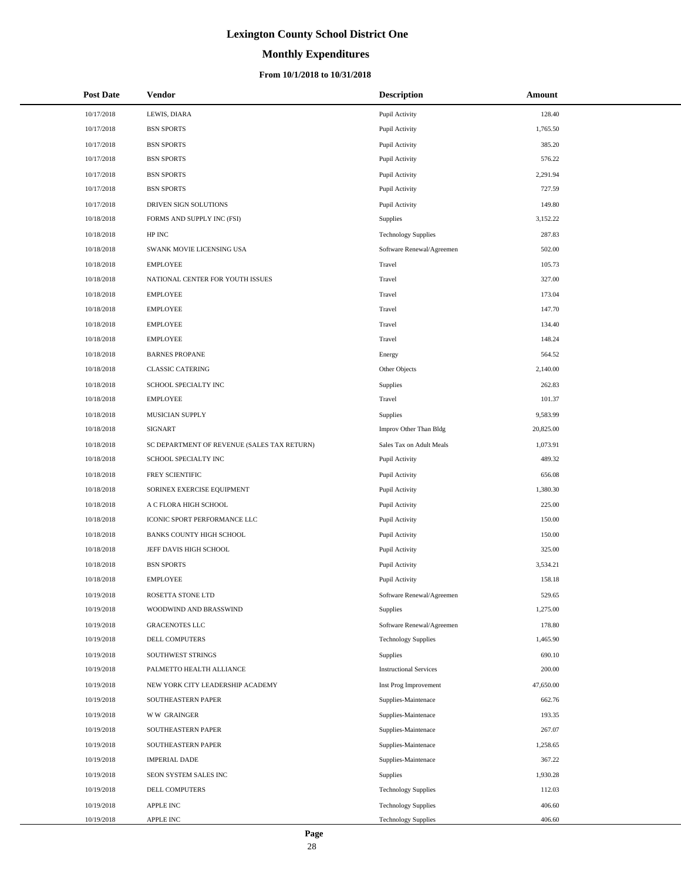# **Monthly Expenditures**

## **From 10/1/2018 to 10/31/2018**

| <b>Post Date</b> | <b>Vendor</b>                               | <b>Description</b>            | Amount    |
|------------------|---------------------------------------------|-------------------------------|-----------|
| 10/17/2018       | LEWIS, DIARA                                | Pupil Activity                | 128.40    |
| 10/17/2018       | <b>BSN SPORTS</b>                           | Pupil Activity                | 1,765.50  |
| 10/17/2018       | <b>BSN SPORTS</b>                           | Pupil Activity                | 385.20    |
| 10/17/2018       | <b>BSN SPORTS</b>                           | Pupil Activity                | 576.22    |
| 10/17/2018       | <b>BSN SPORTS</b>                           | Pupil Activity                | 2,291.94  |
| 10/17/2018       | <b>BSN SPORTS</b>                           | Pupil Activity                | 727.59    |
| 10/17/2018       | DRIVEN SIGN SOLUTIONS                       | Pupil Activity                | 149.80    |
| 10/18/2018       | FORMS AND SUPPLY INC (FSI)                  | Supplies                      | 3,152.22  |
| 10/18/2018       | HP INC                                      | <b>Technology Supplies</b>    | 287.83    |
| 10/18/2018       | SWANK MOVIE LICENSING USA                   | Software Renewal/Agreemen     | 502.00    |
| 10/18/2018       | <b>EMPLOYEE</b>                             | Travel                        | 105.73    |
| 10/18/2018       | NATIONAL CENTER FOR YOUTH ISSUES            | Travel                        | 327.00    |
| 10/18/2018       | <b>EMPLOYEE</b>                             | Travel                        | 173.04    |
| 10/18/2018       | <b>EMPLOYEE</b>                             | Travel                        | 147.70    |
| 10/18/2018       | <b>EMPLOYEE</b>                             | Travel                        | 134.40    |
| 10/18/2018       | <b>EMPLOYEE</b>                             | Travel                        | 148.24    |
| 10/18/2018       | <b>BARNES PROPANE</b>                       | Energy                        | 564.52    |
| 10/18/2018       | <b>CLASSIC CATERING</b>                     | Other Objects                 | 2,140.00  |
| 10/18/2018       | SCHOOL SPECIALTY INC                        | Supplies                      | 262.83    |
| 10/18/2018       | <b>EMPLOYEE</b>                             | Travel                        | 101.37    |
| 10/18/2018       | MUSICIAN SUPPLY                             | <b>Supplies</b>               | 9,583.99  |
| 10/18/2018       | <b>SIGNART</b>                              | Improv Other Than Bldg        | 20,825.00 |
| 10/18/2018       | SC DEPARTMENT OF REVENUE (SALES TAX RETURN) | Sales Tax on Adult Meals      | 1,073.91  |
| 10/18/2018       | SCHOOL SPECIALTY INC                        | Pupil Activity                | 489.32    |
| 10/18/2018       | FREY SCIENTIFIC                             | Pupil Activity                | 656.08    |
| 10/18/2018       | SORINEX EXERCISE EQUIPMENT                  | Pupil Activity                | 1,380.30  |
| 10/18/2018       | A C FLORA HIGH SCHOOL                       | Pupil Activity                | 225.00    |
| 10/18/2018       | ICONIC SPORT PERFORMANCE LLC                | Pupil Activity                | 150.00    |
| 10/18/2018       | <b>BANKS COUNTY HIGH SCHOOL</b>             | Pupil Activity                | 150.00    |
| 10/18/2018       | JEFF DAVIS HIGH SCHOOL                      | Pupil Activity                | 325.00    |
| 10/18/2018       | <b>BSN SPORTS</b>                           | Pupil Activity                | 3,534.21  |
| 10/18/2018       | <b>EMPLOYEE</b>                             | Pupil Activity                | 158.18    |
| 10/19/2018       | ROSETTA STONE LTD                           | Software Renewal/Agreemen     | 529.65    |
| 10/19/2018       | WOODWIND AND BRASSWIND                      | Supplies                      | 1,275.00  |
| 10/19/2018       | <b>GRACENOTES LLC</b>                       | Software Renewal/Agreemen     | 178.80    |
| 10/19/2018       | DELL COMPUTERS                              | <b>Technology Supplies</b>    | 1,465.90  |
| 10/19/2018       | SOUTHWEST STRINGS                           | Supplies                      | 690.10    |
| 10/19/2018       | PALMETTO HEALTH ALLIANCE                    | <b>Instructional Services</b> | 200.00    |
| 10/19/2018       | NEW YORK CITY LEADERSHIP ACADEMY            | Inst Prog Improvement         | 47,650.00 |
| 10/19/2018       | SOUTHEASTERN PAPER                          | Supplies-Maintenace           | 662.76    |
| 10/19/2018       | <b>WW GRAINGER</b>                          | Supplies-Maintenace           | 193.35    |
| 10/19/2018       | SOUTHEASTERN PAPER                          | Supplies-Maintenace           | 267.07    |
| 10/19/2018       | SOUTHEASTERN PAPER                          | Supplies-Maintenace           | 1,258.65  |
| 10/19/2018       | <b>IMPERIAL DADE</b>                        | Supplies-Maintenace           | 367.22    |
| 10/19/2018       | SEON SYSTEM SALES INC                       | Supplies                      | 1,930.28  |
| 10/19/2018       | DELL COMPUTERS                              | <b>Technology Supplies</b>    | 112.03    |
| 10/19/2018       | APPLE INC                                   | <b>Technology Supplies</b>    | 406.60    |
| 10/19/2018       | APPLE INC                                   | <b>Technology Supplies</b>    | 406.60    |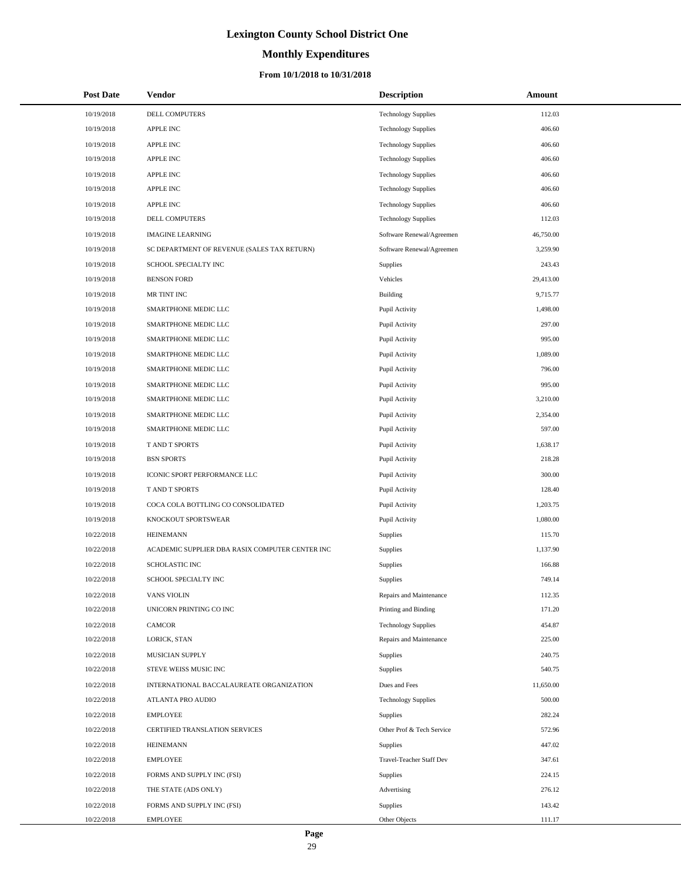# **Monthly Expenditures**

## **From 10/1/2018 to 10/31/2018**

| <b>Post Date</b> | Vendor                                          | <b>Description</b>         | Amount    |
|------------------|-------------------------------------------------|----------------------------|-----------|
| 10/19/2018       | DELL COMPUTERS                                  | <b>Technology Supplies</b> | 112.03    |
| 10/19/2018       | <b>APPLE INC</b>                                | <b>Technology Supplies</b> | 406.60    |
| 10/19/2018       | <b>APPLE INC</b>                                | <b>Technology Supplies</b> | 406.60    |
| 10/19/2018       | APPLE INC                                       | <b>Technology Supplies</b> | 406.60    |
| 10/19/2018       | APPLE INC                                       | <b>Technology Supplies</b> | 406.60    |
| 10/19/2018       | <b>APPLE INC</b>                                | <b>Technology Supplies</b> | 406.60    |
| 10/19/2018       | <b>APPLE INC</b>                                | <b>Technology Supplies</b> | 406.60    |
| 10/19/2018       | DELL COMPUTERS                                  | <b>Technology Supplies</b> | 112.03    |
| 10/19/2018       | <b>IMAGINE LEARNING</b>                         | Software Renewal/Agreemen  | 46,750.00 |
| 10/19/2018       | SC DEPARTMENT OF REVENUE (SALES TAX RETURN)     | Software Renewal/Agreemen  | 3,259.90  |
| 10/19/2018       | SCHOOL SPECIALTY INC                            | Supplies                   | 243.43    |
| 10/19/2018       | <b>BENSON FORD</b>                              | Vehicles                   | 29,413.00 |
| 10/19/2018       | MR TINT INC                                     | Building                   | 9,715.77  |
| 10/19/2018       | SMARTPHONE MEDIC LLC                            | Pupil Activity             | 1,498.00  |
| 10/19/2018       | SMARTPHONE MEDIC LLC                            | Pupil Activity             | 297.00    |
| 10/19/2018       | SMARTPHONE MEDIC LLC                            | Pupil Activity             | 995.00    |
| 10/19/2018       | SMARTPHONE MEDIC LLC                            | Pupil Activity             | 1,089.00  |
| 10/19/2018       | SMARTPHONE MEDIC LLC                            | Pupil Activity             | 796.00    |
| 10/19/2018       | SMARTPHONE MEDIC LLC                            | Pupil Activity             | 995.00    |
| 10/19/2018       | SMARTPHONE MEDIC LLC                            | Pupil Activity             | 3,210.00  |
| 10/19/2018       | SMARTPHONE MEDIC LLC                            | Pupil Activity             | 2,354.00  |
| 10/19/2018       | SMARTPHONE MEDIC LLC                            | Pupil Activity             | 597.00    |
| 10/19/2018       | T AND T SPORTS                                  | Pupil Activity             | 1,638.17  |
| 10/19/2018       | <b>BSN SPORTS</b>                               | Pupil Activity             | 218.28    |
| 10/19/2018       | ICONIC SPORT PERFORMANCE LLC                    | Pupil Activity             | 300.00    |
| 10/19/2018       | T AND T SPORTS                                  | Pupil Activity             | 128.40    |
| 10/19/2018       | COCA COLA BOTTLING CO CONSOLIDATED              | Pupil Activity             | 1,203.75  |
| 10/19/2018       | KNOCKOUT SPORTSWEAR                             | Pupil Activity             | 1,080.00  |
| 10/22/2018       | <b>HEINEMANN</b>                                | Supplies                   | 115.70    |
| 10/22/2018       | ACADEMIC SUPPLIER DBA RASIX COMPUTER CENTER INC | Supplies                   | 1,137.90  |
| 10/22/2018       | SCHOLASTIC INC                                  | Supplies                   | 166.88    |
| 10/22/2018       | SCHOOL SPECIALTY INC                            | Supplies                   | 749.14    |
| 10/22/2018       | <b>VANS VIOLIN</b>                              | Repairs and Maintenance    | 112.35    |
| 10/22/2018       | UNICORN PRINTING CO INC                         | Printing and Binding       | 171.20    |
| 10/22/2018       | <b>CAMCOR</b>                                   | <b>Technology Supplies</b> | 454.87    |
| 10/22/2018       | LORICK, STAN                                    | Repairs and Maintenance    | 225.00    |
| 10/22/2018       | MUSICIAN SUPPLY                                 | Supplies                   | 240.75    |
| 10/22/2018       | STEVE WEISS MUSIC INC                           | Supplies                   | 540.75    |
| 10/22/2018       | INTERNATIONAL BACCALAUREATE ORGANIZATION        | Dues and Fees              | 11,650.00 |
| 10/22/2018       | <b>ATLANTA PRO AUDIO</b>                        | <b>Technology Supplies</b> | 500.00    |
| 10/22/2018       | <b>EMPLOYEE</b>                                 | Supplies                   | 282.24    |
| 10/22/2018       | CERTIFIED TRANSLATION SERVICES                  | Other Prof & Tech Service  | 572.96    |
| 10/22/2018       | <b>HEINEMANN</b>                                | Supplies                   | 447.02    |
| 10/22/2018       | <b>EMPLOYEE</b>                                 | Travel-Teacher Staff Dev   | 347.61    |
| 10/22/2018       | FORMS AND SUPPLY INC (FSI)                      | Supplies                   | 224.15    |
| 10/22/2018       | THE STATE (ADS ONLY)                            | Advertising                | 276.12    |
| 10/22/2018       | FORMS AND SUPPLY INC (FSI)                      | Supplies                   | 143.42    |
| 10/22/2018       | <b>EMPLOYEE</b>                                 | Other Objects              | 111.17    |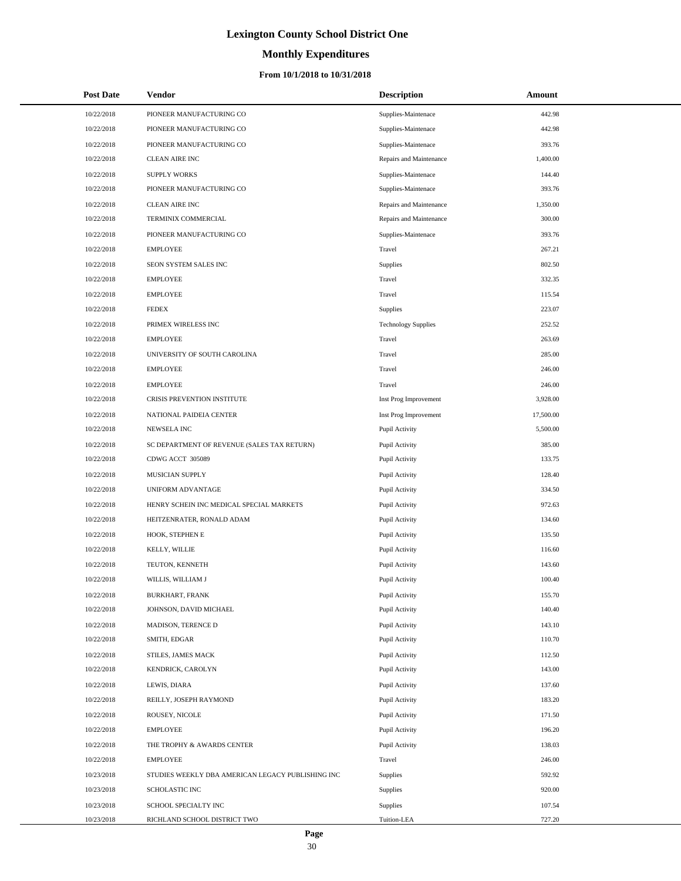# **Monthly Expenditures**

## **From 10/1/2018 to 10/31/2018**

| <b>Post Date</b> | <b>Vendor</b>                                     | <b>Description</b>         | Amount    |
|------------------|---------------------------------------------------|----------------------------|-----------|
| 10/22/2018       | PIONEER MANUFACTURING CO                          | Supplies-Maintenace        | 442.98    |
| 10/22/2018       | PIONEER MANUFACTURING CO                          | Supplies-Maintenace        | 442.98    |
| 10/22/2018       | PIONEER MANUFACTURING CO                          | Supplies-Maintenace        | 393.76    |
| 10/22/2018       | <b>CLEAN AIRE INC</b>                             | Repairs and Maintenance    | 1,400.00  |
| 10/22/2018       | <b>SUPPLY WORKS</b>                               | Supplies-Maintenace        | 144.40    |
| 10/22/2018       | PIONEER MANUFACTURING CO                          | Supplies-Maintenace        | 393.76    |
| 10/22/2018       | <b>CLEAN AIRE INC</b>                             | Repairs and Maintenance    | 1,350.00  |
| 10/22/2018       | TERMINIX COMMERCIAL                               | Repairs and Maintenance    | 300.00    |
| 10/22/2018       | PIONEER MANUFACTURING CO                          | Supplies-Maintenace        | 393.76    |
| 10/22/2018       | <b>EMPLOYEE</b>                                   | Travel                     | 267.21    |
| 10/22/2018       | SEON SYSTEM SALES INC                             | Supplies                   | 802.50    |
| 10/22/2018       | <b>EMPLOYEE</b>                                   | Travel                     | 332.35    |
| 10/22/2018       | <b>EMPLOYEE</b>                                   | Travel                     | 115.54    |
| 10/22/2018       | <b>FEDEX</b>                                      | <b>Supplies</b>            | 223.07    |
| 10/22/2018       | PRIMEX WIRELESS INC                               | <b>Technology Supplies</b> | 252.52    |
| 10/22/2018       | <b>EMPLOYEE</b>                                   | Travel                     | 263.69    |
| 10/22/2018       | UNIVERSITY OF SOUTH CAROLINA                      | Travel                     | 285.00    |
| 10/22/2018       | <b>EMPLOYEE</b>                                   | Travel                     | 246.00    |
| 10/22/2018       | <b>EMPLOYEE</b>                                   | Travel                     | 246.00    |
| 10/22/2018       | CRISIS PREVENTION INSTITUTE                       | Inst Prog Improvement      | 3,928.00  |
| 10/22/2018       | NATIONAL PAIDEIA CENTER                           | Inst Prog Improvement      | 17,500.00 |
| 10/22/2018       | NEWSELA INC                                       | Pupil Activity             | 5,500.00  |
| 10/22/2018       | SC DEPARTMENT OF REVENUE (SALES TAX RETURN)       | Pupil Activity             | 385.00    |
| 10/22/2018       | CDWG ACCT 305089                                  | Pupil Activity             | 133.75    |
| 10/22/2018       | MUSICIAN SUPPLY                                   | Pupil Activity             | 128.40    |
| 10/22/2018       | UNIFORM ADVANTAGE                                 | Pupil Activity             | 334.50    |
| 10/22/2018       | HENRY SCHEIN INC MEDICAL SPECIAL MARKETS          | Pupil Activity             | 972.63    |
| 10/22/2018       | HEITZENRATER, RONALD ADAM                         | Pupil Activity             | 134.60    |
| 10/22/2018       | HOOK, STEPHEN E                                   | Pupil Activity             | 135.50    |
| 10/22/2018       | KELLY, WILLIE                                     | Pupil Activity             | 116.60    |
| 10/22/2018       | TEUTON, KENNETH                                   | Pupil Activity             | 143.60    |
| 10/22/2018       | WILLIS, WILLIAM J                                 | Pupil Activity             | 100.40    |
| 10/22/2018       | BURKHART, FRANK                                   | Pupil Activity             | 155.70    |
| 10/22/2018       | JOHNSON, DAVID MICHAEL                            | Pupil Activity             | 140.40    |
| 10/22/2018       | MADISON, TERENCE D                                | Pupil Activity             | 143.10    |
| 10/22/2018       | SMITH, EDGAR                                      | Pupil Activity             | 110.70    |
| 10/22/2018       | STILES, JAMES MACK                                | Pupil Activity             | 112.50    |
| 10/22/2018       | KENDRICK, CAROLYN                                 | Pupil Activity             | 143.00    |
| 10/22/2018       | LEWIS, DIARA                                      | Pupil Activity             | 137.60    |
| 10/22/2018       | REILLY, JOSEPH RAYMOND                            | Pupil Activity             | 183.20    |
| 10/22/2018       | ROUSEY, NICOLE                                    | Pupil Activity             | 171.50    |
| 10/22/2018       | <b>EMPLOYEE</b>                                   | Pupil Activity             | 196.20    |
| 10/22/2018       | THE TROPHY & AWARDS CENTER                        | Pupil Activity             | 138.03    |
| 10/22/2018       | <b>EMPLOYEE</b>                                   | Travel                     | 246.00    |
| 10/23/2018       | STUDIES WEEKLY DBA AMERICAN LEGACY PUBLISHING INC | Supplies                   | 592.92    |
| 10/23/2018       | SCHOLASTIC INC                                    | Supplies                   | 920.00    |
| 10/23/2018       | SCHOOL SPECIALTY INC                              | Supplies                   | 107.54    |
| 10/23/2018       | RICHLAND SCHOOL DISTRICT TWO                      | Tuition-LEA                | 727.20    |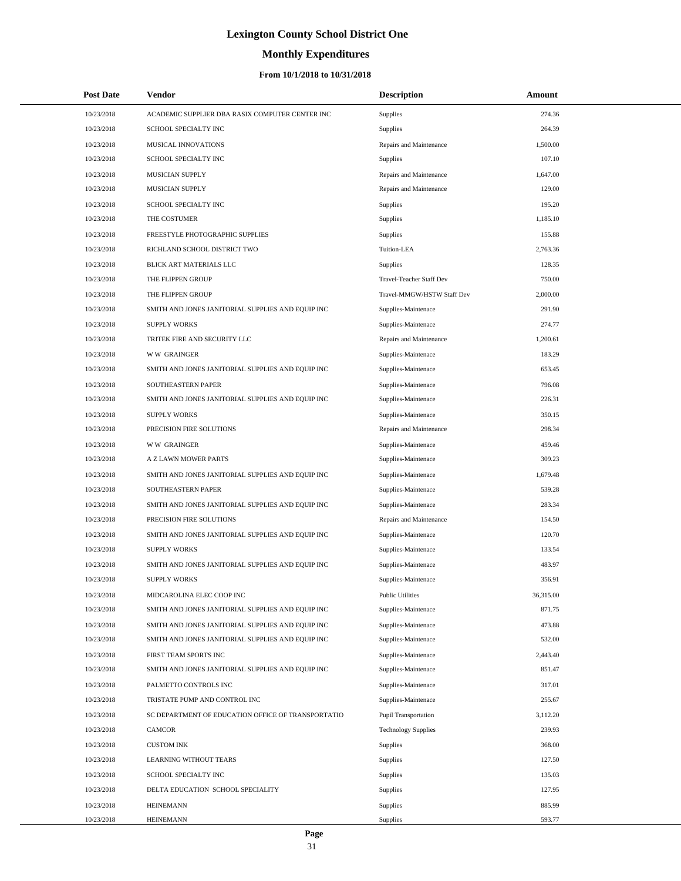# **Monthly Expenditures**

| <b>Post Date</b> | <b>Vendor</b>                                      | <b>Description</b>          | <b>Amount</b> |  |
|------------------|----------------------------------------------------|-----------------------------|---------------|--|
| 10/23/2018       | ACADEMIC SUPPLIER DBA RASIX COMPUTER CENTER INC    | Supplies                    | 274.36        |  |
| 10/23/2018       | SCHOOL SPECIALTY INC                               | Supplies                    | 264.39        |  |
| 10/23/2018       | MUSICAL INNOVATIONS                                | Repairs and Maintenance     | 1,500.00      |  |
| 10/23/2018       | SCHOOL SPECIALTY INC                               | Supplies                    | 107.10        |  |
| 10/23/2018       | MUSICIAN SUPPLY                                    | Repairs and Maintenance     | 1,647.00      |  |
| 10/23/2018       | MUSICIAN SUPPLY                                    | Repairs and Maintenance     | 129.00        |  |
| 10/23/2018       | SCHOOL SPECIALTY INC                               | <b>Supplies</b>             | 195.20        |  |
| 10/23/2018       | THE COSTUMER                                       | Supplies                    | 1,185.10      |  |
| 10/23/2018       | FREESTYLE PHOTOGRAPHIC SUPPLIES                    | Supplies                    | 155.88        |  |
| 10/23/2018       | RICHLAND SCHOOL DISTRICT TWO                       | Tuition-LEA                 | 2,763.36      |  |
| 10/23/2018       | BLICK ART MATERIALS LLC                            | Supplies                    | 128.35        |  |
| 10/23/2018       | THE FLIPPEN GROUP                                  | Travel-Teacher Staff Dev    | 750.00        |  |
| 10/23/2018       | THE FLIPPEN GROUP                                  | Travel-MMGW/HSTW Staff Dev  | 2,000.00      |  |
| 10/23/2018       | SMITH AND JONES JANITORIAL SUPPLIES AND EQUIP INC  | Supplies-Maintenace         | 291.90        |  |
| 10/23/2018       | <b>SUPPLY WORKS</b>                                | Supplies-Maintenace         | 274.77        |  |
| 10/23/2018       | TRITEK FIRE AND SECURITY LLC                       | Repairs and Maintenance     | 1,200.61      |  |
| 10/23/2018       | <b>WW GRAINGER</b>                                 | Supplies-Maintenace         | 183.29        |  |
| 10/23/2018       | SMITH AND JONES JANITORIAL SUPPLIES AND EQUIP INC  | Supplies-Maintenace         | 653.45        |  |
| 10/23/2018       | SOUTHEASTERN PAPER                                 | Supplies-Maintenace         | 796.08        |  |
| 10/23/2018       | SMITH AND JONES JANITORIAL SUPPLIES AND EQUIP INC  | Supplies-Maintenace         | 226.31        |  |
| 10/23/2018       | <b>SUPPLY WORKS</b>                                | Supplies-Maintenace         | 350.15        |  |
| 10/23/2018       | PRECISION FIRE SOLUTIONS                           | Repairs and Maintenance     | 298.34        |  |
| 10/23/2018       | <b>WW GRAINGER</b>                                 | Supplies-Maintenace         | 459.46        |  |
| 10/23/2018       | A Z LAWN MOWER PARTS                               | Supplies-Maintenace         | 309.23        |  |
| 10/23/2018       | SMITH AND JONES JANITORIAL SUPPLIES AND EQUIP INC  | Supplies-Maintenace         | 1,679.48      |  |
| 10/23/2018       | SOUTHEASTERN PAPER                                 | Supplies-Maintenace         | 539.28        |  |
| 10/23/2018       | SMITH AND JONES JANITORIAL SUPPLIES AND EQUIP INC  | Supplies-Maintenace         | 283.34        |  |
| 10/23/2018       | PRECISION FIRE SOLUTIONS                           | Repairs and Maintenance     | 154.50        |  |
| 10/23/2018       | SMITH AND JONES JANITORIAL SUPPLIES AND EQUIP INC  | Supplies-Maintenace         | 120.70        |  |
| 10/23/2018       | <b>SUPPLY WORKS</b>                                | Supplies-Maintenace         | 133.54        |  |
| 10/23/2018       | SMITH AND JONES JANITORIAL SUPPLIES AND EQUIP INC  | Supplies-Maintenace         | 483.97        |  |
| 10/23/2018       | <b>SUPPLY WORKS</b>                                | Supplies-Maintenace         | 356.91        |  |
| 10/23/2018       | MIDCAROLINA ELEC COOP INC                          | <b>Public Utilities</b>     | 36,315.00     |  |
| 10/23/2018       | SMITH AND JONES JANITORIAL SUPPLIES AND EQUIP INC  | Supplies-Maintenace         | 871.75        |  |
| 10/23/2018       | SMITH AND JONES JANITORIAL SUPPLIES AND EQUIP INC  | Supplies-Maintenace         | 473.88        |  |
| 10/23/2018       | SMITH AND JONES JANITORIAL SUPPLIES AND EQUIP INC  | Supplies-Maintenace         | 532.00        |  |
| 10/23/2018       | FIRST TEAM SPORTS INC                              | Supplies-Maintenace         | 2,443.40      |  |
| 10/23/2018       | SMITH AND JONES JANITORIAL SUPPLIES AND EQUIP INC  | Supplies-Maintenace         | 851.47        |  |
| 10/23/2018       | PALMETTO CONTROLS INC                              | Supplies-Maintenace         | 317.01        |  |
| 10/23/2018       | TRISTATE PUMP AND CONTROL INC                      | Supplies-Maintenace         | 255.67        |  |
| 10/23/2018       | SC DEPARTMENT OF EDUCATION OFFICE OF TRANSPORTATIO | <b>Pupil Transportation</b> | 3,112.20      |  |
| 10/23/2018       | <b>CAMCOR</b>                                      | <b>Technology Supplies</b>  | 239.93        |  |
| 10/23/2018       | <b>CUSTOM INK</b>                                  | Supplies                    | 368.00        |  |
| 10/23/2018       | LEARNING WITHOUT TEARS                             | Supplies                    | 127.50        |  |
| 10/23/2018       | SCHOOL SPECIALTY INC                               | Supplies                    | 135.03        |  |
| 10/23/2018       | DELTA EDUCATION SCHOOL SPECIALITY                  | Supplies                    | 127.95        |  |
| 10/23/2018       | <b>HEINEMANN</b>                                   | Supplies                    | 885.99        |  |
| 10/23/2018       | <b>HEINEMANN</b>                                   | Supplies                    | 593.77        |  |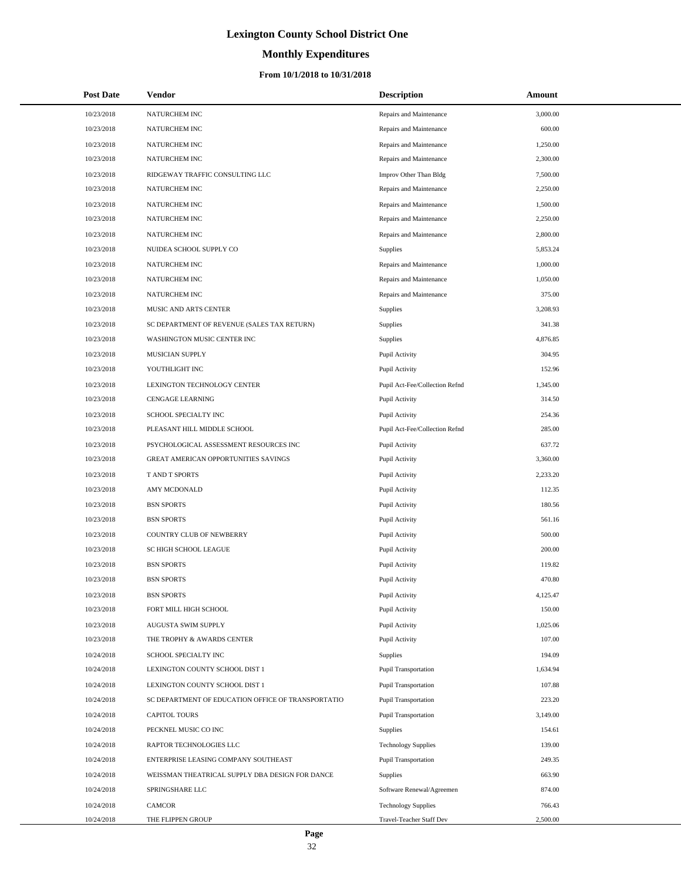# **Monthly Expenditures**

| <b>Post Date</b> | Vendor                                             | <b>Description</b>             | Amount   |
|------------------|----------------------------------------------------|--------------------------------|----------|
| 10/23/2018       | NATURCHEM INC                                      | Repairs and Maintenance        | 3,000.00 |
| 10/23/2018       | NATURCHEM INC                                      | Repairs and Maintenance        | 600.00   |
| 10/23/2018       | NATURCHEM INC                                      | Repairs and Maintenance        | 1,250.00 |
| 10/23/2018       | NATURCHEM INC                                      | Repairs and Maintenance        | 2,300.00 |
| 10/23/2018       | RIDGEWAY TRAFFIC CONSULTING LLC                    | Improv Other Than Bldg         | 7,500.00 |
| 10/23/2018       | NATURCHEM INC                                      | Repairs and Maintenance        | 2,250.00 |
| 10/23/2018       | NATURCHEM INC                                      | Repairs and Maintenance        | 1,500.00 |
| 10/23/2018       | NATURCHEM INC                                      | Repairs and Maintenance        | 2,250.00 |
| 10/23/2018       | NATURCHEM INC                                      | Repairs and Maintenance        | 2,800.00 |
| 10/23/2018       | NUIDEA SCHOOL SUPPLY CO                            | <b>Supplies</b>                | 5,853.24 |
| 10/23/2018       | NATURCHEM INC                                      | Repairs and Maintenance        | 1,000.00 |
| 10/23/2018       | NATURCHEM INC                                      | Repairs and Maintenance        | 1,050.00 |
| 10/23/2018       | NATURCHEM INC                                      | Repairs and Maintenance        | 375.00   |
| 10/23/2018       | MUSIC AND ARTS CENTER                              | Supplies                       | 3,208.93 |
| 10/23/2018       | SC DEPARTMENT OF REVENUE (SALES TAX RETURN)        | Supplies                       | 341.38   |
| 10/23/2018       | WASHINGTON MUSIC CENTER INC                        | Supplies                       | 4,876.85 |
| 10/23/2018       | MUSICIAN SUPPLY                                    | Pupil Activity                 | 304.95   |
| 10/23/2018       | YOUTHLIGHT INC                                     | Pupil Activity                 | 152.96   |
| 10/23/2018       | LEXINGTON TECHNOLOGY CENTER                        | Pupil Act-Fee/Collection Refnd | 1,345.00 |
| 10/23/2018       | <b>CENGAGE LEARNING</b>                            | Pupil Activity                 | 314.50   |
| 10/23/2018       | SCHOOL SPECIALTY INC                               | Pupil Activity                 | 254.36   |
| 10/23/2018       | PLEASANT HILL MIDDLE SCHOOL                        | Pupil Act-Fee/Collection Refnd | 285.00   |
| 10/23/2018       | PSYCHOLOGICAL ASSESSMENT RESOURCES INC             | Pupil Activity                 | 637.72   |
| 10/23/2018       | GREAT AMERICAN OPPORTUNITIES SAVINGS               | Pupil Activity                 | 3,360.00 |
| 10/23/2018       | T AND T SPORTS                                     | Pupil Activity                 | 2,233.20 |
| 10/23/2018       | AMY MCDONALD                                       | Pupil Activity                 | 112.35   |
| 10/23/2018       | <b>BSN SPORTS</b>                                  | Pupil Activity                 | 180.56   |
| 10/23/2018       | <b>BSN SPORTS</b>                                  | Pupil Activity                 | 561.16   |
| 10/23/2018       | COUNTRY CLUB OF NEWBERRY                           | Pupil Activity                 | 500.00   |
| 10/23/2018       | SC HIGH SCHOOL LEAGUE                              | Pupil Activity                 | 200.00   |
| 10/23/2018       | <b>BSN SPORTS</b>                                  | Pupil Activity                 | 119.82   |
| 10/23/2018       | <b>BSN SPORTS</b>                                  | Pupil Activity                 | 470.80   |
| 10/23/2018       | <b>BSN SPORTS</b>                                  | Pupil Activity                 | 4,125.47 |
| 10/23/2018       | FORT MILL HIGH SCHOOL                              | Pupil Activity                 | 150.00   |
| 10/23/2018       | AUGUSTA SWIM SUPPLY                                | Pupil Activity                 | 1,025.06 |
| 10/23/2018       | THE TROPHY & AWARDS CENTER                         | Pupil Activity                 | 107.00   |
| 10/24/2018       | SCHOOL SPECIALTY INC                               | Supplies                       | 194.09   |
| 10/24/2018       | LEXINGTON COUNTY SCHOOL DIST 1                     | <b>Pupil Transportation</b>    | 1,634.94 |
| 10/24/2018       | LEXINGTON COUNTY SCHOOL DIST 1                     | <b>Pupil Transportation</b>    | 107.88   |
| 10/24/2018       | SC DEPARTMENT OF EDUCATION OFFICE OF TRANSPORTATIO | <b>Pupil Transportation</b>    | 223.20   |
| 10/24/2018       | <b>CAPITOL TOURS</b>                               | <b>Pupil Transportation</b>    | 3,149.00 |
| 10/24/2018       | PECKNEL MUSIC CO INC                               | Supplies                       | 154.61   |
| 10/24/2018       | RAPTOR TECHNOLOGIES LLC                            | <b>Technology Supplies</b>     | 139.00   |
| 10/24/2018       | ENTERPRISE LEASING COMPANY SOUTHEAST               | Pupil Transportation           | 249.35   |
| 10/24/2018       | WEISSMAN THEATRICAL SUPPLY DBA DESIGN FOR DANCE    | Supplies                       | 663.90   |
| 10/24/2018       | SPRINGSHARE LLC                                    | Software Renewal/Agreemen      | 874.00   |
| 10/24/2018       | CAMCOR                                             | <b>Technology Supplies</b>     | 766.43   |
| 10/24/2018       | THE FLIPPEN GROUP                                  | Travel-Teacher Staff Dev       | 2,500.00 |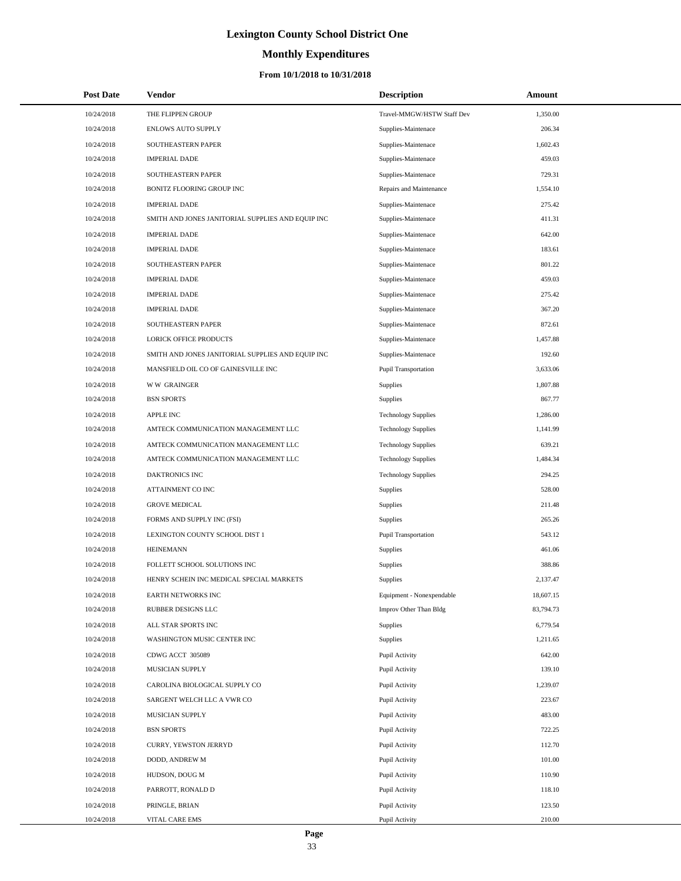# **Monthly Expenditures**

| <b>Post Date</b> | Vendor                                            | <b>Description</b>          | Amount    |
|------------------|---------------------------------------------------|-----------------------------|-----------|
| 10/24/2018       | THE FLIPPEN GROUP                                 | Travel-MMGW/HSTW Staff Dev  | 1,350.00  |
| 10/24/2018       | <b>ENLOWS AUTO SUPPLY</b>                         | Supplies-Maintenace         | 206.34    |
| 10/24/2018       | SOUTHEASTERN PAPER                                | Supplies-Maintenace         | 1,602.43  |
| 10/24/2018       | <b>IMPERIAL DADE</b>                              | Supplies-Maintenace         | 459.03    |
| 10/24/2018       | SOUTHEASTERN PAPER                                | Supplies-Maintenace         | 729.31    |
| 10/24/2018       | BONITZ FLOORING GROUP INC                         | Repairs and Maintenance     | 1,554.10  |
| 10/24/2018       | <b>IMPERIAL DADE</b>                              | Supplies-Maintenace         | 275.42    |
| 10/24/2018       | SMITH AND JONES JANITORIAL SUPPLIES AND EQUIP INC | Supplies-Maintenace         | 411.31    |
| 10/24/2018       | <b>IMPERIAL DADE</b>                              | Supplies-Maintenace         | 642.00    |
| 10/24/2018       | <b>IMPERIAL DADE</b>                              | Supplies-Maintenace         | 183.61    |
| 10/24/2018       | SOUTHEASTERN PAPER                                | Supplies-Maintenace         | 801.22    |
| 10/24/2018       | <b>IMPERIAL DADE</b>                              | Supplies-Maintenace         | 459.03    |
| 10/24/2018       | <b>IMPERIAL DADE</b>                              | Supplies-Maintenace         | 275.42    |
| 10/24/2018       | <b>IMPERIAL DADE</b>                              | Supplies-Maintenace         | 367.20    |
| 10/24/2018       | SOUTHEASTERN PAPER                                | Supplies-Maintenace         | 872.61    |
| 10/24/2018       | <b>LORICK OFFICE PRODUCTS</b>                     | Supplies-Maintenace         | 1,457.88  |
| 10/24/2018       | SMITH AND JONES JANITORIAL SUPPLIES AND EQUIP INC | Supplies-Maintenace         | 192.60    |
| 10/24/2018       | MANSFIELD OIL CO OF GAINESVILLE INC               | Pupil Transportation        | 3,633.06  |
| 10/24/2018       | <b>WW GRAINGER</b>                                | Supplies                    | 1,807.88  |
| 10/24/2018       | <b>BSN SPORTS</b>                                 | Supplies                    | 867.77    |
| 10/24/2018       | <b>APPLE INC</b>                                  | <b>Technology Supplies</b>  | 1,286.00  |
| 10/24/2018       | AMTECK COMMUNICATION MANAGEMENT LLC               | <b>Technology Supplies</b>  | 1,141.99  |
| 10/24/2018       | AMTECK COMMUNICATION MANAGEMENT LLC               | <b>Technology Supplies</b>  | 639.21    |
| 10/24/2018       | AMTECK COMMUNICATION MANAGEMENT LLC               | <b>Technology Supplies</b>  | 1,484.34  |
| 10/24/2018       | DAKTRONICS INC                                    | <b>Technology Supplies</b>  | 294.25    |
| 10/24/2018       | ATTAINMENT CO INC                                 | Supplies                    | 528.00    |
| 10/24/2018       | <b>GROVE MEDICAL</b>                              | Supplies                    | 211.48    |
| 10/24/2018       | FORMS AND SUPPLY INC (FSI)                        | Supplies                    | 265.26    |
| 10/24/2018       | LEXINGTON COUNTY SCHOOL DIST 1                    | <b>Pupil Transportation</b> | 543.12    |
| 10/24/2018       | <b>HEINEMANN</b>                                  | Supplies                    | 461.06    |
| 10/24/2018       | FOLLETT SCHOOL SOLUTIONS INC                      | Supplies                    | 388.86    |
| 10/24/2018       | HENRY SCHEIN INC MEDICAL SPECIAL MARKETS          | Supplies                    | 2,137.47  |
| 10/24/2018       | EARTH NETWORKS INC                                | Equipment - Nonexpendable   | 18,607.15 |
| 10/24/2018       | RUBBER DESIGNS LLC                                | Improv Other Than Bldg      | 83,794.73 |
| 10/24/2018       | ALL STAR SPORTS INC                               | <b>Supplies</b>             | 6,779.54  |
| 10/24/2018       | WASHINGTON MUSIC CENTER INC                       | Supplies                    | 1,211.65  |
| 10/24/2018       | CDWG ACCT 305089                                  | Pupil Activity              | 642.00    |
| 10/24/2018       | MUSICIAN SUPPLY                                   | Pupil Activity              | 139.10    |
| 10/24/2018       | CAROLINA BIOLOGICAL SUPPLY CO                     | Pupil Activity              | 1,239.07  |
| 10/24/2018       | SARGENT WELCH LLC A VWR CO                        | Pupil Activity              | 223.67    |
| 10/24/2018       | MUSICIAN SUPPLY                                   | Pupil Activity              | 483.00    |
| 10/24/2018       | <b>BSN SPORTS</b>                                 | Pupil Activity              | 722.25    |
| 10/24/2018       | CURRY, YEWSTON JERRYD                             | Pupil Activity              | 112.70    |
| 10/24/2018       | DODD, ANDREW M                                    | Pupil Activity              | 101.00    |
| 10/24/2018       | HUDSON, DOUG M                                    | Pupil Activity              | 110.90    |
| 10/24/2018       | PARROTT, RONALD D                                 | Pupil Activity              | 118.10    |
| 10/24/2018       | PRINGLE, BRIAN                                    | Pupil Activity              | 123.50    |
| 10/24/2018       | VITAL CARE EMS                                    | Pupil Activity              | 210.00    |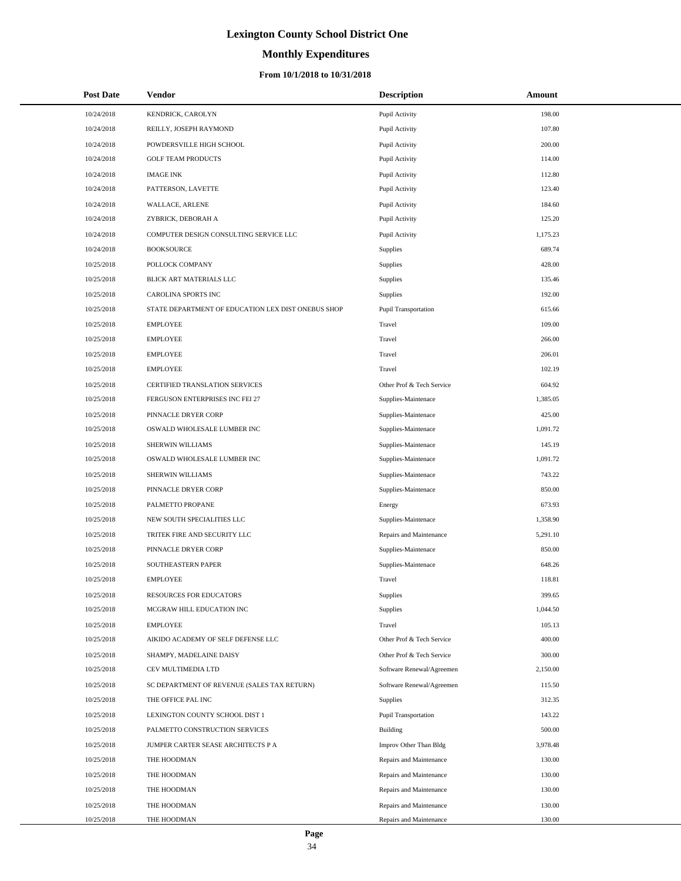# **Monthly Expenditures**

## **From 10/1/2018 to 10/31/2018**

| <b>Post Date</b> | Vendor                                             | <b>Description</b>          | Amount   |
|------------------|----------------------------------------------------|-----------------------------|----------|
| 10/24/2018       | KENDRICK, CAROLYN                                  | Pupil Activity              | 198.00   |
| 10/24/2018       | REILLY, JOSEPH RAYMOND                             | Pupil Activity              | 107.80   |
| 10/24/2018       | POWDERSVILLE HIGH SCHOOL                           | Pupil Activity              | 200.00   |
| 10/24/2018       | <b>GOLF TEAM PRODUCTS</b>                          | Pupil Activity              | 114.00   |
| 10/24/2018       | <b>IMAGE INK</b>                                   | Pupil Activity              | 112.80   |
| 10/24/2018       | PATTERSON, LAVETTE                                 | Pupil Activity              | 123.40   |
| 10/24/2018       | WALLACE, ARLENE                                    | Pupil Activity              | 184.60   |
| 10/24/2018       | ZYBRICK, DEBORAH A                                 | Pupil Activity              | 125.20   |
| 10/24/2018       | COMPUTER DESIGN CONSULTING SERVICE LLC             | Pupil Activity              | 1,175.23 |
| 10/24/2018       | <b>BOOKSOURCE</b>                                  | Supplies                    | 689.74   |
| 10/25/2018       | POLLOCK COMPANY                                    | Supplies                    | 428.00   |
| 10/25/2018       | BLICK ART MATERIALS LLC                            | Supplies                    | 135.46   |
| 10/25/2018       | CAROLINA SPORTS INC                                | Supplies                    | 192.00   |
| 10/25/2018       | STATE DEPARTMENT OF EDUCATION LEX DIST ONEBUS SHOP | <b>Pupil Transportation</b> | 615.66   |
| 10/25/2018       | <b>EMPLOYEE</b>                                    | Travel                      | 109.00   |
| 10/25/2018       | <b>EMPLOYEE</b>                                    | Travel                      | 266.00   |
| 10/25/2018       | <b>EMPLOYEE</b>                                    | Travel                      | 206.01   |
| 10/25/2018       | <b>EMPLOYEE</b>                                    | Travel                      | 102.19   |
| 10/25/2018       | CERTIFIED TRANSLATION SERVICES                     | Other Prof & Tech Service   | 604.92   |
| 10/25/2018       | FERGUSON ENTERPRISES INC FEI 27                    | Supplies-Maintenace         | 1,385.05 |
| 10/25/2018       | PINNACLE DRYER CORP                                | Supplies-Maintenace         | 425.00   |
| 10/25/2018       | OSWALD WHOLESALE LUMBER INC                        | Supplies-Maintenace         | 1,091.72 |
| 10/25/2018       | SHERWIN WILLIAMS                                   | Supplies-Maintenace         | 145.19   |
| 10/25/2018       | OSWALD WHOLESALE LUMBER INC                        | Supplies-Maintenace         | 1,091.72 |
| 10/25/2018       | SHERWIN WILLIAMS                                   | Supplies-Maintenace         | 743.22   |
| 10/25/2018       | PINNACLE DRYER CORP                                | Supplies-Maintenace         | 850.00   |
| 10/25/2018       | PALMETTO PROPANE                                   | Energy                      | 673.93   |
| 10/25/2018       | NEW SOUTH SPECIALITIES LLC                         | Supplies-Maintenace         | 1,358.90 |
| 10/25/2018       | TRITEK FIRE AND SECURITY LLC                       | Repairs and Maintenance     | 5,291.10 |
| 10/25/2018       | PINNACLE DRYER CORP                                | Supplies-Maintenace         | 850.00   |
| 10/25/2018       | SOUTHEASTERN PAPER                                 | Supplies-Maintenace         | 648.26   |
| 10/25/2018       | <b>EMPLOYEE</b>                                    | Travel                      | 118.81   |
| 10/25/2018       | RESOURCES FOR EDUCATORS                            | Supplies                    | 399.65   |
| 10/25/2018       | MCGRAW HILL EDUCATION INC                          | Supplies                    | 1,044.50 |
| 10/25/2018       | <b>EMPLOYEE</b>                                    | Travel                      | 105.13   |
| 10/25/2018       | AIKIDO ACADEMY OF SELF DEFENSE LLC                 | Other Prof & Tech Service   | 400.00   |
| 10/25/2018       | SHAMPY, MADELAINE DAISY                            | Other Prof & Tech Service   | 300.00   |
| 10/25/2018       | CEV MULTIMEDIA LTD                                 | Software Renewal/Agreemen   | 2,150.00 |
| 10/25/2018       | SC DEPARTMENT OF REVENUE (SALES TAX RETURN)        | Software Renewal/Agreemen   | 115.50   |
| 10/25/2018       | THE OFFICE PAL INC                                 | Supplies                    | 312.35   |
| 10/25/2018       | LEXINGTON COUNTY SCHOOL DIST 1                     | <b>Pupil Transportation</b> | 143.22   |
| 10/25/2018       | PALMETTO CONSTRUCTION SERVICES                     | Building                    | 500.00   |
| 10/25/2018       | JUMPER CARTER SEASE ARCHITECTS P A                 | Improv Other Than Bldg      | 3,978.48 |
| 10/25/2018       | THE HOODMAN                                        | Repairs and Maintenance     | 130.00   |
| 10/25/2018       | THE HOODMAN                                        | Repairs and Maintenance     | 130.00   |
| 10/25/2018       | THE HOODMAN                                        | Repairs and Maintenance     | 130.00   |
| 10/25/2018       | THE HOODMAN                                        | Repairs and Maintenance     | 130.00   |
| 10/25/2018       | THE HOODMAN                                        | Repairs and Maintenance     | 130.00   |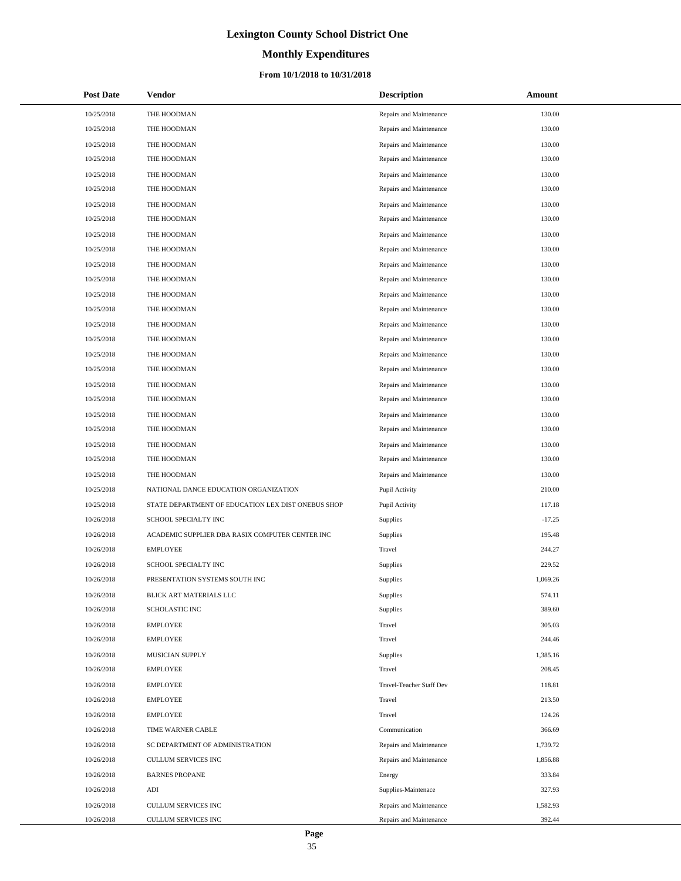# **Monthly Expenditures**

## **From 10/1/2018 to 10/31/2018**

| <b>Post Date</b> | <b>Vendor</b>                                      | <b>Description</b>       | Amount   |
|------------------|----------------------------------------------------|--------------------------|----------|
| 10/25/2018       | THE HOODMAN                                        | Repairs and Maintenance  | 130.00   |
| 10/25/2018       | THE HOODMAN                                        | Repairs and Maintenance  | 130.00   |
| 10/25/2018       | THE HOODMAN                                        | Repairs and Maintenance  | 130.00   |
| 10/25/2018       | THE HOODMAN                                        | Repairs and Maintenance  | 130.00   |
| 10/25/2018       | THE HOODMAN                                        | Repairs and Maintenance  | 130.00   |
| 10/25/2018       | THE HOODMAN                                        | Repairs and Maintenance  | 130.00   |
| 10/25/2018       | THE HOODMAN                                        | Repairs and Maintenance  | 130.00   |
| 10/25/2018       | THE HOODMAN                                        | Repairs and Maintenance  | 130.00   |
| 10/25/2018       | THE HOODMAN                                        | Repairs and Maintenance  | 130.00   |
| 10/25/2018       | THE HOODMAN                                        | Repairs and Maintenance  | 130.00   |
| 10/25/2018       | THE HOODMAN                                        | Repairs and Maintenance  | 130.00   |
| 10/25/2018       | THE HOODMAN                                        | Repairs and Maintenance  | 130.00   |
| 10/25/2018       | THE HOODMAN                                        | Repairs and Maintenance  | 130.00   |
| 10/25/2018       | THE HOODMAN                                        | Repairs and Maintenance  | 130.00   |
| 10/25/2018       | THE HOODMAN                                        | Repairs and Maintenance  | 130.00   |
| 10/25/2018       | THE HOODMAN                                        | Repairs and Maintenance  | 130.00   |
| 10/25/2018       | THE HOODMAN                                        | Repairs and Maintenance  | 130.00   |
| 10/25/2018       | THE HOODMAN                                        | Repairs and Maintenance  | 130.00   |
| 10/25/2018       | THE HOODMAN                                        | Repairs and Maintenance  | 130.00   |
| 10/25/2018       | THE HOODMAN                                        | Repairs and Maintenance  | 130.00   |
| 10/25/2018       | THE HOODMAN                                        | Repairs and Maintenance  | 130.00   |
| 10/25/2018       | THE HOODMAN                                        | Repairs and Maintenance  | 130.00   |
| 10/25/2018       | THE HOODMAN                                        | Repairs and Maintenance  | 130.00   |
| 10/25/2018       | THE HOODMAN                                        | Repairs and Maintenance  | 130.00   |
| 10/25/2018       | THE HOODMAN                                        | Repairs and Maintenance  | 130.00   |
| 10/25/2018       | NATIONAL DANCE EDUCATION ORGANIZATION              | Pupil Activity           | 210.00   |
| 10/25/2018       | STATE DEPARTMENT OF EDUCATION LEX DIST ONEBUS SHOP | Pupil Activity           | 117.18   |
| 10/26/2018       | SCHOOL SPECIALTY INC                               | Supplies                 | $-17.25$ |
| 10/26/2018       | ACADEMIC SUPPLIER DBA RASIX COMPUTER CENTER INC    | Supplies                 | 195.48   |
| 10/26/2018       | <b>EMPLOYEE</b>                                    | Travel                   | 244.27   |
| 10/26/2018       | SCHOOL SPECIALTY INC                               | Supplies                 | 229.52   |
| 10/26/2018       | PRESENTATION SYSTEMS SOUTH INC                     | Supplies                 | 1,069.26 |
| 10/26/2018       | BLICK ART MATERIALS LLC                            | Supplies                 | 574.11   |
| 10/26/2018       | <b>SCHOLASTIC INC</b>                              | Supplies                 | 389.60   |
| 10/26/2018       | <b>EMPLOYEE</b>                                    | Travel                   | 305.03   |
| 10/26/2018       | <b>EMPLOYEE</b>                                    | Travel                   | 244.46   |
| 10/26/2018       | MUSICIAN SUPPLY                                    | Supplies                 | 1,385.16 |
| 10/26/2018       | <b>EMPLOYEE</b>                                    | Travel                   | 208.45   |
| 10/26/2018       | <b>EMPLOYEE</b>                                    | Travel-Teacher Staff Dev | 118.81   |
| 10/26/2018       | <b>EMPLOYEE</b>                                    | Travel                   | 213.50   |
| 10/26/2018       | <b>EMPLOYEE</b>                                    | Travel                   | 124.26   |
| 10/26/2018       | TIME WARNER CABLE                                  | Communication            | 366.69   |
| 10/26/2018       | SC DEPARTMENT OF ADMINISTRATION                    | Repairs and Maintenance  | 1,739.72 |
| 10/26/2018       | <b>CULLUM SERVICES INC</b>                         | Repairs and Maintenance  | 1,856.88 |
| 10/26/2018       | <b>BARNES PROPANE</b>                              | Energy                   | 333.84   |
| 10/26/2018       | ADI                                                | Supplies-Maintenace      | 327.93   |
| 10/26/2018       | CULLUM SERVICES INC                                | Repairs and Maintenance  | 1,582.93 |
| 10/26/2018       | CULLUM SERVICES INC                                | Repairs and Maintenance  | 392.44   |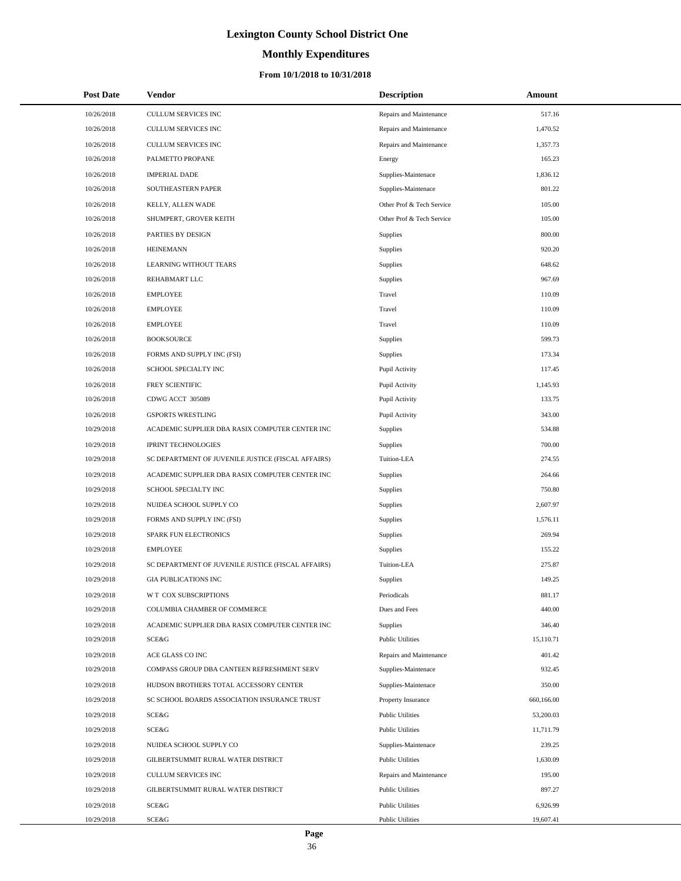# **Monthly Expenditures**

| <b>Post Date</b> | <b>Vendor</b>                                      | <b>Description</b>        | Amount     |
|------------------|----------------------------------------------------|---------------------------|------------|
| 10/26/2018       | CULLUM SERVICES INC                                | Repairs and Maintenance   | 517.16     |
| 10/26/2018       | CULLUM SERVICES INC                                | Repairs and Maintenance   | 1,470.52   |
| 10/26/2018       | CULLUM SERVICES INC                                | Repairs and Maintenance   | 1,357.73   |
| 10/26/2018       | PALMETTO PROPANE                                   | Energy                    | 165.23     |
| 10/26/2018       | <b>IMPERIAL DADE</b>                               | Supplies-Maintenace       | 1,836.12   |
| 10/26/2018       | SOUTHEASTERN PAPER                                 | Supplies-Maintenace       | 801.22     |
| 10/26/2018       | KELLY, ALLEN WADE                                  | Other Prof & Tech Service | 105.00     |
| 10/26/2018       | SHUMPERT, GROVER KEITH                             | Other Prof & Tech Service | 105.00     |
| 10/26/2018       | PARTIES BY DESIGN                                  | Supplies                  | 800.00     |
| 10/26/2018       | <b>HEINEMANN</b>                                   | Supplies                  | 920.20     |
| 10/26/2018       | LEARNING WITHOUT TEARS                             | Supplies                  | 648.62     |
| 10/26/2018       | REHABMART LLC                                      | Supplies                  | 967.69     |
| 10/26/2018       | <b>EMPLOYEE</b>                                    | Travel                    | 110.09     |
| 10/26/2018       | <b>EMPLOYEE</b>                                    | Travel                    | 110.09     |
| 10/26/2018       | <b>EMPLOYEE</b>                                    | Travel                    | 110.09     |
| 10/26/2018       | <b>BOOKSOURCE</b>                                  | Supplies                  | 599.73     |
| 10/26/2018       | FORMS AND SUPPLY INC (FSI)                         | Supplies                  | 173.34     |
| 10/26/2018       | SCHOOL SPECIALTY INC                               | Pupil Activity            | 117.45     |
| 10/26/2018       | FREY SCIENTIFIC                                    | Pupil Activity            | 1,145.93   |
| 10/26/2018       | CDWG ACCT 305089                                   | Pupil Activity            | 133.75     |
| 10/26/2018       | <b>GSPORTS WRESTLING</b>                           | Pupil Activity            | 343.00     |
| 10/29/2018       | ACADEMIC SUPPLIER DBA RASIX COMPUTER CENTER INC    | Supplies                  | 534.88     |
| 10/29/2018       | <b>IPRINT TECHNOLOGIES</b>                         | Supplies                  | 700.00     |
| 10/29/2018       | SC DEPARTMENT OF JUVENILE JUSTICE (FISCAL AFFAIRS) | Tuition-LEA               | 274.55     |
| 10/29/2018       | ACADEMIC SUPPLIER DBA RASIX COMPUTER CENTER INC    | Supplies                  | 264.66     |
| 10/29/2018       | SCHOOL SPECIALTY INC                               | Supplies                  | 750.80     |
| 10/29/2018       | NUIDEA SCHOOL SUPPLY CO                            | Supplies                  | 2,607.97   |
| 10/29/2018       | FORMS AND SUPPLY INC (FSI)                         | Supplies                  | 1,576.11   |
| 10/29/2018       | SPARK FUN ELECTRONICS                              | Supplies                  | 269.94     |
| 10/29/2018       | <b>EMPLOYEE</b>                                    | Supplies                  | 155.22     |
| 10/29/2018       | SC DEPARTMENT OF JUVENILE JUSTICE (FISCAL AFFAIRS) | Tuition-LEA               | 275.87     |
| 10/29/2018       | <b>GIA PUBLICATIONS INC</b>                        | Supplies                  | 149.25     |
| 10/29/2018       | W T COX SUBSCRIPTIONS                              | Periodicals               | 881.17     |
| 10/29/2018       | COLUMBIA CHAMBER OF COMMERCE                       | Dues and Fees             | 440.00     |
| 10/29/2018       | ACADEMIC SUPPLIER DBA RASIX COMPUTER CENTER INC    | Supplies                  | 346.40     |
| 10/29/2018       | SCE&G                                              | <b>Public Utilities</b>   | 15,110.71  |
| 10/29/2018       | ACE GLASS CO INC                                   | Repairs and Maintenance   | 401.42     |
| 10/29/2018       | COMPASS GROUP DBA CANTEEN REFRESHMENT SERV         | Supplies-Maintenace       | 932.45     |
| 10/29/2018       | HUDSON BROTHERS TOTAL ACCESSORY CENTER             | Supplies-Maintenace       | 350.00     |
| 10/29/2018       | SC SCHOOL BOARDS ASSOCIATION INSURANCE TRUST       | Property Insurance        | 660,166.00 |
| 10/29/2018       | SCE&G                                              | <b>Public Utilities</b>   | 53,200.03  |
| 10/29/2018       | SCE&G                                              | <b>Public Utilities</b>   | 11,711.79  |
| 10/29/2018       | NUIDEA SCHOOL SUPPLY CO                            | Supplies-Maintenace       | 239.25     |
| 10/29/2018       | GILBERTSUMMIT RURAL WATER DISTRICT                 | <b>Public Utilities</b>   | 1,630.09   |
| 10/29/2018       | CULLUM SERVICES INC                                | Repairs and Maintenance   | 195.00     |
| 10/29/2018       | GILBERTSUMMIT RURAL WATER DISTRICT                 | <b>Public Utilities</b>   | 897.27     |
| 10/29/2018       | SCE&G                                              | <b>Public Utilities</b>   | 6,926.99   |
| 10/29/2018       | SCE&G                                              | <b>Public Utilities</b>   | 19,607.41  |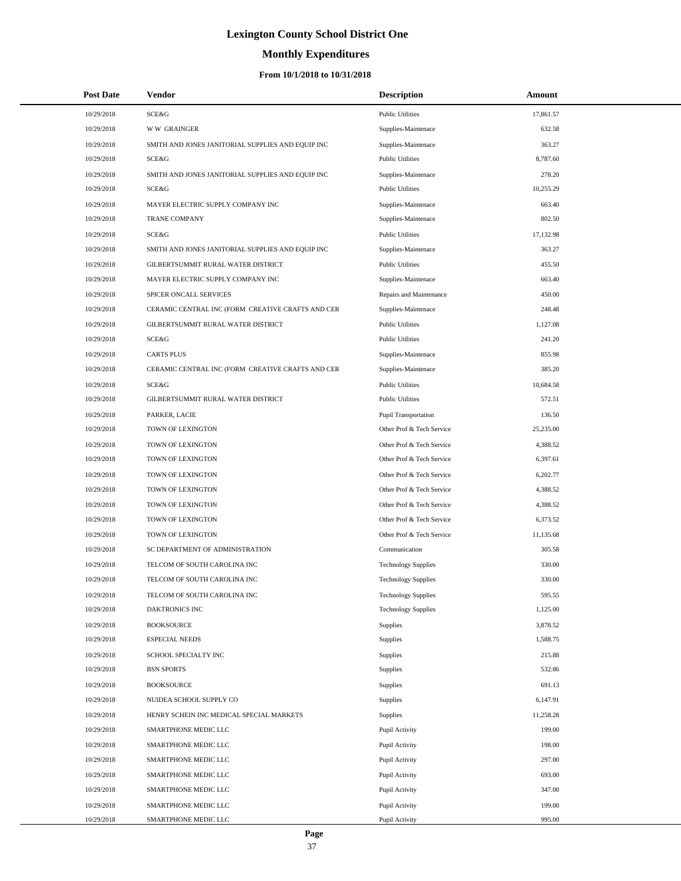# **Monthly Expenditures**

## **From 10/1/2018 to 10/31/2018**

| <b>Post Date</b> | Vendor                                            | <b>Description</b>         | Amount    |
|------------------|---------------------------------------------------|----------------------------|-----------|
| 10/29/2018       | SCE&G                                             | <b>Public Utilities</b>    | 17,861.57 |
| 10/29/2018       | <b>WW GRAINGER</b>                                | Supplies-Maintenace        | 632.58    |
| 10/29/2018       | SMITH AND JONES JANITORIAL SUPPLIES AND EQUIP INC | Supplies-Maintenace        | 363.27    |
| 10/29/2018       | <b>SCE&amp;G</b>                                  | <b>Public Utilities</b>    | 8,787.60  |
| 10/29/2018       | SMITH AND JONES JANITORIAL SUPPLIES AND EQUIP INC | Supplies-Maintenace        | 278.20    |
| 10/29/2018       | SCE&G                                             | <b>Public Utilities</b>    | 10,255.29 |
| 10/29/2018       | MAYER ELECTRIC SUPPLY COMPANY INC                 | Supplies-Maintenace        | 663.40    |
| 10/29/2018       | <b>TRANE COMPANY</b>                              | Supplies-Maintenace        | 802.50    |
| 10/29/2018       | SCE&G                                             | <b>Public Utilities</b>    | 17,132.98 |
| 10/29/2018       | SMITH AND JONES JANITORIAL SUPPLIES AND EQUIP INC | Supplies-Maintenace        | 363.27    |
| 10/29/2018       | GILBERTSUMMIT RURAL WATER DISTRICT                | <b>Public Utilities</b>    | 455.50    |
| 10/29/2018       | MAYER ELECTRIC SUPPLY COMPANY INC                 | Supplies-Maintenace        | 663.40    |
| 10/29/2018       | SPICER ONCALL SERVICES                            | Repairs and Maintenance    | 450.00    |
| 10/29/2018       | CERAMIC CENTRAL INC (FORM CREATIVE CRAFTS AND CER | Supplies-Maintenace        | 248.48    |
| 10/29/2018       | GILBERTSUMMIT RURAL WATER DISTRICT                | <b>Public Utilities</b>    | 1,127.08  |
| 10/29/2018       | SCE&G                                             | <b>Public Utilities</b>    | 241.20    |
| 10/29/2018       | <b>CARTS PLUS</b>                                 | Supplies-Maintenace        | 855.98    |
| 10/29/2018       | CERAMIC CENTRAL INC (FORM CREATIVE CRAFTS AND CER | Supplies-Maintenace        | 385.20    |
| 10/29/2018       | SCE&G                                             | <b>Public Utilities</b>    | 10,684.58 |
| 10/29/2018       | GILBERTSUMMIT RURAL WATER DISTRICT                | <b>Public Utilities</b>    | 572.51    |
| 10/29/2018       | PARKER, LACIE                                     | Pupil Transportation       | 136.50    |
| 10/29/2018       | TOWN OF LEXINGTON                                 | Other Prof & Tech Service  | 25,235.00 |
| 10/29/2018       | TOWN OF LEXINGTON                                 | Other Prof & Tech Service  | 4,388.52  |
| 10/29/2018       | TOWN OF LEXINGTON                                 | Other Prof & Tech Service  | 6,397.61  |
| 10/29/2018       | TOWN OF LEXINGTON                                 | Other Prof & Tech Service  | 6,202.77  |
| 10/29/2018       | TOWN OF LEXINGTON                                 | Other Prof & Tech Service  | 4,388.52  |
| 10/29/2018       | TOWN OF LEXINGTON                                 | Other Prof & Tech Service  | 4,388.52  |
| 10/29/2018       | TOWN OF LEXINGTON                                 | Other Prof & Tech Service  | 6,373.52  |
| 10/29/2018       | TOWN OF LEXINGTON                                 | Other Prof & Tech Service  | 11,135.68 |
| 10/29/2018       | SC DEPARTMENT OF ADMINISTRATION                   | Communication              | 305.58    |
| 10/29/2018       | TELCOM OF SOUTH CAROLINA INC                      | <b>Technology Supplies</b> | 330.00    |
| 10/29/2018       | TELCOM OF SOUTH CAROLINA INC                      | <b>Technology Supplies</b> | 330.00    |
| 10/29/2018       | TELCOM OF SOUTH CAROLINA INC                      | <b>Technology Supplies</b> | 595.55    |
| 10/29/2018       | <b>DAKTRONICS INC</b>                             | <b>Technology Supplies</b> | 1,125.00  |
| 10/29/2018       | <b>BOOKSOURCE</b>                                 | Supplies                   | 3,878.52  |
| 10/29/2018       | <b>ESPECIAL NEEDS</b>                             | Supplies                   | 1,588.75  |
| 10/29/2018       | SCHOOL SPECIALTY INC                              | Supplies                   | 215.88    |
| 10/29/2018       | <b>BSN SPORTS</b>                                 | <b>Supplies</b>            | 532.86    |
| 10/29/2018       | <b>BOOKSOURCE</b>                                 | <b>Supplies</b>            | 691.13    |
| 10/29/2018       | NUIDEA SCHOOL SUPPLY CO                           | <b>Supplies</b>            | 6,147.91  |
| 10/29/2018       | HENRY SCHEIN INC MEDICAL SPECIAL MARKETS          | <b>Supplies</b>            | 11,258.28 |
| 10/29/2018       | SMARTPHONE MEDIC LLC                              | Pupil Activity             | 199.00    |
| 10/29/2018       | SMARTPHONE MEDIC LLC                              | Pupil Activity             | 198.00    |
| 10/29/2018       | SMARTPHONE MEDIC LLC                              | Pupil Activity             | 297.00    |
| 10/29/2018       | SMARTPHONE MEDIC LLC                              | Pupil Activity             | 693.00    |
| 10/29/2018       | SMARTPHONE MEDIC LLC                              | Pupil Activity             | 347.00    |
| 10/29/2018       | SMARTPHONE MEDIC LLC                              | Pupil Activity             | 199.00    |
| 10/29/2018       | SMARTPHONE MEDIC LLC                              | Pupil Activity             | 995.00    |

÷.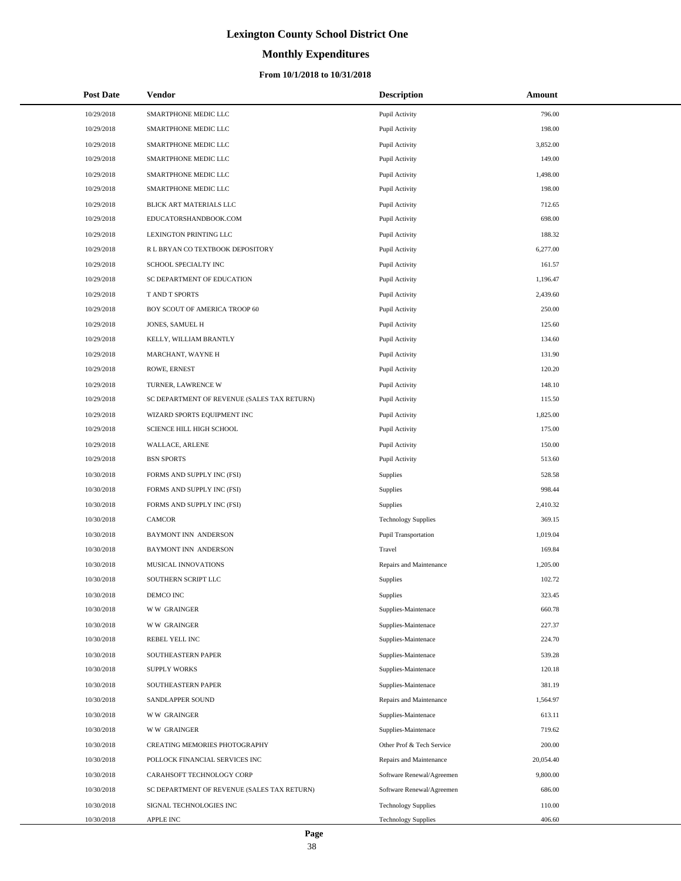# **Monthly Expenditures**

## **From 10/1/2018 to 10/31/2018**

| <b>Post Date</b> | Vendor                                      | <b>Description</b>          | Amount    |
|------------------|---------------------------------------------|-----------------------------|-----------|
| 10/29/2018       | SMARTPHONE MEDIC LLC                        | Pupil Activity              | 796.00    |
| 10/29/2018       | SMARTPHONE MEDIC LLC                        | Pupil Activity              | 198.00    |
| 10/29/2018       | SMARTPHONE MEDIC LLC                        | Pupil Activity              | 3,852.00  |
| 10/29/2018       | SMARTPHONE MEDIC LLC                        | Pupil Activity              | 149.00    |
| 10/29/2018       | SMARTPHONE MEDIC LLC                        | Pupil Activity              | 1,498.00  |
| 10/29/2018       | SMARTPHONE MEDIC LLC                        | Pupil Activity              | 198.00    |
| 10/29/2018       | BLICK ART MATERIALS LLC                     | Pupil Activity              | 712.65    |
| 10/29/2018       | EDUCATORSHANDBOOK.COM                       | Pupil Activity              | 698.00    |
| 10/29/2018       | LEXINGTON PRINTING LLC                      | Pupil Activity              | 188.32    |
| 10/29/2018       | R L BRYAN CO TEXTBOOK DEPOSITORY            | Pupil Activity              | 6,277.00  |
| 10/29/2018       | SCHOOL SPECIALTY INC                        | Pupil Activity              | 161.57    |
| 10/29/2018       | SC DEPARTMENT OF EDUCATION                  | Pupil Activity              | 1,196.47  |
| 10/29/2018       | T AND T SPORTS                              | Pupil Activity              | 2,439.60  |
| 10/29/2018       | BOY SCOUT OF AMERICA TROOP 60               | Pupil Activity              | 250.00    |
| 10/29/2018       | JONES, SAMUEL H                             | Pupil Activity              | 125.60    |
| 10/29/2018       | KELLY, WILLIAM BRANTLY                      | Pupil Activity              | 134.60    |
| 10/29/2018       | MARCHANT, WAYNE H                           | Pupil Activity              | 131.90    |
| 10/29/2018       | ROWE, ERNEST                                | Pupil Activity              | 120.20    |
| 10/29/2018       | TURNER, LAWRENCE W                          | Pupil Activity              | 148.10    |
| 10/29/2018       | SC DEPARTMENT OF REVENUE (SALES TAX RETURN) | Pupil Activity              | 115.50    |
| 10/29/2018       | WIZARD SPORTS EQUIPMENT INC                 | Pupil Activity              | 1,825.00  |
| 10/29/2018       | SCIENCE HILL HIGH SCHOOL                    | Pupil Activity              | 175.00    |
| 10/29/2018       | WALLACE, ARLENE                             | Pupil Activity              | 150.00    |
| 10/29/2018       | <b>BSN SPORTS</b>                           | Pupil Activity              | 513.60    |
| 10/30/2018       | FORMS AND SUPPLY INC (FSI)                  | Supplies                    | 528.58    |
| 10/30/2018       | FORMS AND SUPPLY INC (FSI)                  | Supplies                    | 998.44    |
| 10/30/2018       | FORMS AND SUPPLY INC (FSI)                  | Supplies                    | 2,410.32  |
| 10/30/2018       | CAMCOR                                      | <b>Technology Supplies</b>  | 369.15    |
| 10/30/2018       | <b>BAYMONT INN ANDERSON</b>                 | <b>Pupil Transportation</b> | 1,019.04  |
| 10/30/2018       | <b>BAYMONT INN ANDERSON</b>                 | Travel                      | 169.84    |
| 10/30/2018       | MUSICAL INNOVATIONS                         | Repairs and Maintenance     | 1,205.00  |
| 10/30/2018       | SOUTHERN SCRIPT LLC                         | Supplies                    | 102.72    |
| 10/30/2018       | DEMCO INC                                   | Supplies                    | 323.45    |
| 10/30/2018       | <b>WW GRAINGER</b>                          | Supplies-Maintenace         | 660.78    |
| 10/30/2018       | <b>WW GRAINGER</b>                          | Supplies-Maintenace         | 227.37    |
| 10/30/2018       | REBEL YELL INC                              | Supplies-Maintenace         | 224.70    |
| 10/30/2018       | SOUTHEASTERN PAPER                          | Supplies-Maintenace         | 539.28    |
| 10/30/2018       | <b>SUPPLY WORKS</b>                         | Supplies-Maintenace         | 120.18    |
| 10/30/2018       | SOUTHEASTERN PAPER                          | Supplies-Maintenace         | 381.19    |
| 10/30/2018       | SANDLAPPER SOUND                            | Repairs and Maintenance     | 1,564.97  |
| 10/30/2018       | <b>WW GRAINGER</b>                          | Supplies-Maintenace         | 613.11    |
| 10/30/2018       | <b>WW GRAINGER</b>                          | Supplies-Maintenace         | 719.62    |
| 10/30/2018       | CREATING MEMORIES PHOTOGRAPHY               | Other Prof & Tech Service   | 200.00    |
| 10/30/2018       | POLLOCK FINANCIAL SERVICES INC              | Repairs and Maintenance     | 20,054.40 |
| 10/30/2018       | CARAHSOFT TECHNOLOGY CORP                   | Software Renewal/Agreemen   | 9,800.00  |
| 10/30/2018       | SC DEPARTMENT OF REVENUE (SALES TAX RETURN) | Software Renewal/Agreemen   | 686.00    |
| 10/30/2018       | SIGNAL TECHNOLOGIES INC                     | <b>Technology Supplies</b>  | 110.00    |
| 10/30/2018       | APPLE INC                                   | <b>Technology Supplies</b>  | 406.60    |

L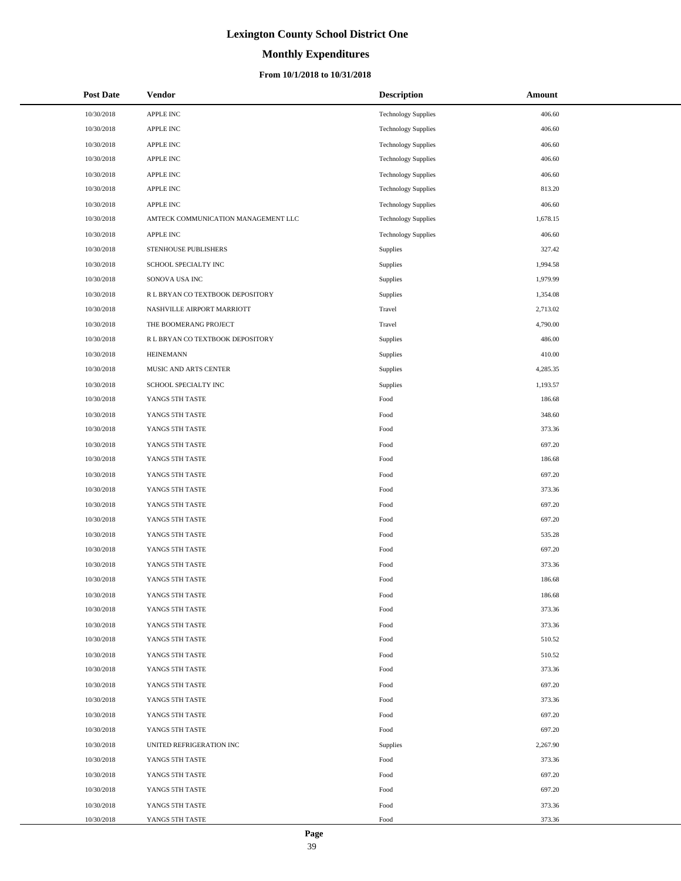# **Monthly Expenditures**

| <b>Post Date</b> | Vendor                              | <b>Description</b>         | Amount   |
|------------------|-------------------------------------|----------------------------|----------|
| 10/30/2018       | APPLE INC                           | <b>Technology Supplies</b> | 406.60   |
| 10/30/2018       | APPLE INC                           | <b>Technology Supplies</b> | 406.60   |
| 10/30/2018       | APPLE INC                           | <b>Technology Supplies</b> | 406.60   |
| 10/30/2018       | <b>APPLE INC</b>                    | <b>Technology Supplies</b> | 406.60   |
| 10/30/2018       | APPLE INC                           | <b>Technology Supplies</b> | 406.60   |
| 10/30/2018       | <b>APPLE INC</b>                    | <b>Technology Supplies</b> | 813.20   |
| 10/30/2018       | APPLE INC                           | <b>Technology Supplies</b> | 406.60   |
| 10/30/2018       | AMTECK COMMUNICATION MANAGEMENT LLC | <b>Technology Supplies</b> | 1,678.15 |
| 10/30/2018       | <b>APPLE INC</b>                    | <b>Technology Supplies</b> | 406.60   |
| 10/30/2018       | STENHOUSE PUBLISHERS                | Supplies                   | 327.42   |
| 10/30/2018       | SCHOOL SPECIALTY INC                | Supplies                   | 1,994.58 |
| 10/30/2018       | SONOVA USA INC                      | Supplies                   | 1,979.99 |
| 10/30/2018       | R L BRYAN CO TEXTBOOK DEPOSITORY    | Supplies                   | 1,354.08 |
| 10/30/2018       | NASHVILLE AIRPORT MARRIOTT          | Travel                     | 2,713.02 |
| 10/30/2018       | THE BOOMERANG PROJECT               | Travel                     | 4,790.00 |
| 10/30/2018       | R L BRYAN CO TEXTBOOK DEPOSITORY    | Supplies                   | 486.00   |
| 10/30/2018       | <b>HEINEMANN</b>                    | Supplies                   | 410.00   |
| 10/30/2018       | MUSIC AND ARTS CENTER               | Supplies                   | 4,285.35 |
| 10/30/2018       | SCHOOL SPECIALTY INC                | Supplies                   | 1,193.57 |
| 10/30/2018       | YANGS 5TH TASTE                     | Food                       | 186.68   |
| 10/30/2018       | YANGS 5TH TASTE                     | Food                       | 348.60   |
| 10/30/2018       | YANGS 5TH TASTE                     | Food                       | 373.36   |
| 10/30/2018       | YANGS 5TH TASTE                     | Food                       | 697.20   |
| 10/30/2018       | YANGS 5TH TASTE                     | Food                       | 186.68   |
| 10/30/2018       | YANGS 5TH TASTE                     | Food                       | 697.20   |
| 10/30/2018       | YANGS 5TH TASTE                     | Food                       | 373.36   |
| 10/30/2018       | YANGS 5TH TASTE                     | Food                       | 697.20   |
| 10/30/2018       | YANGS 5TH TASTE                     | Food                       | 697.20   |
| 10/30/2018       | YANGS 5TH TASTE                     | Food                       | 535.28   |
| 10/30/2018       | YANGS 5TH TASTE                     | Food                       | 697.20   |
| 10/30/2018       | YANGS 5TH TASTE                     | Food                       | 373.36   |
| 10/30/2018       | YANGS 5TH TASTE                     | Food                       | 186.68   |
| 10/30/2018       | YANGS 5TH TASTE                     | Food                       | 186.68   |
| 10/30/2018       | YANGS 5TH TASTE                     | Food                       | 373.36   |
| 10/30/2018       | YANGS 5TH TASTE                     | Food                       | 373.36   |
| 10/30/2018       | YANGS 5TH TASTE                     | Food                       | 510.52   |
| 10/30/2018       | YANGS 5TH TASTE                     | Food                       | 510.52   |
| 10/30/2018       | YANGS 5TH TASTE                     | Food                       | 373.36   |
| 10/30/2018       | YANGS 5TH TASTE                     | Food                       | 697.20   |
| 10/30/2018       | YANGS 5TH TASTE                     | Food                       | 373.36   |
| 10/30/2018       | YANGS 5TH TASTE                     | Food                       | 697.20   |
| 10/30/2018       | YANGS 5TH TASTE                     | Food                       | 697.20   |
| 10/30/2018       | UNITED REFRIGERATION INC            | Supplies                   | 2,267.90 |
| 10/30/2018       | YANGS 5TH TASTE                     | Food                       | 373.36   |
| 10/30/2018       | YANGS 5TH TASTE                     | Food                       | 697.20   |
| 10/30/2018       | YANGS 5TH TASTE                     | Food                       | 697.20   |
| 10/30/2018       | YANGS 5TH TASTE                     | Food                       | 373.36   |
| 10/30/2018       | YANGS 5TH TASTE                     | Food                       | 373.36   |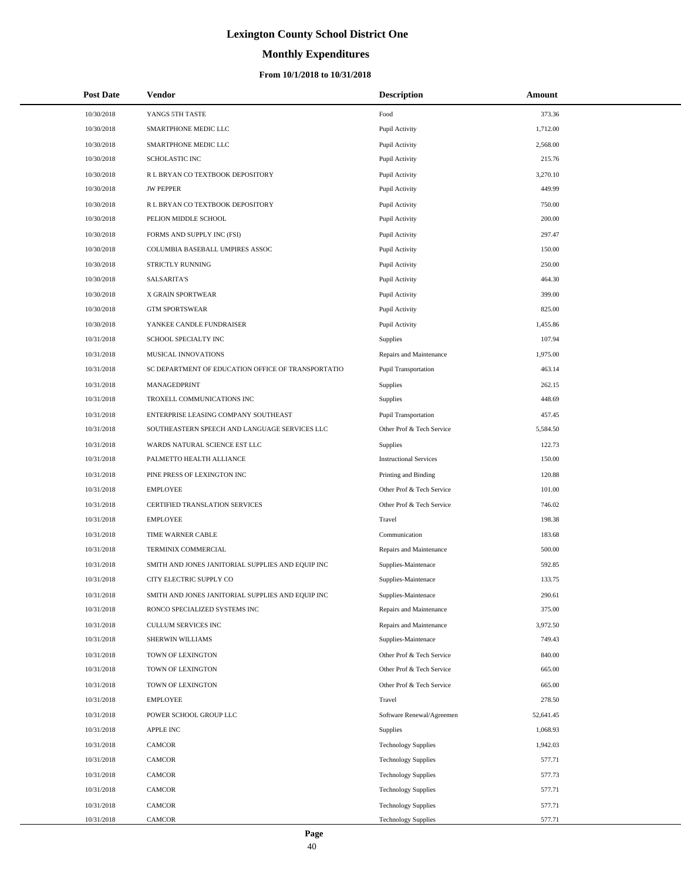# **Monthly Expenditures**

| <b>Post Date</b> | Vendor                                             | <b>Description</b>            | Amount    |
|------------------|----------------------------------------------------|-------------------------------|-----------|
| 10/30/2018       | YANGS 5TH TASTE                                    | Food                          | 373.36    |
| 10/30/2018       | SMARTPHONE MEDIC LLC                               | Pupil Activity                | 1,712.00  |
| 10/30/2018       | SMARTPHONE MEDIC LLC                               | Pupil Activity                | 2,568.00  |
| 10/30/2018       | SCHOLASTIC INC                                     | Pupil Activity                | 215.76    |
| 10/30/2018       | R L BRYAN CO TEXTBOOK DEPOSITORY                   | Pupil Activity                | 3,270.10  |
| 10/30/2018       | <b>JW PEPPER</b>                                   | Pupil Activity                | 449.99    |
| 10/30/2018       | R L BRYAN CO TEXTBOOK DEPOSITORY                   | Pupil Activity                | 750.00    |
| 10/30/2018       | PELION MIDDLE SCHOOL                               | Pupil Activity                | 200.00    |
| 10/30/2018       | FORMS AND SUPPLY INC (FSI)                         | Pupil Activity                | 297.47    |
| 10/30/2018       | COLUMBIA BASEBALL UMPIRES ASSOC                    | Pupil Activity                | 150.00    |
| 10/30/2018       | STRICTLY RUNNING                                   | Pupil Activity                | 250.00    |
| 10/30/2018       | <b>SALSARITA'S</b>                                 | Pupil Activity                | 464.30    |
| 10/30/2018       | X GRAIN SPORTWEAR                                  | Pupil Activity                | 399.00    |
| 10/30/2018       | <b>GTM SPORTSWEAR</b>                              | Pupil Activity                | 825.00    |
| 10/30/2018       | YANKEE CANDLE FUNDRAISER                           | Pupil Activity                | 1,455.86  |
| 10/31/2018       | SCHOOL SPECIALTY INC                               | Supplies                      | 107.94    |
| 10/31/2018       | MUSICAL INNOVATIONS                                | Repairs and Maintenance       | 1,975.00  |
| 10/31/2018       | SC DEPARTMENT OF EDUCATION OFFICE OF TRANSPORTATIO | Pupil Transportation          | 463.14    |
| 10/31/2018       | MANAGEDPRINT                                       | Supplies                      | 262.15    |
| 10/31/2018       | TROXELL COMMUNICATIONS INC                         | Supplies                      | 448.69    |
| 10/31/2018       | ENTERPRISE LEASING COMPANY SOUTHEAST               | Pupil Transportation          | 457.45    |
| 10/31/2018       | SOUTHEASTERN SPEECH AND LANGUAGE SERVICES LLC      | Other Prof & Tech Service     | 5,584.50  |
| 10/31/2018       | WARDS NATURAL SCIENCE EST LLC                      | Supplies                      | 122.73    |
| 10/31/2018       | PALMETTO HEALTH ALLIANCE                           | <b>Instructional Services</b> | 150.00    |
| 10/31/2018       | PINE PRESS OF LEXINGTON INC                        | Printing and Binding          | 120.88    |
| 10/31/2018       | <b>EMPLOYEE</b>                                    | Other Prof & Tech Service     | 101.00    |
| 10/31/2018       | CERTIFIED TRANSLATION SERVICES                     | Other Prof & Tech Service     | 746.02    |
| 10/31/2018       | <b>EMPLOYEE</b>                                    | Travel                        | 198.38    |
| 10/31/2018       | TIME WARNER CABLE                                  | Communication                 | 183.68    |
| 10/31/2018       | TERMINIX COMMERCIAL                                | Repairs and Maintenance       | 500.00    |
| 10/31/2018       | SMITH AND JONES JANITORIAL SUPPLIES AND EQUIP INC  | Supplies-Maintenace           | 592.85    |
| 10/31/2018       | CITY ELECTRIC SUPPLY CO                            | Supplies-Maintenace           | 133.75    |
| 10/31/2018       | SMITH AND JONES JANITORIAL SUPPLIES AND EQUIP INC  | Supplies-Maintenace           | 290.61    |
| 10/31/2018       | RONCO SPECIALIZED SYSTEMS INC                      | Repairs and Maintenance       | 375.00    |
| 10/31/2018       | CULLUM SERVICES INC                                | Repairs and Maintenance       | 3,972.50  |
| 10/31/2018       | SHERWIN WILLIAMS                                   | Supplies-Maintenace           | 749.43    |
| 10/31/2018       | TOWN OF LEXINGTON                                  | Other Prof & Tech Service     | 840.00    |
| 10/31/2018       | TOWN OF LEXINGTON                                  | Other Prof & Tech Service     | 665.00    |
| 10/31/2018       | TOWN OF LEXINGTON                                  | Other Prof & Tech Service     | 665.00    |
| 10/31/2018       | <b>EMPLOYEE</b>                                    | Travel                        | 278.50    |
| 10/31/2018       | POWER SCHOOL GROUP LLC                             | Software Renewal/Agreemen     | 52,641.45 |
| 10/31/2018       | <b>APPLE INC</b>                                   | <b>Supplies</b>               | 1,068.93  |
| 10/31/2018       | <b>CAMCOR</b>                                      | <b>Technology Supplies</b>    | 1,942.03  |
| 10/31/2018       | <b>CAMCOR</b>                                      | <b>Technology Supplies</b>    | 577.71    |
| 10/31/2018       | <b>CAMCOR</b>                                      | <b>Technology Supplies</b>    | 577.73    |
| 10/31/2018       | <b>CAMCOR</b>                                      | <b>Technology Supplies</b>    | 577.71    |
| 10/31/2018       | CAMCOR                                             | <b>Technology Supplies</b>    | 577.71    |
| 10/31/2018       | CAMCOR                                             | <b>Technology Supplies</b>    | 577.71    |